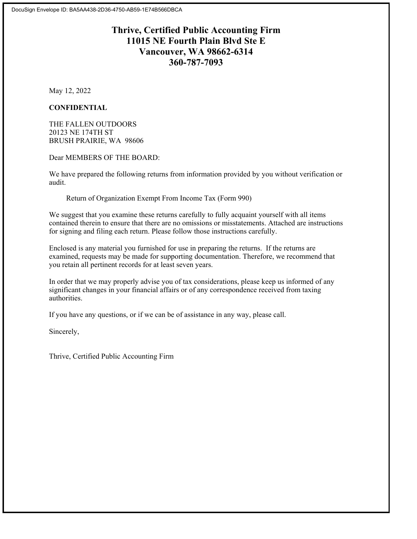# **Thrive, Certified Public Accounting Firm 11015 NE Fourth Plain Blvd Ste E Vancouver, WA 98662-6314 360-787-7093**

May 12, 2022

#### **CONFIDENTIAL**

THE FALLEN OUTDOORS 20123 NE 174TH ST BRUSH PRAIRIE, WA 98606

Dear MEMBERS OF THE BOARD:

We have prepared the following returns from information provided by you without verification or audit.

Return of Organization Exempt From Income Tax (Form 990)

We suggest that you examine these returns carefully to fully acquaint yourself with all items contained therein to ensure that there are no omissions or misstatements. Attached are instructions for signing and filing each return. Please follow those instructions carefully.

Enclosed is any material you furnished for use in preparing the returns. If the returns are examined, requests may be made for supporting documentation. Therefore, we recommend that you retain all pertinent records for at least seven years.

In order that we may properly advise you of tax considerations, please keep us informed of any significant changes in your financial affairs or of any correspondence received from taxing authorities.

If you have any questions, or if we can be of assistance in any way, please call.

Sincerely,

Thrive, Certified Public Accounting Firm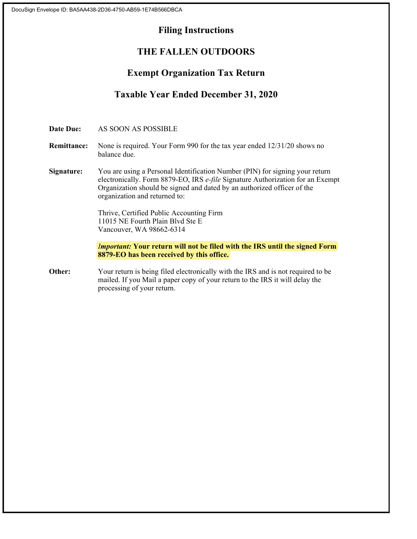# **Filing Instructions**

# **THE FALLEN OUTDOORS**

# **Exempt Organization Tax Return**

# **Taxable Year Ended December 31, 2020**

**Date Due:** AS SOON AS POSSIBLE

- **Remittance:** None is required. Your Form 990 for the tax year ended 12/31/20 shows no balance due.
- **Signature:** You are using a Personal Identification Number (PIN) for signing your return electronically. Form 8879-EO, IRS *e-file* Signature Authorization for an Exempt Organization should be signed and dated by an authorized officer of the organization and returned to:

Thrive, Certified Public Accounting Firm 11015 NE Fourth Plain Blvd Ste E Vancouver, WA 98662-6314

*Important:* **Your return will not be filed with the IRS until the signed Form 8879-EO has been received by this office.**

**Other:** Your return is being filed electronically with the IRS and is not required to be mailed. If you Mail a paper copy of your return to the IRS it will delay the processing of your return.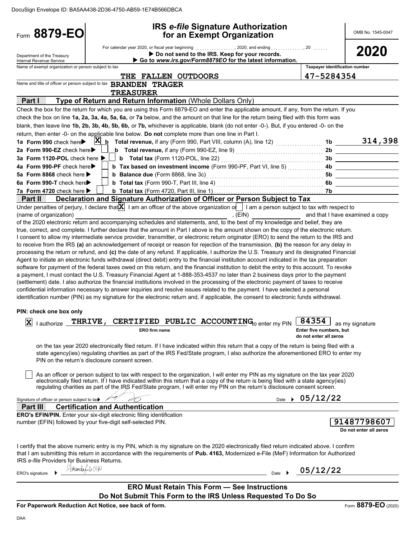| Form 8879-EO                                                  | <b>IRS e-file Signature Authorization</b><br>for an Exempt Organization                                                                                                                                                                                                                                                                                                                                                                                                                                                                                                                                                                                                                                                                                                                                                                                                                                                                                                                                                                                                                                                                                                                                                                                                                                                                                                                                                                                                                                                                                                           |                                                            | OMB No. 1545-0047                     |
|---------------------------------------------------------------|-----------------------------------------------------------------------------------------------------------------------------------------------------------------------------------------------------------------------------------------------------------------------------------------------------------------------------------------------------------------------------------------------------------------------------------------------------------------------------------------------------------------------------------------------------------------------------------------------------------------------------------------------------------------------------------------------------------------------------------------------------------------------------------------------------------------------------------------------------------------------------------------------------------------------------------------------------------------------------------------------------------------------------------------------------------------------------------------------------------------------------------------------------------------------------------------------------------------------------------------------------------------------------------------------------------------------------------------------------------------------------------------------------------------------------------------------------------------------------------------------------------------------------------------------------------------------------------|------------------------------------------------------------|---------------------------------------|
| Department of the Treasury<br><b>Internal Revenue Service</b> | For calendar year 2020, or fiscal year beginning [1, 2020, and ending] [1, 2020, and ending]<br>Do not send to the IRS. Keep for your records.<br>Go to www.irs.gov/Form8879EO for the latest information.                                                                                                                                                                                                                                                                                                                                                                                                                                                                                                                                                                                                                                                                                                                                                                                                                                                                                                                                                                                                                                                                                                                                                                                                                                                                                                                                                                        |                                                            | 2020                                  |
| Name of exempt organization or person subject to tax          |                                                                                                                                                                                                                                                                                                                                                                                                                                                                                                                                                                                                                                                                                                                                                                                                                                                                                                                                                                                                                                                                                                                                                                                                                                                                                                                                                                                                                                                                                                                                                                                   | Taxpayer identification number                             |                                       |
|                                                               | THE FALLEN OUTDOORS                                                                                                                                                                                                                                                                                                                                                                                                                                                                                                                                                                                                                                                                                                                                                                                                                                                                                                                                                                                                                                                                                                                                                                                                                                                                                                                                                                                                                                                                                                                                                               | 47-5284354                                                 |                                       |
|                                                               | Name and title of officer or person subject to tax <b>BRANDEN</b> TRAGER                                                                                                                                                                                                                                                                                                                                                                                                                                                                                                                                                                                                                                                                                                                                                                                                                                                                                                                                                                                                                                                                                                                                                                                                                                                                                                                                                                                                                                                                                                          |                                                            |                                       |
| Part I                                                        | <b>TREASURER</b><br>Type of Return and Return Information (Whole Dollars Only)                                                                                                                                                                                                                                                                                                                                                                                                                                                                                                                                                                                                                                                                                                                                                                                                                                                                                                                                                                                                                                                                                                                                                                                                                                                                                                                                                                                                                                                                                                    |                                                            |                                       |
|                                                               | Check the box for the return for which you are using this Form 8879-EO and enter the applicable amount, if any, from the return. If you                                                                                                                                                                                                                                                                                                                                                                                                                                                                                                                                                                                                                                                                                                                                                                                                                                                                                                                                                                                                                                                                                                                                                                                                                                                                                                                                                                                                                                           |                                                            |                                       |
|                                                               | check the box on line 1a, 2a, 3a, 4a, 5a, 6a, or 7a below, and the amount on that line for the return being filed with this form was                                                                                                                                                                                                                                                                                                                                                                                                                                                                                                                                                                                                                                                                                                                                                                                                                                                                                                                                                                                                                                                                                                                                                                                                                                                                                                                                                                                                                                              |                                                            |                                       |
|                                                               | blank, then leave line 1b, 2b, 3b, 4b, 5b, 6b, or 7b, whichever is applicable, blank (do not enter -0-). But, if you entered -0- on the                                                                                                                                                                                                                                                                                                                                                                                                                                                                                                                                                                                                                                                                                                                                                                                                                                                                                                                                                                                                                                                                                                                                                                                                                                                                                                                                                                                                                                           |                                                            |                                       |
|                                                               | return, then enter -0- on the applicable line below. Do not complete more than one line in Part I.                                                                                                                                                                                                                                                                                                                                                                                                                                                                                                                                                                                                                                                                                                                                                                                                                                                                                                                                                                                                                                                                                                                                                                                                                                                                                                                                                                                                                                                                                |                                                            |                                       |
| 1a Form 990 check here                                        | $X_{b}$ Total revenue, if any (Form 990, Part VIII, column (A), line 12) $\ldots$                                                                                                                                                                                                                                                                                                                                                                                                                                                                                                                                                                                                                                                                                                                                                                                                                                                                                                                                                                                                                                                                                                                                                                                                                                                                                                                                                                                                                                                                                                 | 1b                                                         | 314,398                               |
| 2a Form 990-EZ check here▶                                    |                                                                                                                                                                                                                                                                                                                                                                                                                                                                                                                                                                                                                                                                                                                                                                                                                                                                                                                                                                                                                                                                                                                                                                                                                                                                                                                                                                                                                                                                                                                                                                                   | 2 <sub>b</sub>                                             |                                       |
| 3a Form 1120-POL check here ▶                                 | <b>b</b> Total tax (Form 1120-POL, line 22)                                                                                                                                                                                                                                                                                                                                                                                                                                                                                                                                                                                                                                                                                                                                                                                                                                                                                                                                                                                                                                                                                                                                                                                                                                                                                                                                                                                                                                                                                                                                       | 3b                                                         |                                       |
| 4a Form 990-PF check here▶                                    | b Tax based on investment income (Form 990-PF, Part VI, line 5)                                                                                                                                                                                                                                                                                                                                                                                                                                                                                                                                                                                                                                                                                                                                                                                                                                                                                                                                                                                                                                                                                                                                                                                                                                                                                                                                                                                                                                                                                                                   | 4b                                                         |                                       |
| 5a Form 8868 check here $\blacktriangleright$                 | <b>b Balance due</b> (Form 8868, line 3c)                                                                                                                                                                                                                                                                                                                                                                                                                                                                                                                                                                                                                                                                                                                                                                                                                                                                                                                                                                                                                                                                                                                                                                                                                                                                                                                                                                                                                                                                                                                                         | 5b                                                         |                                       |
| 6a Form 990-T check here                                      |                                                                                                                                                                                                                                                                                                                                                                                                                                                                                                                                                                                                                                                                                                                                                                                                                                                                                                                                                                                                                                                                                                                                                                                                                                                                                                                                                                                                                                                                                                                                                                                   | 6b                                                         |                                       |
| 7a Form 4720 check here ▶                                     |                                                                                                                                                                                                                                                                                                                                                                                                                                                                                                                                                                                                                                                                                                                                                                                                                                                                                                                                                                                                                                                                                                                                                                                                                                                                                                                                                                                                                                                                                                                                                                                   | 7b                                                         |                                       |
| Part II                                                       | Declaration and Signature Authorization of Officer or Person Subject to Tax<br>Under penalties of perjury, I declare that $X$ I am an officer of the above organization of I am a person subject to tax with respect to                                                                                                                                                                                                                                                                                                                                                                                                                                                                                                                                                                                                                                                                                                                                                                                                                                                                                                                                                                                                                                                                                                                                                                                                                                                                                                                                                           |                                                            |                                       |
| (name of organization)                                        | , $(EIN)$<br>of the 2020 electronic return and accompanying schedules and statements, and, to the best of my knowledge and belief, they are<br>true, correct, and complete. I further declare that the amount in Part I above is the amount shown on the copy of the electronic return.<br>I consent to allow my intermediate service provider, transmitter, or electronic return originator (ERO) to send the return to the IRS and<br>to receive from the IRS (a) an acknowledgement of receipt or reason for rejection of the transmission, (b) the reason for any delay in<br>processing the return or refund, and (c) the date of any refund. If applicable, I authorize the U.S. Treasury and its designated Financial<br>Agent to initiate an electronic funds withdrawal (direct debit) entry to the financial institution account indicated in the tax preparation<br>software for payment of the federal taxes owed on this return, and the financial institution to debit the entry to this account. To revoke<br>a payment, I must contact the U.S. Treasury Financial Agent at 1-888-353-4537 no later than 2 business days prior to the payment<br>(settlement) date. I also authorize the financial institutions involved in the processing of the electronic payment of taxes to receive<br>confidential information necessary to answer inquiries and resolve issues related to the payment. I have selected a personal<br>identification number (PIN) as my signature for the electronic return and, if applicable, the consent to electronic funds withdrawal. |                                                            | and that I have examined a copy       |
| PIN: check one box only                                       |                                                                                                                                                                                                                                                                                                                                                                                                                                                                                                                                                                                                                                                                                                                                                                                                                                                                                                                                                                                                                                                                                                                                                                                                                                                                                                                                                                                                                                                                                                                                                                                   |                                                            |                                       |
| ΙxΙ<br>I authorize                                            | THRIVE, CERTIFIED PUBLIC ACCOUNTING <sub>to enter my PIN</sub><br><b>ERO</b> firm name                                                                                                                                                                                                                                                                                                                                                                                                                                                                                                                                                                                                                                                                                                                                                                                                                                                                                                                                                                                                                                                                                                                                                                                                                                                                                                                                                                                                                                                                                            | 84354<br>Enter five numbers, but<br>do not enter all zeros | as my signature                       |
|                                                               | on the tax year 2020 electronically filed return. If I have indicated within this return that a copy of the return is being filed with a<br>state agency(ies) regulating charities as part of the IRS Fed/State program, I also authorize the aforementioned ERO to enter my<br>PIN on the return's disclosure consent screen.                                                                                                                                                                                                                                                                                                                                                                                                                                                                                                                                                                                                                                                                                                                                                                                                                                                                                                                                                                                                                                                                                                                                                                                                                                                    |                                                            |                                       |
|                                                               | As an officer or person subject to tax with respect to the organization, I will enter my PIN as my signature on the tax year 2020<br>electronically filed return. If I have indicated within this return that a copy of the return is being filed with a state agency(ies)<br>regulating charities as part of the IRS Fed/State program, I will enter my PIN on the return's disclosure consent screen.                                                                                                                                                                                                                                                                                                                                                                                                                                                                                                                                                                                                                                                                                                                                                                                                                                                                                                                                                                                                                                                                                                                                                                           |                                                            |                                       |
| Signature of officer or person subject to tax                 |                                                                                                                                                                                                                                                                                                                                                                                                                                                                                                                                                                                                                                                                                                                                                                                                                                                                                                                                                                                                                                                                                                                                                                                                                                                                                                                                                                                                                                                                                                                                                                                   | Date $\rightarrow$ 05/12/22                                |                                       |
| Part III                                                      | <b>Certification and Authentication</b>                                                                                                                                                                                                                                                                                                                                                                                                                                                                                                                                                                                                                                                                                                                                                                                                                                                                                                                                                                                                                                                                                                                                                                                                                                                                                                                                                                                                                                                                                                                                           |                                                            |                                       |
|                                                               | <b>ERO's EFIN/PIN.</b> Enter your six-digit electronic filing identification<br>number (EFIN) followed by your five-digit self-selected PIN.                                                                                                                                                                                                                                                                                                                                                                                                                                                                                                                                                                                                                                                                                                                                                                                                                                                                                                                                                                                                                                                                                                                                                                                                                                                                                                                                                                                                                                      |                                                            | 91487798607<br>Do not enter all zeros |
| IRS e-file Providers for Business Returns.                    | I certify that the above numeric entry is my PIN, which is my signature on the 2020 electronically filed return indicated above. I confirm<br>that I am submitting this return in accordance with the requirements of Pub. 4163, Modernized e-File (MeF) Information for Authorized                                                                                                                                                                                                                                                                                                                                                                                                                                                                                                                                                                                                                                                                                                                                                                                                                                                                                                                                                                                                                                                                                                                                                                                                                                                                                               |                                                            |                                       |
| Aprandahuls CFA                                               |                                                                                                                                                                                                                                                                                                                                                                                                                                                                                                                                                                                                                                                                                                                                                                                                                                                                                                                                                                                                                                                                                                                                                                                                                                                                                                                                                                                                                                                                                                                                                                                   | 05/12/22                                                   |                                       |
| ERO's signature                                               | Date $\rightarrow$                                                                                                                                                                                                                                                                                                                                                                                                                                                                                                                                                                                                                                                                                                                                                                                                                                                                                                                                                                                                                                                                                                                                                                                                                                                                                                                                                                                                                                                                                                                                                                |                                                            |                                       |
|                                                               | <b>ERO Must Retain This Form - See Instructions</b>                                                                                                                                                                                                                                                                                                                                                                                                                                                                                                                                                                                                                                                                                                                                                                                                                                                                                                                                                                                                                                                                                                                                                                                                                                                                                                                                                                                                                                                                                                                               |                                                            |                                       |
|                                                               | Do Not Submit This Form to the IRS Unless Requested To Do So                                                                                                                                                                                                                                                                                                                                                                                                                                                                                                                                                                                                                                                                                                                                                                                                                                                                                                                                                                                                                                                                                                                                                                                                                                                                                                                                                                                                                                                                                                                      |                                                            |                                       |
|                                                               | For Paperwork Reduction Act Notice, see back of form.                                                                                                                                                                                                                                                                                                                                                                                                                                                                                                                                                                                                                                                                                                                                                                                                                                                                                                                                                                                                                                                                                                                                                                                                                                                                                                                                                                                                                                                                                                                             |                                                            | Form 8879-EO (2020)                   |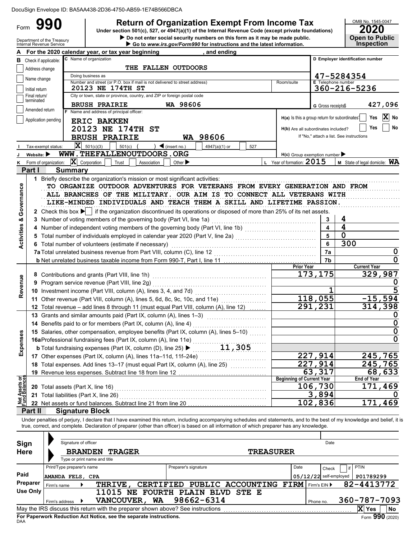| Go to www.irs.gov/Form990 for instructions and the latest information.<br>Room/suite<br>H(a) Is this a group return for subordinates?<br>H(b) Are all subordinates included?<br>$H(c)$ Group exemption number<br>L Year of formation: $2015$<br>TO ORGANIZE OUTDOOR ADVENTURES FOR VETERANS FROM EVERY GENERATION AND FROM<br>ALL BRANCHES OF THE MILITARY. OUR AIM IS TO CONNECT ALL VETERANS WITH<br>LIKE-MINDED INDIVIDUALS AND TEACH THEM A SKILL AND LIFETIME PASSION. | <b>E</b> Telephone number<br>G Gross receipts\$ | <b>Inspection</b><br>D Employer identification number<br>47-5284354<br>360-216-5236<br>427,096<br>X No<br>Yes<br>No<br>Yes<br>If "No," attach a list. See instructions<br>M State of legal domicile: WA                                                                                                                                                                              |
|-----------------------------------------------------------------------------------------------------------------------------------------------------------------------------------------------------------------------------------------------------------------------------------------------------------------------------------------------------------------------------------------------------------------------------------------------------------------------------|-------------------------------------------------|--------------------------------------------------------------------------------------------------------------------------------------------------------------------------------------------------------------------------------------------------------------------------------------------------------------------------------------------------------------------------------------|
|                                                                                                                                                                                                                                                                                                                                                                                                                                                                             |                                                 |                                                                                                                                                                                                                                                                                                                                                                                      |
|                                                                                                                                                                                                                                                                                                                                                                                                                                                                             |                                                 |                                                                                                                                                                                                                                                                                                                                                                                      |
|                                                                                                                                                                                                                                                                                                                                                                                                                                                                             |                                                 |                                                                                                                                                                                                                                                                                                                                                                                      |
|                                                                                                                                                                                                                                                                                                                                                                                                                                                                             |                                                 |                                                                                                                                                                                                                                                                                                                                                                                      |
|                                                                                                                                                                                                                                                                                                                                                                                                                                                                             |                                                 |                                                                                                                                                                                                                                                                                                                                                                                      |
|                                                                                                                                                                                                                                                                                                                                                                                                                                                                             |                                                 |                                                                                                                                                                                                                                                                                                                                                                                      |
|                                                                                                                                                                                                                                                                                                                                                                                                                                                                             |                                                 |                                                                                                                                                                                                                                                                                                                                                                                      |
|                                                                                                                                                                                                                                                                                                                                                                                                                                                                             |                                                 |                                                                                                                                                                                                                                                                                                                                                                                      |
|                                                                                                                                                                                                                                                                                                                                                                                                                                                                             |                                                 |                                                                                                                                                                                                                                                                                                                                                                                      |
|                                                                                                                                                                                                                                                                                                                                                                                                                                                                             |                                                 |                                                                                                                                                                                                                                                                                                                                                                                      |
|                                                                                                                                                                                                                                                                                                                                                                                                                                                                             |                                                 |                                                                                                                                                                                                                                                                                                                                                                                      |
|                                                                                                                                                                                                                                                                                                                                                                                                                                                                             |                                                 |                                                                                                                                                                                                                                                                                                                                                                                      |
|                                                                                                                                                                                                                                                                                                                                                                                                                                                                             |                                                 |                                                                                                                                                                                                                                                                                                                                                                                      |
|                                                                                                                                                                                                                                                                                                                                                                                                                                                                             |                                                 |                                                                                                                                                                                                                                                                                                                                                                                      |
|                                                                                                                                                                                                                                                                                                                                                                                                                                                                             |                                                 |                                                                                                                                                                                                                                                                                                                                                                                      |
| 2 Check this box $\blacktriangleright$ if the organization discontinued its operations or disposed of more than 25% of its net assets.                                                                                                                                                                                                                                                                                                                                      |                                                 |                                                                                                                                                                                                                                                                                                                                                                                      |
|                                                                                                                                                                                                                                                                                                                                                                                                                                                                             | 3                                               | 4                                                                                                                                                                                                                                                                                                                                                                                    |
|                                                                                                                                                                                                                                                                                                                                                                                                                                                                             | 4                                               | 4                                                                                                                                                                                                                                                                                                                                                                                    |
|                                                                                                                                                                                                                                                                                                                                                                                                                                                                             | 5                                               | $\mathbf 0$                                                                                                                                                                                                                                                                                                                                                                          |
|                                                                                                                                                                                                                                                                                                                                                                                                                                                                             |                                                 | 300                                                                                                                                                                                                                                                                                                                                                                                  |
|                                                                                                                                                                                                                                                                                                                                                                                                                                                                             |                                                 | $\mathbf 0$                                                                                                                                                                                                                                                                                                                                                                          |
|                                                                                                                                                                                                                                                                                                                                                                                                                                                                             |                                                 | $\mathbf 0$<br><b>Current Year</b>                                                                                                                                                                                                                                                                                                                                                   |
|                                                                                                                                                                                                                                                                                                                                                                                                                                                                             |                                                 | 329,987                                                                                                                                                                                                                                                                                                                                                                              |
|                                                                                                                                                                                                                                                                                                                                                                                                                                                                             |                                                 |                                                                                                                                                                                                                                                                                                                                                                                      |
|                                                                                                                                                                                                                                                                                                                                                                                                                                                                             |                                                 |                                                                                                                                                                                                                                                                                                                                                                                      |
|                                                                                                                                                                                                                                                                                                                                                                                                                                                                             |                                                 | $-15,594$                                                                                                                                                                                                                                                                                                                                                                            |
|                                                                                                                                                                                                                                                                                                                                                                                                                                                                             |                                                 | 314,398                                                                                                                                                                                                                                                                                                                                                                              |
|                                                                                                                                                                                                                                                                                                                                                                                                                                                                             |                                                 | $\mathbf 0$                                                                                                                                                                                                                                                                                                                                                                          |
|                                                                                                                                                                                                                                                                                                                                                                                                                                                                             |                                                 | $\overline{\mathbf{0}}$                                                                                                                                                                                                                                                                                                                                                              |
|                                                                                                                                                                                                                                                                                                                                                                                                                                                                             |                                                 | $\overline{\mathbf{0}}$                                                                                                                                                                                                                                                                                                                                                              |
|                                                                                                                                                                                                                                                                                                                                                                                                                                                                             |                                                 | $\mathbf 0$                                                                                                                                                                                                                                                                                                                                                                          |
|                                                                                                                                                                                                                                                                                                                                                                                                                                                                             |                                                 |                                                                                                                                                                                                                                                                                                                                                                                      |
|                                                                                                                                                                                                                                                                                                                                                                                                                                                                             |                                                 | 245,765                                                                                                                                                                                                                                                                                                                                                                              |
|                                                                                                                                                                                                                                                                                                                                                                                                                                                                             |                                                 | 245,765<br>68,633                                                                                                                                                                                                                                                                                                                                                                    |
|                                                                                                                                                                                                                                                                                                                                                                                                                                                                             |                                                 | <b>End of Year</b>                                                                                                                                                                                                                                                                                                                                                                   |
|                                                                                                                                                                                                                                                                                                                                                                                                                                                                             |                                                 | 171,469                                                                                                                                                                                                                                                                                                                                                                              |
|                                                                                                                                                                                                                                                                                                                                                                                                                                                                             |                                                 | O                                                                                                                                                                                                                                                                                                                                                                                    |
|                                                                                                                                                                                                                                                                                                                                                                                                                                                                             |                                                 | 171,469                                                                                                                                                                                                                                                                                                                                                                              |
|                                                                                                                                                                                                                                                                                                                                                                                                                                                                             |                                                 |                                                                                                                                                                                                                                                                                                                                                                                      |
|                                                                                                                                                                                                                                                                                                                                                                                                                                                                             | <b>Prior Year</b>                               | Number of independent voting members of the governing body (Part VI, line 1b) [10] [10] [10] [10] [10] [10] [1<br>Total number of individuals employed in calendar year 2020 (Part V, line 2a) [[[[[[[[[[[[[[[[[[[[[[[[[[[[[[[[<br>6<br>7a<br>7b<br>173,175<br>118,055<br>291,231<br>227,914<br>227,914<br>63,317<br><b>Beginning of Current Year</b><br>106,730<br>3,894<br>102,836 |

| Sign        |                                                                                       | Signature of officer                           |                    |                  |  |                                                                                 |       |                   |      |                            | Date  |  |                 |    |
|-------------|---------------------------------------------------------------------------------------|------------------------------------------------|--------------------|------------------|--|---------------------------------------------------------------------------------|-------|-------------------|------|----------------------------|-------|--|-----------------|----|
| <b>Here</b> |                                                                                       | <b>BRANDEN</b><br>Type or print name and title | <b>TRAGER</b>      |                  |  |                                                                                 |       | <b>TREASURER</b>  |      |                            |       |  |                 |    |
|             | Print/Type preparer's name                                                            |                                                |                    |                  |  | Preparer's signature                                                            |       |                   | Date |                            | Check |  | <b>PTIN</b>     |    |
| Paid        | AMANDA FELS, CPA                                                                      |                                                |                    |                  |  | $05/12/22$ self-employed                                                        |       |                   |      |                            |       |  | P01789299       |    |
| Preparer    | Firm's name                                                                           |                                                | <b>THRIVE.</b>     | <b>CERTIFIED</b> |  | PUBLIC                                                                          |       | <b>ACCOUNTING</b> |      | $\texttt{FTRM}$ Firm's EIN |       |  | 82-4413772      |    |
| Use Only    |                                                                                       |                                                | 11015<br>NF.       | <b>FOURTH</b>    |  | PLAIN BLVD                                                                      | STE E |                   |      |                            |       |  |                 |    |
|             | Firm's address                                                                        |                                                | <b>VANCOUVER ,</b> | WA               |  | 98662-6314                                                                      |       |                   |      | Phone no.                  |       |  | 360-787-7093    |    |
|             |                                                                                       |                                                |                    |                  |  | May the IRS discuss this return with the preparer shown above? See instructions |       |                   |      |                            |       |  | X<br><b>Yes</b> | No |
| <b>DAA</b>  | Form 990 (2020)<br>For Paperwork Reduction Act Notice, see the separate instructions. |                                                |                    |                  |  |                                                                                 |       |                   |      |                            |       |  |                 |    |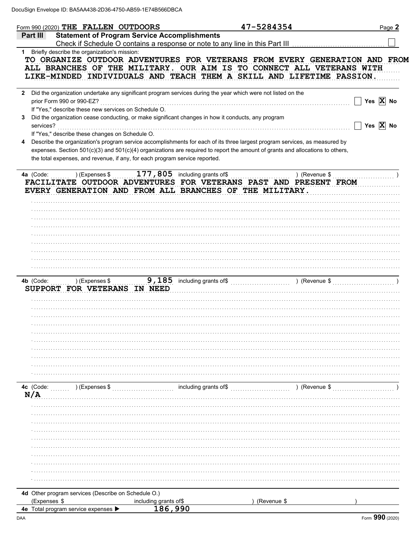DocuSign Envelope ID: BA5AA438-2D36-4750-AB59-1E74B566DBCA

|              | Form 990 (2020) $\textbf{THE}$ FALLEN OUTDOORS                                                                                                                     | 47-5284354                                                                                                                                                                                                                                                   | Page 2                |  |
|--------------|--------------------------------------------------------------------------------------------------------------------------------------------------------------------|--------------------------------------------------------------------------------------------------------------------------------------------------------------------------------------------------------------------------------------------------------------|-----------------------|--|
|              | <b>Statement of Program Service Accomplishments</b><br>Part III                                                                                                    | Check if Schedule O contains a response or note to any line in this Part III                                                                                                                                                                                 |                       |  |
| $\mathbf 1$  | Briefly describe the organization's mission:                                                                                                                       |                                                                                                                                                                                                                                                              |                       |  |
|              |                                                                                                                                                                    | TO ORGANIZE OUTDOOR ADVENTURES FOR VETERANS FROM EVERY GENERATION AND FROM<br>ALL BRANCHES OF THE MILITARY. OUR AIM IS TO CONNECT ALL VETERANS WITH<br>LIKE-MINDED INDIVIDUALS AND TEACH THEM A SKILL AND LIFETIME PASSION.                                  |                       |  |
| $\mathbf{2}$ | prior Form 990 or 990-EZ?<br>If "Yes," describe these new services on Schedule O.                                                                                  | Did the organization undertake any significant program services during the year which were not listed on the                                                                                                                                                 | Yes $\overline{X}$ No |  |
| 3            | Did the organization cease conducting, or make significant changes in how it conducts, any program<br>services?<br>If "Yes," describe these changes on Schedule O. |                                                                                                                                                                                                                                                              | Yes $\overline{X}$ No |  |
| 4            | the total expenses, and revenue, if any, for each program service reported.                                                                                        | Describe the organization's program service accomplishments for each of its three largest program services, as measured by<br>expenses. Section 501(c)(3) and 501(c)(4) organizations are required to report the amount of grants and allocations to others, |                       |  |
|              | ) (Expenses $$ 177,805$ including grants of \$<br>4a (Code:                                                                                                        | ) (Revenue \$<br>FACILITATE OUTDOOR ADVENTURES FOR VETERANS PAST AND PRESENT FROM<br>EVERY GENERATION AND FROM ALL BRANCHES OF THE MILITARY.                                                                                                                 |                       |  |
|              |                                                                                                                                                                    |                                                                                                                                                                                                                                                              |                       |  |
|              |                                                                                                                                                                    |                                                                                                                                                                                                                                                              |                       |  |
|              |                                                                                                                                                                    |                                                                                                                                                                                                                                                              |                       |  |
|              |                                                                                                                                                                    |                                                                                                                                                                                                                                                              |                       |  |
|              |                                                                                                                                                                    |                                                                                                                                                                                                                                                              |                       |  |
|              |                                                                                                                                                                    |                                                                                                                                                                                                                                                              |                       |  |
|              |                                                                                                                                                                    |                                                                                                                                                                                                                                                              |                       |  |
|              |                                                                                                                                                                    |                                                                                                                                                                                                                                                              |                       |  |
|              | 4b (Code:<br>SUPPORT FOR VETERANS IN NEED                                                                                                                          | ) (Expenses $\frac{1}{3}$ , $\frac{185}{185}$ including grants of $\frac{1}{3}$ (Revenue $\frac{1}{3}$ ) (Revenue $\frac{1}{3}$ )                                                                                                                            |                       |  |
|              |                                                                                                                                                                    |                                                                                                                                                                                                                                                              |                       |  |
|              |                                                                                                                                                                    |                                                                                                                                                                                                                                                              |                       |  |
|              |                                                                                                                                                                    |                                                                                                                                                                                                                                                              |                       |  |
|              |                                                                                                                                                                    |                                                                                                                                                                                                                                                              |                       |  |
|              |                                                                                                                                                                    |                                                                                                                                                                                                                                                              |                       |  |
|              |                                                                                                                                                                    |                                                                                                                                                                                                                                                              |                       |  |
|              |                                                                                                                                                                    |                                                                                                                                                                                                                                                              |                       |  |
|              |                                                                                                                                                                    |                                                                                                                                                                                                                                                              |                       |  |
|              |                                                                                                                                                                    |                                                                                                                                                                                                                                                              |                       |  |
|              |                                                                                                                                                                    |                                                                                                                                                                                                                                                              |                       |  |
|              | <b>4c</b> (Code: $($ $)$ (Expenses $\$$                                                                                                                            | ) (Revenue \$                                                                                                                                                                                                                                                |                       |  |
| N/A          |                                                                                                                                                                    |                                                                                                                                                                                                                                                              |                       |  |
|              |                                                                                                                                                                    |                                                                                                                                                                                                                                                              |                       |  |
|              |                                                                                                                                                                    |                                                                                                                                                                                                                                                              |                       |  |
|              |                                                                                                                                                                    |                                                                                                                                                                                                                                                              |                       |  |
|              |                                                                                                                                                                    |                                                                                                                                                                                                                                                              |                       |  |
|              |                                                                                                                                                                    |                                                                                                                                                                                                                                                              |                       |  |
|              |                                                                                                                                                                    |                                                                                                                                                                                                                                                              |                       |  |
|              |                                                                                                                                                                    |                                                                                                                                                                                                                                                              |                       |  |
|              |                                                                                                                                                                    |                                                                                                                                                                                                                                                              |                       |  |
|              |                                                                                                                                                                    |                                                                                                                                                                                                                                                              |                       |  |
|              |                                                                                                                                                                    |                                                                                                                                                                                                                                                              |                       |  |
|              | 4d Other program services (Describe on Schedule O.)                                                                                                                |                                                                                                                                                                                                                                                              |                       |  |
|              | (Expenses \$<br>including grants of\$                                                                                                                              | (Revenue \$                                                                                                                                                                                                                                                  |                       |  |
|              | 4e Total program service expenses                                                                                                                                  | 186,990                                                                                                                                                                                                                                                      |                       |  |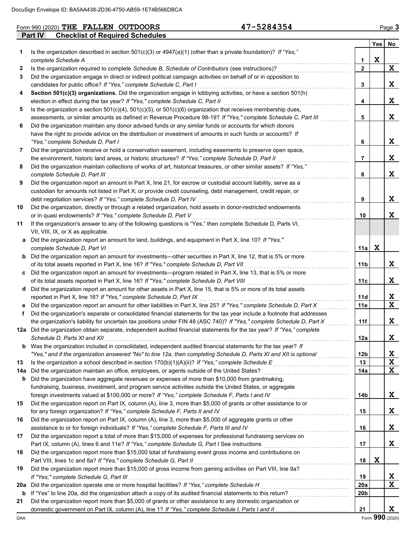|     | Form 990 (2020) THE FALLEN OUTDOORS                                                                                                                                                             | 47-5284354      |             | Page 3                     |
|-----|-------------------------------------------------------------------------------------------------------------------------------------------------------------------------------------------------|-----------------|-------------|----------------------------|
|     | <b>Checklist of Required Schedules</b><br><b>Part IV</b>                                                                                                                                        |                 |             |                            |
|     |                                                                                                                                                                                                 |                 | <b>Yes</b>  | No                         |
| 1   | Is the organization described in section $501(c)(3)$ or $4947(a)(1)$ (other than a private foundation)? If "Yes,"                                                                               |                 |             |                            |
|     | complete Schedule A                                                                                                                                                                             | 1               | $\mathbf x$ | X                          |
| 2   | Is the organization required to complete Schedule B, Schedule of Contributors (see instructions)?                                                                                               | $\mathbf{2}$    |             |                            |
| 3   | Did the organization engage in direct or indirect political campaign activities on behalf of or in opposition to<br>candidates for public office? If "Yes," complete Schedule C, Part I         | 3               |             | X                          |
| 4   | Section 501(c)(3) organizations. Did the organization engage in lobbying activities, or have a section 501(h)                                                                                   |                 |             |                            |
|     | election in effect during the tax year? If "Yes," complete Schedule C, Part II                                                                                                                  | 4               |             | X                          |
| 5   | Is the organization a section $501(c)(4)$ , $501(c)(5)$ , or $501(c)(6)$ organization that receives membership dues,                                                                            |                 |             |                            |
|     | assessments, or similar amounts as defined in Revenue Procedure 98-19? If "Yes," complete Schedule C, Part III                                                                                  | 5               |             | X                          |
| 6   | Did the organization maintain any donor advised funds or any similar funds or accounts for which donors                                                                                         |                 |             |                            |
|     | have the right to provide advice on the distribution or investment of amounts in such funds or accounts? If                                                                                     |                 |             |                            |
|     | "Yes," complete Schedule D, Part I                                                                                                                                                              | 6               |             | X                          |
| 7   | Did the organization receive or hold a conservation easement, including easements to preserve open space,                                                                                       |                 |             |                            |
|     | the environment, historic land areas, or historic structures? If "Yes," complete Schedule D, Part II                                                                                            | 7               |             | X                          |
| 8   | Did the organization maintain collections of works of art, historical treasures, or other similar assets? If "Yes,"                                                                             |                 |             |                            |
|     | complete Schedule D, Part III                                                                                                                                                                   | 8               |             | X                          |
| 9   | Did the organization report an amount in Part X, line 21, for escrow or custodial account liability, serve as a                                                                                 |                 |             |                            |
|     | custodian for amounts not listed in Part X; or provide credit counseling, debt management, credit repair, or                                                                                    |                 |             |                            |
|     | debt negotiation services? If "Yes," complete Schedule D, Part IV                                                                                                                               | 9               |             | X                          |
| 10  | Did the organization, directly or through a related organization, hold assets in donor-restricted endowments                                                                                    |                 |             | X                          |
|     | or in quasi endowments? If "Yes," complete Schedule D, Part V<br>If the organization's answer to any of the following questions is "Yes," then complete Schedule D, Parts VI,                   | 10              |             |                            |
| 11  | VII, VIII, IX, or X as applicable.                                                                                                                                                              |                 |             |                            |
| a   | Did the organization report an amount for land, buildings, and equipment in Part X, line 10? If "Yes,"                                                                                          |                 |             |                            |
|     | complete Schedule D, Part VI                                                                                                                                                                    | 11a             | X           |                            |
| b   | Did the organization report an amount for investments—other securities in Part X, line 12, that is 5% or more                                                                                   |                 |             |                            |
|     | of its total assets reported in Part X, line 16? If "Yes," complete Schedule D, Part VII                                                                                                        | 11b             |             | X                          |
| c   | Did the organization report an amount for investments—program related in Part X, line 13, that is 5% or more                                                                                    |                 |             |                            |
|     | of its total assets reported in Part X, line 16? If "Yes," complete Schedule D, Part VIII                                                                                                       | 11c             |             | X                          |
|     | d Did the organization report an amount for other assets in Part X, line 15, that is 5% or more of its total assets                                                                             |                 |             |                            |
|     | reported in Part X, line 16? If "Yes," complete Schedule D, Part IX                                                                                                                             | 11d             |             | X                          |
| е   | Did the organization report an amount for other liabilities in Part X, line 25? If "Yes," complete Schedule D, Part X                                                                           | 11e             |             | $\mathbf x$                |
|     | Did the organization's separate or consolidated financial statements for the tax year include a footnote that addresses                                                                         |                 |             |                            |
|     | the organization's liability for uncertain tax positions under FIN 48 (ASC 740)? If "Yes," complete Schedule D, Part X                                                                          | 11f             |             | X                          |
|     | 12a Did the organization obtain separate, independent audited financial statements for the tax year? If "Yes," complete                                                                         |                 |             |                            |
|     | Schedule D, Parts XI and XII                                                                                                                                                                    | 12a             |             | X                          |
|     | <b>b</b> Was the organization included in consolidated, independent audited financial statements for the tax year? If                                                                           |                 |             |                            |
|     | "Yes," and if the organization answered "No" to line 12a, then completing Schedule D, Parts XI and XII is optional                                                                              | 12 <sub>b</sub> |             | X                          |
| 13  | Is the organization a school described in section $170(b)(1)(A)(ii)?$ If "Yes," complete Schedule E                                                                                             | 13<br>14a       |             | $\mathbf X$<br>$\mathbf X$ |
| 14a | Did the organization maintain an office, employees, or agents outside of the United States?<br>Did the organization have aggregate revenues or expenses of more than \$10,000 from grantmaking, |                 |             |                            |
| b   | fundraising, business, investment, and program service activities outside the United States, or aggregate                                                                                       |                 |             |                            |
|     | foreign investments valued at \$100,000 or more? If "Yes," complete Schedule F, Parts I and IV                                                                                                  | 14b             |             | X                          |
| 15  | Did the organization report on Part IX, column (A), line 3, more than \$5,000 of grants or other assistance to or                                                                               |                 |             |                            |
|     | for any foreign organization? If "Yes," complete Schedule F, Parts II and IV                                                                                                                    | 15              |             | X                          |
| 16  | Did the organization report on Part IX, column (A), line 3, more than \$5,000 of aggregate grants or other                                                                                      |                 |             |                            |
|     | assistance to or for foreign individuals? If "Yes," complete Schedule F, Parts III and IV                                                                                                       | 16              |             | X                          |
| 17  | Did the organization report a total of more than \$15,000 of expenses for professional fundraising services on                                                                                  |                 |             |                            |
|     | Part IX, column (A), lines 6 and 11e? If "Yes," complete Schedule G, Part I See instructions                                                                                                    | 17              |             | X                          |
| 18  | Did the organization report more than \$15,000 total of fundraising event gross income and contributions on                                                                                     |                 |             |                            |
|     | Part VIII, lines 1c and 8a? If "Yes," complete Schedule G, Part II                                                                                                                              | 18              | X           |                            |
| 19  | Did the organization report more than \$15,000 of gross income from gaming activities on Part VIII, line 9a?                                                                                    |                 |             |                            |
|     |                                                                                                                                                                                                 | 19              |             | X                          |
| 20a | Did the organization operate one or more hospital facilities? If "Yes," complete Schedule H                                                                                                     | 20a             |             | $\mathbf X$                |
| b   | If "Yes" to line 20a, did the organization attach a copy of its audited financial statements to this return?                                                                                    | 20b             |             |                            |
| 21  | Did the organization report more than \$5,000 of grants or other assistance to any domestic organization or                                                                                     |                 |             |                            |
|     |                                                                                                                                                                                                 | 21              |             | X                          |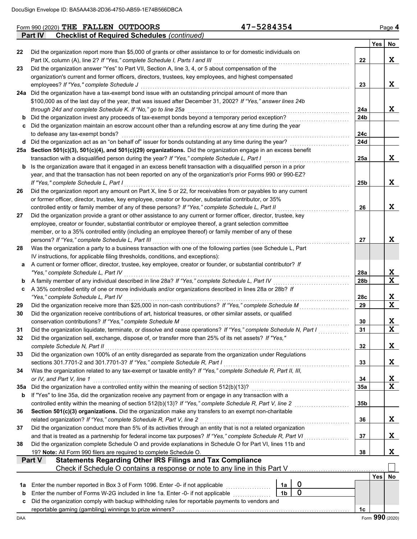|        | Form 990 (2020) THE FALLEN OUTDOORS                                                                                                                 | 47-5284354     |                  |                 |            | Page 4                  |
|--------|-----------------------------------------------------------------------------------------------------------------------------------------------------|----------------|------------------|-----------------|------------|-------------------------|
|        | <b>Checklist of Required Schedules (continued)</b><br><b>Part IV</b>                                                                                |                |                  |                 |            |                         |
|        |                                                                                                                                                     |                |                  |                 | <b>Yes</b> | No                      |
| 22     | Did the organization report more than \$5,000 of grants or other assistance to or for domestic individuals on                                       |                |                  |                 |            |                         |
|        | Part IX, column (A), line 2? If "Yes," complete Schedule I, Parts I and III                                                                         |                |                  | 22              |            | X                       |
| 23     | Did the organization answer "Yes" to Part VII, Section A, line 3, 4, or 5 about compensation of the                                                 |                |                  |                 |            |                         |
|        | organization's current and former officers, directors, trustees, key employees, and highest compensated                                             |                |                  | 23              |            | X                       |
|        | employees? If "Yes," complete Schedule J<br>24a Did the organization have a tax-exempt bond issue with an outstanding principal amount of more than |                |                  |                 |            |                         |
|        | \$100,000 as of the last day of the year, that was issued after December 31, 2002? If "Yes," answer lines 24b                                       |                |                  |                 |            |                         |
|        | through 24d and complete Schedule K. If "No," go to line 25a                                                                                        |                |                  | 24a             |            | X                       |
| b      | Did the organization invest any proceeds of tax-exempt bonds beyond a temporary period exception?                                                   |                |                  | 24b             |            |                         |
| c      | Did the organization maintain an escrow account other than a refunding escrow at any time during the year                                           |                |                  |                 |            |                         |
|        | to defease any tax-exempt bonds?                                                                                                                    |                |                  | 24c             |            |                         |
|        | d Did the organization act as an "on behalf of" issuer for bonds outstanding at any time during the year?                                           |                |                  | 24d             |            |                         |
|        | 25a Section 501(c)(3), 501(c)(4), and 501(c)(29) organizations. Did the organization engage in an excess benefit                                    |                |                  |                 |            |                         |
|        | transaction with a disqualified person during the year? If "Yes," complete Schedule L, Part I                                                       |                |                  | 25a             |            | X                       |
| b      | Is the organization aware that it engaged in an excess benefit transaction with a disqualified person in a prior                                    |                |                  |                 |            |                         |
|        | year, and that the transaction has not been reported on any of the organization's prior Forms 990 or 990-EZ?                                        |                |                  |                 |            |                         |
|        | If "Yes," complete Schedule L, Part I                                                                                                               |                |                  | 25 <sub>b</sub> |            | X                       |
| 26     | Did the organization report any amount on Part X, line 5 or 22, for receivables from or payables to any current                                     |                |                  |                 |            |                         |
|        | or former officer, director, trustee, key employee, creator or founder, substantial contributor, or 35%                                             |                |                  |                 |            |                         |
|        | controlled entity or family member of any of these persons? If "Yes," complete Schedule L, Part II                                                  |                |                  | 26              |            | X                       |
| 27     | Did the organization provide a grant or other assistance to any current or former officer, director, trustee, key                                   |                |                  |                 |            |                         |
|        | employee, creator or founder, substantial contributor or employee thereof, a grant selection committee                                              |                |                  |                 |            |                         |
|        | member, or to a 35% controlled entity (including an employee thereof) or family member of any of these                                              |                |                  |                 |            |                         |
|        | persons? If "Yes," complete Schedule L, Part III                                                                                                    |                |                  | 27              |            | X                       |
| 28     | Was the organization a party to a business transaction with one of the following parties (see Schedule L, Part                                      |                |                  |                 |            |                         |
|        | IV instructions, for applicable filing thresholds, conditions, and exceptions):                                                                     |                |                  |                 |            |                         |
| а      | A current or former officer, director, trustee, key employee, creator or founder, or substantial contributor? If                                    |                |                  |                 |            |                         |
|        | "Yes," complete Schedule L, Part IV<br>A family member of any individual described in line 28a? If "Yes," complete Schedule L, Part IV              |                |                  | 28a<br>28b      |            | X<br>$\mathbf x$        |
| b<br>c | A 35% controlled entity of one or more individuals and/or organizations described in lines 28a or 28b? If                                           |                |                  |                 |            |                         |
|        | "Yes," complete Schedule L, Part IV                                                                                                                 |                |                  | 28c             |            | X                       |
| 29     | Did the organization receive more than \$25,000 in non-cash contributions? If "Yes," complete Schedule M                                            |                |                  | 29              |            | $\mathbf x$             |
| 30     | Did the organization receive contributions of art, historical treasures, or other similar assets, or qualified                                      |                |                  |                 |            |                         |
|        | conservation contributions? If "Yes," complete Schedule M                                                                                           |                |                  | 30              |            | X                       |
| 31     | Did the organization liquidate, terminate, or dissolve and cease operations? If "Yes," complete Schedule N, Part I                                  |                |                  | 31              |            | $\overline{\mathbf{x}}$ |
| 32     | Did the organization sell, exchange, dispose of, or transfer more than 25% of its net assets? If "Yes,"                                             |                |                  |                 |            |                         |
|        | complete Schedule N, Part II                                                                                                                        |                |                  | 32              |            | X                       |
| 33     | Did the organization own 100% of an entity disregarded as separate from the organization under Regulations                                          |                |                  |                 |            |                         |
|        | sections 301.7701-2 and 301.7701-3? If "Yes," complete Schedule R, Part I                                                                           |                |                  | 33              |            | X                       |
| 34     | Was the organization related to any tax-exempt or taxable entity? If "Yes," complete Schedule R, Part II, III,                                      |                |                  |                 |            |                         |
|        | or IV, and Part V, line 1                                                                                                                           |                |                  | 34              |            | X                       |
| 35а    | Did the organization have a controlled entity within the meaning of section 512(b)(13)?                                                             |                |                  | 35a             |            | $\mathbf x$             |
| b      | If "Yes" to line 35a, did the organization receive any payment from or engage in any transaction with a                                             |                |                  |                 |            |                         |
|        | controlled entity within the meaning of section 512(b)(13)? If "Yes," complete Schedule R, Part V, line 2                                           |                |                  | 35b             |            |                         |
| 36     | Section 501(c)(3) organizations. Did the organization make any transfers to an exempt non-charitable                                                |                |                  |                 |            |                         |
|        | related organization? If "Yes," complete Schedule R, Part V, line 2                                                                                 |                |                  | 36              |            | X                       |
| 37     | Did the organization conduct more than 5% of its activities through an entity that is not a related organization                                    |                |                  |                 |            |                         |
|        | and that is treated as a partnership for federal income tax purposes? If "Yes," complete Schedule R, Part VI                                        |                |                  | 37              |            | X                       |
| 38     | Did the organization complete Schedule O and provide explanations in Schedule O for Part VI, lines 11b and                                          |                |                  |                 |            |                         |
|        | 19? Note: All Form 990 filers are required to complete Schedule O.<br><b>Statements Regarding Other IRS Filings and Tax Compliance</b><br>Part V    |                |                  | 38              |            | X                       |
|        | Check if Schedule O contains a response or note to any line in this Part V                                                                          |                |                  |                 |            |                         |
|        |                                                                                                                                                     |                |                  |                 | <b>Yes</b> | No                      |
| 1a     | Enter the number reported in Box 3 of Form 1096. Enter -0- if not applicable                                                                        | 1a             | $\boldsymbol{0}$ |                 |            |                         |
| b      | Enter the number of Forms W-2G included in line 1a. Enter -0- if not applicable                                                                     | 1 <sub>b</sub> | $\mathbf 0$      |                 |            |                         |
| c      | Did the organization comply with backup withholding rules for reportable payments to vendors and                                                    |                |                  |                 |            |                         |
|        |                                                                                                                                                     |                |                  | 1c              |            |                         |
| DAA    |                                                                                                                                                     |                |                  |                 |            | Form 990 (2020)         |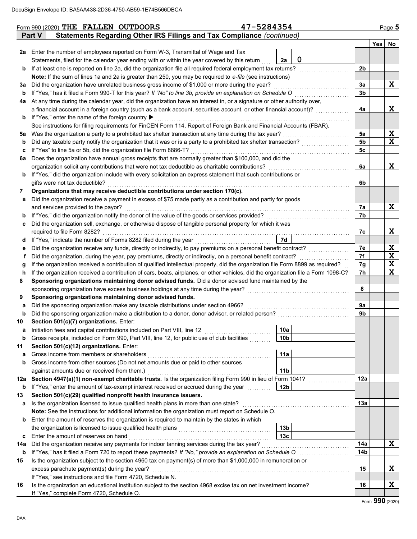|     | Form 990 (2020) THE FALLEN OUTDOORS                                                                                                                                         | 47-5284354 |                 |             |          | Page 5      |
|-----|-----------------------------------------------------------------------------------------------------------------------------------------------------------------------------|------------|-----------------|-------------|----------|-------------|
|     | <b>Statements Regarding Other IRS Filings and Tax Compliance (continued)</b><br><b>Part V</b>                                                                               |            |                 |             |          |             |
|     |                                                                                                                                                                             |            |                 |             |          | Yes No      |
|     | 2a Enter the number of employees reported on Form W-3, Transmittal of Wage and Tax                                                                                          |            |                 |             |          |             |
|     | Statements, filed for the calendar year ending with or within the year covered by this return                                                                               |            | 2a              | $\mathbf 0$ |          |             |
| b   | If at least one is reported on line 2a, did the organization file all required federal employment tax returns?                                                              |            |                 |             | 2b       |             |
|     | Note: If the sum of lines 1a and 2a is greater than 250, you may be required to e-file (see instructions)                                                                   |            |                 |             |          |             |
| За  | Did the organization have unrelated business gross income of \$1,000 or more during the year?                                                                               |            |                 |             | 3a       | X           |
| b   | If "Yes," has it filed a Form 990-T for this year? If "No" to line 3b, provide an explanation on Schedule O                                                                 |            |                 |             | 3b       |             |
| 4a  | At any time during the calendar year, did the organization have an interest in, or a signature or other authority over,                                                     |            |                 |             |          |             |
|     | a financial account in a foreign country (such as a bank account, securities account, or other financial account)?                                                          |            |                 |             | 4a       | X           |
| b   | If "Yes," enter the name of the foreign country ▶                                                                                                                           |            |                 |             |          |             |
|     | See instructions for filing requirements for FinCEN Form 114, Report of Foreign Bank and Financial Accounts (FBAR).                                                         |            |                 |             |          |             |
| 5a  | Was the organization a party to a prohibited tax shelter transaction at any time during the tax year?                                                                       |            |                 |             | 5a<br>5b | X<br>X      |
| b   | Did any taxable party notify the organization that it was or is a party to a prohibited tax shelter transaction?                                                            |            |                 |             | 5c       |             |
| c   | If "Yes" to line 5a or 5b, did the organization file Form 8886-T?<br>Does the organization have annual gross receipts that are normally greater than \$100,000, and did the |            |                 |             |          |             |
| 6a  | organization solicit any contributions that were not tax deductible as charitable contributions?                                                                            |            |                 |             | 6a       | X           |
| b   | If "Yes," did the organization include with every solicitation an express statement that such contributions or                                                              |            |                 |             |          |             |
|     | gifts were not tax deductible?                                                                                                                                              |            |                 |             | 6b       |             |
| 7   | Organizations that may receive deductible contributions under section 170(c).                                                                                               |            |                 |             |          |             |
| a   | Did the organization receive a payment in excess of \$75 made partly as a contribution and partly for goods                                                                 |            |                 |             |          |             |
|     | and services provided to the payor?                                                                                                                                         |            |                 |             | 7а       | X           |
| b   | If "Yes," did the organization notify the donor of the value of the goods or services provided?                                                                             |            |                 |             | 7b       |             |
| c   | Did the organization sell, exchange, or otherwise dispose of tangible personal property for which it was                                                                    |            |                 |             |          |             |
|     | required to file Form 8282?                                                                                                                                                 |            |                 |             | 7c       | X           |
| d   | If "Yes," indicate the number of Forms 8282 filed during the year                                                                                                           |            | 7d              |             |          |             |
| е   | Did the organization receive any funds, directly or indirectly, to pay premiums on a personal benefit contract?                                                             |            |                 |             | 7е       | X           |
| f   | Did the organization, during the year, pay premiums, directly or indirectly, on a personal benefit contract?                                                                |            |                 |             | 7f       | $\mathbf X$ |
| g   | If the organization received a contribution of qualified intellectual property, did the organization file Form 8899 as required?                                            |            |                 |             | 7g       | $\mathbf x$ |
| h   | If the organization received a contribution of cars, boats, airplanes, or other vehicles, did the organization file a Form 1098-C?                                          |            |                 |             | 7h       | $\mathbf x$ |
| 8   | Sponsoring organizations maintaining donor advised funds. Did a donor advised fund maintained by the                                                                        |            |                 |             |          |             |
|     | sponsoring organization have excess business holdings at any time during the year?                                                                                          |            |                 |             | 8        |             |
| 9   | Sponsoring organizations maintaining donor advised funds.                                                                                                                   |            |                 |             |          |             |
| a   | Did the sponsoring organization make any taxable distributions under section 4966?                                                                                          |            |                 |             | 9a       |             |
| b   | Did the sponsoring organization make a distribution to a donor, donor advisor, or related person?                                                                           |            |                 |             | 9b       |             |
| 10  | Section 501(c)(7) organizations. Enter:                                                                                                                                     |            |                 |             |          |             |
|     | Initiation fees and capital contributions included on Part VIII, line 12                                                                                                    |            | 10a             |             |          |             |
| b   | Gross receipts, included on Form 990, Part VIII, line 12, for public use of club facilities                                                                                 |            | 10 <sub>b</sub> |             |          |             |
| 11  | Section 501(c)(12) organizations. Enter:                                                                                                                                    |            |                 |             |          |             |
| а   | Gross income from members or shareholders                                                                                                                                   |            | 11a             |             |          |             |
| b   | Gross income from other sources (Do not net amounts due or paid to other sources                                                                                            |            |                 |             |          |             |
|     | against amounts due or received from them.)                                                                                                                                 |            | 11 <sub>b</sub> |             |          |             |
| 12a | Section 4947(a)(1) non-exempt charitable trusts. Is the organization filing Form 990 in lieu of Form 1041?                                                                  |            |                 |             | 12a      |             |
| b   | If "Yes," enter the amount of tax-exempt interest received or accrued during the year manuscription                                                                         |            | 12b             |             |          |             |
| 13  | Section 501(c)(29) qualified nonprofit health insurance issuers.                                                                                                            |            |                 |             |          |             |
| а   | Is the organization licensed to issue qualified health plans in more than one state?                                                                                        |            |                 |             | 13a      |             |
|     | Note: See the instructions for additional information the organization must report on Schedule O.                                                                           |            |                 |             |          |             |
| b   | Enter the amount of reserves the organization is required to maintain by the states in which                                                                                |            |                 |             |          |             |
|     | the organization is licensed to issue qualified health plans                                                                                                                |            | 13 <sub>b</sub> |             |          |             |
| c   | Enter the amount of reserves on hand                                                                                                                                        |            | 13 <sub>c</sub> |             |          |             |
| 14a | Did the organization receive any payments for indoor tanning services during the tax year?                                                                                  |            |                 |             | 14a      | X           |
| b   | If "Yes," has it filed a Form 720 to report these payments? If "No," provide an explanation on Schedule O                                                                   |            |                 |             | 14b      |             |
| 15  | Is the organization subject to the section 4960 tax on payment(s) of more than \$1,000,000 in remuneration or                                                               |            |                 |             |          |             |
|     | excess parachute payment(s) during the year?                                                                                                                                |            |                 |             | 15       | X           |
|     | If "Yes," see instructions and file Form 4720, Schedule N.                                                                                                                  |            |                 |             |          |             |
| 16  | Is the organization an educational institution subject to the section 4968 excise tax on net investment income?                                                             |            |                 |             | 16       | X           |
|     | If "Yes," complete Form 4720, Schedule O.                                                                                                                                   |            |                 |             |          |             |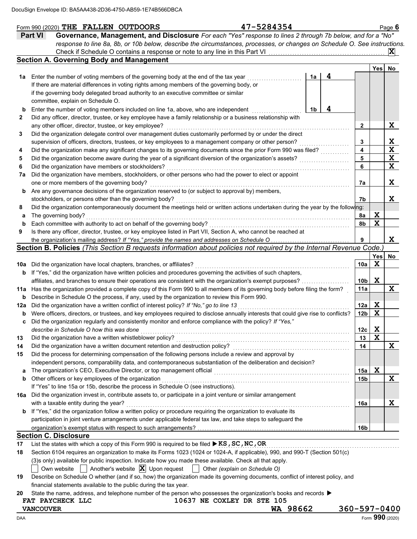|     | 47-5284354<br>Form 990 (2020) THE FALLEN OUTDOORS                                                                                                                                        |    |   |                 |             | Page 6      |
|-----|------------------------------------------------------------------------------------------------------------------------------------------------------------------------------------------|----|---|-----------------|-------------|-------------|
|     | Governance, Management, and Disclosure For each "Yes" response to lines 2 through 7b below, and for a "No"<br><b>Part VI</b>                                                             |    |   |                 |             |             |
|     | response to line 8a, 8b, or 10b below, describe the circumstances, processes, or changes on Schedule O. See instructions.                                                                |    |   |                 |             |             |
|     |                                                                                                                                                                                          |    |   |                 |             | X.          |
|     | <b>Section A. Governing Body and Management</b>                                                                                                                                          |    |   |                 |             |             |
|     |                                                                                                                                                                                          |    |   |                 | Yesl        | No          |
| 1а  | Enter the number of voting members of the governing body at the end of the tax year                                                                                                      | 1a | 4 |                 |             |             |
|     | If there are material differences in voting rights among members of the governing body, or                                                                                               |    |   |                 |             |             |
|     | if the governing body delegated broad authority to an executive committee or similar                                                                                                     |    |   |                 |             |             |
|     | committee, explain on Schedule O.                                                                                                                                                        |    |   |                 |             |             |
| b   | Enter the number of voting members included on line 1a, above, who are independent                                                                                                       | 1b | 4 |                 |             |             |
| 2   | Did any officer, director, trustee, or key employee have a family relationship or a business relationship with                                                                           |    |   |                 |             |             |
|     | any other officer, director, trustee, or key employee?                                                                                                                                   |    |   | $\mathbf{2}$    |             | X           |
| 3   | Did the organization delegate control over management duties customarily performed by or under the direct                                                                                |    |   |                 |             |             |
|     | supervision of officers, directors, trustees, or key employees to a management company or other person?                                                                                  |    |   | 3               |             | X           |
| 4   | Did the organization make any significant changes to its governing documents since the prior Form 990 was filed?                                                                         |    |   | 4               |             | X           |
| 5   | Did the organization become aware during the year of a significant diversion of the organization's assets?                                                                               |    |   | 5               |             | X           |
|     | Did the organization have members or stockholders?                                                                                                                                       |    |   | 6               |             | $\mathbf x$ |
| 6   |                                                                                                                                                                                          |    |   |                 |             |             |
| 7a  | Did the organization have members, stockholders, or other persons who had the power to elect or appoint                                                                                  |    |   |                 |             |             |
|     | one or more members of the governing body?                                                                                                                                               |    |   | 7а              |             | X           |
| b   | Are any governance decisions of the organization reserved to (or subject to approval by) members,                                                                                        |    |   |                 |             |             |
|     | stockholders, or persons other than the governing body?                                                                                                                                  |    |   | 7b              |             | X           |
| 8   | Did the organization contemporaneously document the meetings held or written actions undertaken during the year by the following:                                                        |    |   |                 |             |             |
| а   | The governing body?                                                                                                                                                                      |    |   | 8a              | X           |             |
| b   | Each committee with authority to act on behalf of the governing body?                                                                                                                    |    |   | 8b              | $\mathbf x$ |             |
| 9   | Is there any officer, director, trustee, or key employee listed in Part VII, Section A, who cannot be reached at                                                                         |    |   |                 |             |             |
|     | the organization's mailing address? If "Yes," provide the names and addresses on Schedule O                                                                                              |    |   |                 |             | X           |
|     | Section B. Policies (This Section B requests information about policies not required by the Internal Revenue Code.)                                                                      |    |   |                 |             |             |
|     |                                                                                                                                                                                          |    |   |                 | <b>Yes</b>  | No          |
| 10a | Did the organization have local chapters, branches, or affiliates?                                                                                                                       |    |   | 10a             | X           |             |
| b   | If "Yes," did the organization have written policies and procedures governing the activities of such chapters,                                                                           |    |   |                 |             |             |
|     | affiliates, and branches to ensure their operations are consistent with the organization's exempt purposes?                                                                              |    |   | 10 <sub>b</sub> | X           |             |
| 11a | Has the organization provided a complete copy of this Form 990 to all members of its governing body before filing the form?                                                              |    |   | 11a             |             | X           |
| b   | Describe in Schedule O the process, if any, used by the organization to review this Form 990.                                                                                            |    |   |                 |             |             |
| 12a | Did the organization have a written conflict of interest policy? If "No," go to line 13                                                                                                  |    |   | 12a             | X           |             |
| b   | Were officers, directors, or trustees, and key employees required to disclose annually interests that could give rise to conflicts?                                                      |    |   | 12 <sub>b</sub> | X           |             |
| с   | Did the organization regularly and consistently monitor and enforce compliance with the policy? If "Yes,"                                                                                |    |   |                 |             |             |
|     | describe in Schedule O how this was done                                                                                                                                                 |    |   | 12c             | X           |             |
| 13  | Did the organization have a written whistleblower policy?                                                                                                                                |    |   | 13              | X           |             |
| 14  | Did the organization have a written document retention and destruction policy?                                                                                                           |    |   | 14              |             | X           |
| 15  | Did the process for determining compensation of the following persons include a review and approval by                                                                                   |    |   |                 |             |             |
|     | independent persons, comparability data, and contemporaneous substantiation of the deliberation and decision?                                                                            |    |   |                 |             |             |
| a   | The organization's CEO, Executive Director, or top management official<br>and a series of the contract of the contract of the contract of the contract of the contract of the contract o |    |   | 15a             | X           |             |
| b   | Other officers or key employees of the organization                                                                                                                                      |    |   | 15b             |             | X           |
|     | If "Yes" to line 15a or 15b, describe the process in Schedule O (see instructions).                                                                                                      |    |   |                 |             |             |
| 16а | Did the organization invest in, contribute assets to, or participate in a joint venture or similar arrangement                                                                           |    |   |                 |             |             |
|     | with a taxable entity during the year?                                                                                                                                                   |    |   | 16a             |             | X           |
| b   | If "Yes," did the organization follow a written policy or procedure requiring the organization to evaluate its                                                                           |    |   |                 |             |             |
|     | participation in joint venture arrangements under applicable federal tax law, and take steps to safeguard the                                                                            |    |   |                 |             |             |
|     |                                                                                                                                                                                          |    |   | 16b             |             |             |
|     | <b>Section C. Disclosure</b>                                                                                                                                                             |    |   |                 |             |             |
|     | List the states with which a copy of this Form 990 is required to be filed $\triangleright$ KS, SC, NC, OR                                                                               |    |   |                 |             |             |
| 17  |                                                                                                                                                                                          |    |   |                 |             |             |
| 18  | Section 6104 requires an organization to make its Forms 1023 (1024 or 1024-A, if applicable), 990, and 990-T (Section 501(c)                                                             |    |   |                 |             |             |
|     | (3)s only) available for public inspection. Indicate how you made these available. Check all that apply.                                                                                 |    |   |                 |             |             |
|     | Own website $\ \cdot\ $ Another's website $ \mathbf{X} $ Upon request<br>Other (explain on Schedule O)                                                                                   |    |   |                 |             |             |
| 19  | Describe on Schedule O whether (and if so, how) the organization made its governing documents, conflict of interest policy, and                                                          |    |   |                 |             |             |
|     | financial statements available to the public during the tax year.                                                                                                                        |    |   |                 |             |             |
| 20  | State the name, address, and telephone number of the person who possesses the organization's books and records $\blacktriangleright$                                                     |    |   |                 |             |             |
|     | 10637 NE COXLEY DR STE 105<br>FAT PAYCHECK LLC                                                                                                                                           |    |   |                 |             |             |

**VANCOUVER WA 98662 360-597-0400**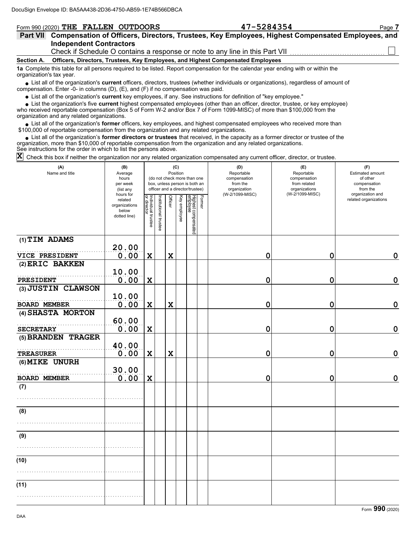### **Form 990 (2020) THE FALLEN OUTDOORS**  $\begin{array}{ccc} 47 - 5284354 \end{array}$  Page 7

| Part VII Compensation of Officers, Directors, Trustees, Key Employees, Highest Compensated Employees, and |  |
|-----------------------------------------------------------------------------------------------------------|--|
| <b>Independent Contractors</b>                                                                            |  |
| Check if Schedule O contains a response or note to any line in this Part VII                              |  |

**Section A. Officers, Directors, Trustees, Key Employees, and Highest Compensated Employees**

**1a** Complete this table for all persons required to be listed. Report compensation for the calendar year ending with or within the organization's tax year.

■ List all of the organization's **current** officers, directors, trustees (whether individuals or organizations), regardless of amount of compensation. Enter -0- in columns (D), (E), and (F) if no compensation was paid.

List all of the organization's **current** key employees, if any. See instructions for definition of "key employee."

■ List all of the organization's **current** key employees, if any. See instructions for definition of "key employee."<br>■ List the organization's five **current** highest compensated employees (other than an officer, director,

who received reportable compensation (Box 5 of Form W-2 and/or Box 7 of Form 1099-MISC) of more than \$100,000 from the organization and any related organizations.

• List all of the organization's **former** officers, key employees, and highest compensated employees who received more than<br>00,000 of reportable compensation from the organization and any related erganizations. \$100,000 of reportable compensation from the organization and any related organizations.

• List all of the organization's **former directors or trustees** that received, in the capacity as a former director or trustee of the anization more than \$10,000 of reportable compensation from the organization and any rel organization, more than \$10,000 of reportable compensation from the organization and any related organizations. See instructions for the order in which to list the persons above.

 $\bar{\bm{\mathsf{X}}}$  Check this box if neither the organization nor any related organization compensated any current officer, director, or trustee.

| (A)<br>Name and title | (B)<br>Average<br>hours<br>per week<br>(list any               | (C)<br>Position<br>(do not check more than one<br>box, unless person is both an<br>officer and a director/trustee) |                       |             |              |                                 |        | (D)<br>Reportable<br>compensation<br>from the<br>organization<br>(W-2/1099-MISC) | (E)<br>Reportable<br>compensation<br>from related<br>organizations<br>(W-2/1099-MISC) | (F)<br>Estimated amount<br>of other<br>compensation<br>from the<br>organization and |
|-----------------------|----------------------------------------------------------------|--------------------------------------------------------------------------------------------------------------------|-----------------------|-------------|--------------|---------------------------------|--------|----------------------------------------------------------------------------------|---------------------------------------------------------------------------------------|-------------------------------------------------------------------------------------|
|                       | hours for<br>related<br>organizations<br>below<br>dotted line) | Individual trustee<br>or director                                                                                  | Institutional trustee | Officer     | Key employee | Highest compensated<br>employee | Former |                                                                                  |                                                                                       | related organizations                                                               |
| $(1)$ TIM ADAMS       | 20.00                                                          |                                                                                                                    |                       |             |              |                                 |        |                                                                                  |                                                                                       |                                                                                     |
| VICE PRESIDENT        | 0.00                                                           | $\mathbf x$                                                                                                        |                       | $\mathbf x$ |              |                                 |        | 0                                                                                | $\mathbf 0$                                                                           | $\mathbf 0$                                                                         |
| (2) ERIC BAKKEN       |                                                                |                                                                                                                    |                       |             |              |                                 |        |                                                                                  |                                                                                       |                                                                                     |
| PRESIDENT             | 10.00<br>0.00                                                  | $\mathbf x$                                                                                                        |                       |             |              |                                 |        | 0                                                                                | 0                                                                                     | $\mathbf 0$                                                                         |
| (3) JUSTIN CLAWSON    |                                                                |                                                                                                                    |                       |             |              |                                 |        |                                                                                  |                                                                                       |                                                                                     |
| <b>BOARD MEMBER</b>   | 10.00<br>0.00                                                  | X                                                                                                                  |                       | $\mathbf x$ |              |                                 |        | 0                                                                                | 0                                                                                     | $\mathbf 0$                                                                         |
| (4) SHASTA MORTON     |                                                                |                                                                                                                    |                       |             |              |                                 |        |                                                                                  |                                                                                       |                                                                                     |
| <b>SECRETARY</b>      | 60.00<br>0.00                                                  | $\mathbf x$                                                                                                        |                       |             |              |                                 |        | 0                                                                                | $\mathbf 0$                                                                           | $\mathbf 0$                                                                         |
| (5) BRANDEN TRAGER    |                                                                |                                                                                                                    |                       |             |              |                                 |        |                                                                                  |                                                                                       |                                                                                     |
| <b>TREASURER</b>      | 40.00<br>0.00                                                  | $\mathbf x$                                                                                                        |                       | $\mathbf x$ |              |                                 |        | 0                                                                                | 0                                                                                     | $\mathbf 0$                                                                         |
| (6) MIKE UNURH        |                                                                |                                                                                                                    |                       |             |              |                                 |        |                                                                                  |                                                                                       |                                                                                     |
| <b>BOARD MEMBER</b>   | 30.00<br>0.00                                                  | $\mathbf x$                                                                                                        |                       |             |              |                                 |        | 0                                                                                | 0                                                                                     | $\mathbf 0$                                                                         |
| (7)                   |                                                                |                                                                                                                    |                       |             |              |                                 |        |                                                                                  |                                                                                       |                                                                                     |
|                       |                                                                |                                                                                                                    |                       |             |              |                                 |        |                                                                                  |                                                                                       |                                                                                     |
| (8)                   |                                                                |                                                                                                                    |                       |             |              |                                 |        |                                                                                  |                                                                                       |                                                                                     |
|                       |                                                                |                                                                                                                    |                       |             |              |                                 |        |                                                                                  |                                                                                       |                                                                                     |
| (9)                   |                                                                |                                                                                                                    |                       |             |              |                                 |        |                                                                                  |                                                                                       |                                                                                     |
|                       |                                                                |                                                                                                                    |                       |             |              |                                 |        |                                                                                  |                                                                                       |                                                                                     |
| (10)                  |                                                                |                                                                                                                    |                       |             |              |                                 |        |                                                                                  |                                                                                       |                                                                                     |
|                       |                                                                |                                                                                                                    |                       |             |              |                                 |        |                                                                                  |                                                                                       |                                                                                     |
| (11)                  |                                                                |                                                                                                                    |                       |             |              |                                 |        |                                                                                  |                                                                                       |                                                                                     |
|                       |                                                                |                                                                                                                    |                       |             |              |                                 |        |                                                                                  |                                                                                       |                                                                                     |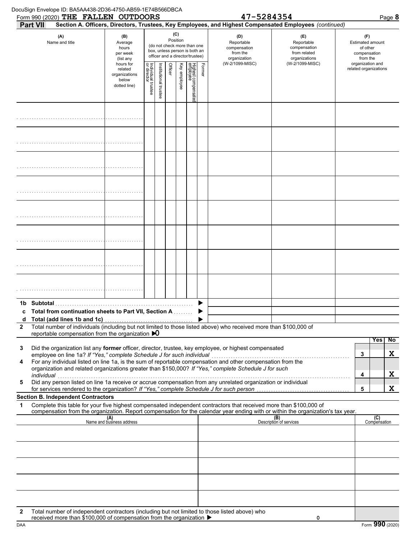## DocuSign Envelope ID: BA5AA438-2D36-4750-AB59-1E74B566DBCA

|              | Form 990 (2020) THE FALLEN OUTDOORS                                                                                                                                                   |                                                                                                                                                                        |                                   |                      |         |              |                                 |        | 47-5284354                                                                        | Page 8                                                                                                 |                                                                        |
|--------------|---------------------------------------------------------------------------------------------------------------------------------------------------------------------------------------|------------------------------------------------------------------------------------------------------------------------------------------------------------------------|-----------------------------------|----------------------|---------|--------------|---------------------------------|--------|-----------------------------------------------------------------------------------|--------------------------------------------------------------------------------------------------------|------------------------------------------------------------------------|
|              | Part VII                                                                                                                                                                              |                                                                                                                                                                        |                                   |                      |         |              |                                 |        |                                                                                   | Section A. Officers, Directors, Trustees, Key Employees, and Highest Compensated Employees (continued) |                                                                        |
|              | (A)<br>Name and title                                                                                                                                                                 | (C)<br>(B)<br>Position<br>Average<br>(do not check more than one<br>hours<br>box, unless person is both an<br>per week<br>officer and a director/trustee)<br>(list any |                                   |                      |         |              |                                 |        | (D)<br>Reportable<br>compensation<br>from the<br>organization                     | (E)<br>Reportable<br>compensation<br>from related<br>organizations                                     | (F)<br><b>Estimated amount</b><br>of other<br>compensation<br>from the |
|              |                                                                                                                                                                                       | hours for<br>related<br>organizations<br>below<br>dotted line)                                                                                                         | Individual trustee<br>or director | Institutional truste | Officer | Key employee | Highest compensatec<br>employee | Former | (W-2/1099-MISC)                                                                   | (W-2/1099-MISC)                                                                                        | organization and<br>related organizations                              |
|              |                                                                                                                                                                                       |                                                                                                                                                                        |                                   |                      |         |              |                                 |        |                                                                                   |                                                                                                        |                                                                        |
|              |                                                                                                                                                                                       |                                                                                                                                                                        |                                   |                      |         |              |                                 |        |                                                                                   |                                                                                                        |                                                                        |
|              |                                                                                                                                                                                       |                                                                                                                                                                        |                                   |                      |         |              |                                 |        |                                                                                   |                                                                                                        |                                                                        |
|              |                                                                                                                                                                                       |                                                                                                                                                                        |                                   |                      |         |              |                                 |        |                                                                                   |                                                                                                        |                                                                        |
|              |                                                                                                                                                                                       |                                                                                                                                                                        |                                   |                      |         |              |                                 |        |                                                                                   |                                                                                                        |                                                                        |
|              |                                                                                                                                                                                       |                                                                                                                                                                        |                                   |                      |         |              |                                 |        |                                                                                   |                                                                                                        |                                                                        |
|              |                                                                                                                                                                                       |                                                                                                                                                                        |                                   |                      |         |              |                                 |        |                                                                                   |                                                                                                        |                                                                        |
|              |                                                                                                                                                                                       |                                                                                                                                                                        |                                   |                      |         |              |                                 |        |                                                                                   |                                                                                                        |                                                                        |
|              |                                                                                                                                                                                       |                                                                                                                                                                        |                                   |                      |         |              |                                 |        |                                                                                   |                                                                                                        |                                                                        |
| c            | Total from continuation sheets to Part VII, Section A                                                                                                                                 |                                                                                                                                                                        |                                   |                      |         |              |                                 |        |                                                                                   |                                                                                                        |                                                                        |
| $\mathbf{2}$ | Total number of individuals (including but not limited to those listed above) who received more than \$100,000 of                                                                     |                                                                                                                                                                        |                                   |                      |         |              |                                 |        |                                                                                   |                                                                                                        |                                                                        |
|              | reportable compensation from the organization $\bigtriangledown$                                                                                                                      |                                                                                                                                                                        |                                   |                      |         |              |                                 |        |                                                                                   |                                                                                                        | Yes No                                                                 |
| 3            | Did the organization list any former officer, director, trustee, key employee, or highest compensated                                                                                 |                                                                                                                                                                        |                                   |                      |         |              |                                 |        |                                                                                   |                                                                                                        | X<br>3                                                                 |
| 4            | employee on line 1a? If "Yes," complete Schedule J for such individual<br>For any individual listed on line 1a, is the sum of reportable compensation and other compensation from the |                                                                                                                                                                        |                                   |                      |         |              |                                 |        |                                                                                   |                                                                                                        |                                                                        |
|              | organization and related organizations greater than \$150,000? If "Yes," complete Schedule J for such<br>individual                                                                   |                                                                                                                                                                        |                                   |                      |         |              |                                 |        |                                                                                   |                                                                                                        | X<br>4                                                                 |
| 5            | individual<br>Did any person listed on line 1a receive or accrue compensation from any unrelated organization or individual                                                           |                                                                                                                                                                        |                                   |                      |         |              |                                 |        |                                                                                   |                                                                                                        |                                                                        |
|              | for services rendered to the organization? If "Yes," complete Schedule J for such person                                                                                              |                                                                                                                                                                        |                                   |                      |         |              |                                 |        |                                                                                   |                                                                                                        | X<br>5                                                                 |
| 1            | <b>Section B. Independent Contractors</b><br>Complete this table for your five highest compensated independent contractors that received more than \$100,000 of                       |                                                                                                                                                                        |                                   |                      |         |              |                                 |        |                                                                                   |                                                                                                        |                                                                        |
|              | compensation from the organization. Report compensation for the calendar year ending with or within the organization's tax year.                                                      |                                                                                                                                                                        |                                   |                      |         |              |                                 |        |                                                                                   |                                                                                                        |                                                                        |
|              |                                                                                                                                                                                       | (A)<br>Name and business address                                                                                                                                       |                                   |                      |         |              |                                 |        |                                                                                   | (B)<br>Description of services                                                                         | (C)<br>Compensation                                                    |
|              |                                                                                                                                                                                       |                                                                                                                                                                        |                                   |                      |         |              |                                 |        |                                                                                   |                                                                                                        |                                                                        |
|              |                                                                                                                                                                                       |                                                                                                                                                                        |                                   |                      |         |              |                                 |        |                                                                                   |                                                                                                        |                                                                        |
|              |                                                                                                                                                                                       |                                                                                                                                                                        |                                   |                      |         |              |                                 |        |                                                                                   |                                                                                                        |                                                                        |
|              |                                                                                                                                                                                       |                                                                                                                                                                        |                                   |                      |         |              |                                 |        |                                                                                   |                                                                                                        |                                                                        |
|              |                                                                                                                                                                                       |                                                                                                                                                                        |                                   |                      |         |              |                                 |        |                                                                                   |                                                                                                        |                                                                        |
|              |                                                                                                                                                                                       |                                                                                                                                                                        |                                   |                      |         |              |                                 |        |                                                                                   |                                                                                                        |                                                                        |
|              |                                                                                                                                                                                       |                                                                                                                                                                        |                                   |                      |         |              |                                 |        |                                                                                   |                                                                                                        |                                                                        |
|              |                                                                                                                                                                                       |                                                                                                                                                                        |                                   |                      |         |              |                                 |        | of indones dent contractors (including but not limited to those listed obous) why |                                                                                                        |                                                                        |

**2** Total number of independent contractors (including but not limited to those listed above) who received more than \$100,000 of compensation from the organization

**0**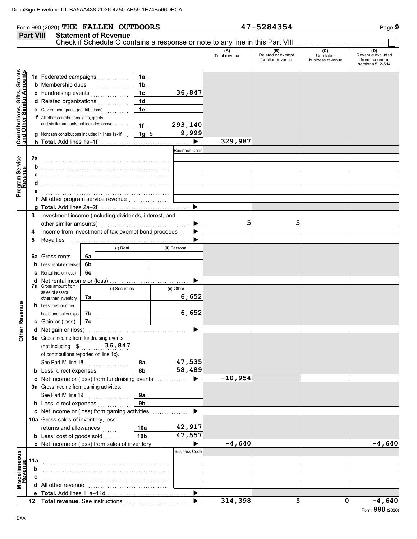|                                                                  |                  | Form 990 (2020) THE FALLEN OUTDOORS                   |    |                             |                        |                       |                      | 47-5284354                                   |                                      | Page 9                                                        |
|------------------------------------------------------------------|------------------|-------------------------------------------------------|----|-----------------------------|------------------------|-----------------------|----------------------|----------------------------------------------|--------------------------------------|---------------------------------------------------------------|
|                                                                  | <b>Part VIII</b> |                                                       |    | <b>Statement of Revenue</b> |                        |                       |                      |                                              |                                      |                                                               |
|                                                                  |                  |                                                       |    |                             |                        |                       |                      |                                              |                                      |                                                               |
|                                                                  |                  |                                                       |    |                             |                        |                       | (A)<br>Total revenue | (B)<br>Related or exempt<br>function revenue | (C)<br>Unrelated<br>business revenue | (D)<br>Revenue excluded<br>from tax under<br>sections 512-514 |
|                                                                  |                  |                                                       |    |                             | 1a                     |                       |                      |                                              |                                      |                                                               |
| <b>Contributions, Gifts, Grants</b><br>and Other Similar Amounts |                  | <b>b</b> Membership dues                              |    | .                           | 1 <sub>b</sub>         |                       |                      |                                              |                                      |                                                               |
|                                                                  |                  | c Fundraising events                                  |    | .                           | 1 <sub>c</sub>         | 36,847                |                      |                                              |                                      |                                                               |
|                                                                  |                  | d Related organizations                               |    | .                           | 1 <sub>d</sub>         |                       |                      |                                              |                                      |                                                               |
|                                                                  |                  | e Government grants (contributions) [1] Contributions |    |                             | 1e                     |                       |                      |                                              |                                      |                                                               |
|                                                                  |                  | f All other contributions, gifts, grants,             |    |                             |                        |                       |                      |                                              |                                      |                                                               |
|                                                                  |                  | and similar amounts not included above                |    |                             | 1f                     | 293,140               |                      |                                              |                                      |                                                               |
|                                                                  |                  | g Noncash contributions included in lines 1a-1f.      |    |                             | $1g$ \$                | 9,999                 |                      |                                              |                                      |                                                               |
|                                                                  |                  |                                                       |    |                             |                        | $\blacktriangleright$ | 329,987              |                                              |                                      |                                                               |
|                                                                  |                  |                                                       |    |                             |                        | <b>Business Code</b>  |                      |                                              |                                      |                                                               |
|                                                                  | 2a               |                                                       |    |                             |                        |                       |                      |                                              |                                      |                                                               |
| Program Service<br>Revenue                                       | b                |                                                       |    |                             |                        |                       |                      |                                              |                                      |                                                               |
|                                                                  | с                |                                                       |    |                             |                        |                       |                      |                                              |                                      |                                                               |
|                                                                  | d                |                                                       |    |                             |                        |                       |                      |                                              |                                      |                                                               |
|                                                                  |                  |                                                       |    |                             |                        |                       |                      |                                              |                                      |                                                               |
|                                                                  |                  |                                                       |    |                             |                        |                       |                      |                                              |                                      |                                                               |
|                                                                  | 3                | Investment income (including dividends, interest, and |    |                             |                        |                       |                      |                                              |                                      |                                                               |
|                                                                  |                  | other similar amounts)                                |    |                             |                        |                       | 5                    | 5                                            |                                      |                                                               |
|                                                                  | 4                | Income from investment of tax-exempt bond proceeds    |    |                             |                        |                       |                      |                                              |                                      |                                                               |
|                                                                  | 5                |                                                       |    |                             |                        |                       |                      |                                              |                                      |                                                               |
|                                                                  |                  |                                                       |    | (i) Real                    |                        | (ii) Personal         |                      |                                              |                                      |                                                               |
|                                                                  |                  | <b>6a</b> Gross rents                                 | 6a |                             |                        |                       |                      |                                              |                                      |                                                               |
|                                                                  |                  | <b>b</b> Less: rental expenses                        | 6b |                             |                        |                       |                      |                                              |                                      |                                                               |
|                                                                  |                  | C Rental inc. or (loss)                               | 6c |                             |                        |                       |                      |                                              |                                      |                                                               |
|                                                                  |                  |                                                       |    |                             |                        |                       |                      |                                              |                                      |                                                               |
|                                                                  |                  | <b>7a</b> Gross amount from                           |    | (i) Securities              |                        | (ii) Other            |                      |                                              |                                      |                                                               |
|                                                                  |                  | sales of assets<br>other than inventory               | 7a |                             |                        | 6,652                 |                      |                                              |                                      |                                                               |
|                                                                  |                  | <b>b</b> Less: cost or other                          |    |                             |                        |                       |                      |                                              |                                      |                                                               |
|                                                                  |                  | basis and sales exps.                                 | 7b |                             |                        | 6,652                 |                      |                                              |                                      |                                                               |
| Revenue                                                          |                  | <b>c</b> Gain or (loss)                               | 7c |                             |                        |                       |                      |                                              |                                      |                                                               |
|                                                                  |                  | d Net gain or (loss)                                  |    |                             |                        |                       |                      |                                              |                                      |                                                               |
| <b>Other</b>                                                     |                  | 8a Gross income from fundraising events               |    |                             |                        |                       |                      |                                              |                                      |                                                               |
|                                                                  |                  | (not including \$                                     |    | 36,847                      |                        |                       |                      |                                              |                                      |                                                               |
|                                                                  |                  | of contributions reported on line 1c).                |    |                             |                        |                       |                      |                                              |                                      |                                                               |
|                                                                  |                  | See Part IV, line 18                                  |    | .                           | 8a                     | 47,535                |                      |                                              |                                      |                                                               |
|                                                                  |                  | <b>b</b> Less: direct expenses                        |    |                             | 8b                     | 58,489                |                      |                                              |                                      |                                                               |
|                                                                  |                  | c Net income or (loss) from fundraising events        |    |                             |                        |                       | $-10,954$            |                                              |                                      |                                                               |
|                                                                  |                  | 9a Gross income from gaming activities.               |    |                             |                        |                       |                      |                                              |                                      |                                                               |
|                                                                  |                  | See Part IV, line 19                                  |    | .                           | 9a                     |                       |                      |                                              |                                      |                                                               |
|                                                                  |                  | <b>b</b> Less: direct expenses                        |    |                             | 9 <sub>b</sub>         |                       |                      |                                              |                                      |                                                               |
|                                                                  |                  | <b>c</b> Net income or (loss) from gaming activities  |    |                             |                        |                       |                      |                                              |                                      |                                                               |
|                                                                  |                  | 10a Gross sales of inventory, less                    |    |                             |                        |                       |                      |                                              |                                      |                                                               |
|                                                                  |                  | returns and allowances                                |    | .                           | 10a<br>10 <sub>b</sub> | 42,917<br>47, 557     |                      |                                              |                                      |                                                               |
|                                                                  |                  | <b>b</b> Less: cost of goods sold                     |    |                             |                        |                       | $-4,640$             |                                              |                                      | $-4,640$                                                      |
|                                                                  |                  | c Net income or (loss) from sales of inventory        |    |                             |                        | <b>Business Code</b>  |                      |                                              |                                      |                                                               |
| Miscellaneous<br>Revenue                                         | 11a              |                                                       |    |                             |                        |                       |                      |                                              |                                      |                                                               |
|                                                                  | b                |                                                       |    |                             |                        |                       |                      |                                              |                                      |                                                               |
|                                                                  |                  |                                                       |    |                             |                        |                       |                      |                                              |                                      |                                                               |
|                                                                  |                  |                                                       |    |                             |                        |                       |                      |                                              |                                      |                                                               |
|                                                                  |                  |                                                       |    |                             |                        |                       |                      |                                              |                                      |                                                               |
|                                                                  |                  |                                                       |    |                             |                        |                       | 314,398              | 5                                            | 0                                    | $-4,640$                                                      |
|                                                                  |                  |                                                       |    |                             |                        |                       |                      |                                              |                                      | Form 990 (2020)                                               |

DAA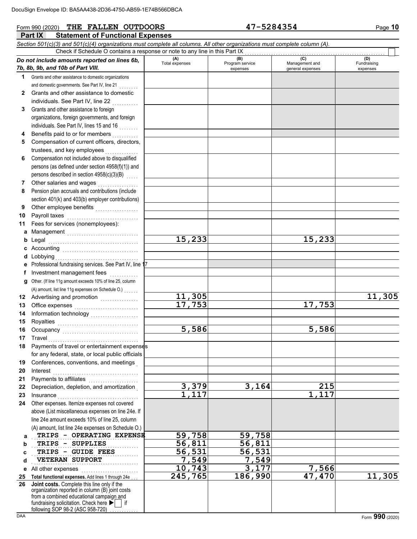| THE FALLEN OUTDOORS<br>Form 990 (2020) |                                                                                                                            |                       | 47-5284354<br>Page 10              |                                           |                                |  |  |
|----------------------------------------|----------------------------------------------------------------------------------------------------------------------------|-----------------------|------------------------------------|-------------------------------------------|--------------------------------|--|--|
|                                        | Part IX<br><b>Statement of Functional Expenses</b>                                                                         |                       |                                    |                                           |                                |  |  |
|                                        | Section 501(c)(3) and 501(c)(4) organizations must complete all columns. All other organizations must complete column (A). |                       |                                    |                                           |                                |  |  |
|                                        | Check if Schedule O contains a response or note to any line in this Part IX                                                |                       |                                    |                                           |                                |  |  |
|                                        | Do not include amounts reported on lines 6b,<br>7b, 8b, 9b, and 10b of Part VIII.                                          | (A)<br>Total expenses | (B)<br>Program service<br>expenses | (C)<br>Management and<br>general expenses | (D)<br>Fundraising<br>expenses |  |  |
|                                        | <b>1</b> Grants and other assistance to domestic organizations                                                             |                       |                                    |                                           |                                |  |  |
|                                        | and domestic governments. See Part IV, line 21                                                                             |                       |                                    |                                           |                                |  |  |
| 2                                      | Grants and other assistance to domestic                                                                                    |                       |                                    |                                           |                                |  |  |
|                                        | individuals. See Part IV, line 22                                                                                          |                       |                                    |                                           |                                |  |  |
| 3                                      | Grants and other assistance to foreign                                                                                     |                       |                                    |                                           |                                |  |  |
|                                        | organizations, foreign governments, and foreign                                                                            |                       |                                    |                                           |                                |  |  |
|                                        | individuals. See Part IV, lines 15 and 16<br>a a a a a al                                                                  |                       |                                    |                                           |                                |  |  |
| 4                                      | Benefits paid to or for members                                                                                            |                       |                                    |                                           |                                |  |  |
| 5                                      | Compensation of current officers, directors,                                                                               |                       |                                    |                                           |                                |  |  |
|                                        | trustees, and key employees                                                                                                |                       |                                    |                                           |                                |  |  |
| 6                                      | Compensation not included above to disqualified                                                                            |                       |                                    |                                           |                                |  |  |
|                                        | persons (as defined under section 4958(f)(1)) and                                                                          |                       |                                    |                                           |                                |  |  |
|                                        | persons described in section 4958(c)(3)(B)                                                                                 |                       |                                    |                                           |                                |  |  |
| 7                                      | Other salaries and wages                                                                                                   |                       |                                    |                                           |                                |  |  |
| 8                                      | Pension plan accruals and contributions (include                                                                           |                       |                                    |                                           |                                |  |  |
|                                        | section 401(k) and 403(b) employer contributions)                                                                          |                       |                                    |                                           |                                |  |  |
| 9                                      |                                                                                                                            |                       |                                    |                                           |                                |  |  |
| 10                                     | Payroll taxes                                                                                                              |                       |                                    |                                           |                                |  |  |
| 11                                     | Fees for services (nonemployees):                                                                                          |                       |                                    |                                           |                                |  |  |
| а                                      | Management                                                                                                                 |                       |                                    |                                           |                                |  |  |
| b                                      | Legal                                                                                                                      | 15,233                |                                    | 15,233                                    |                                |  |  |
| c                                      |                                                                                                                            |                       |                                    |                                           |                                |  |  |
| d                                      | Lobbying                                                                                                                   |                       |                                    |                                           |                                |  |  |
|                                        | Professional fundraising services. See Part IV, line 17                                                                    |                       |                                    |                                           |                                |  |  |
| f                                      | Investment management fees                                                                                                 |                       |                                    |                                           |                                |  |  |
| g                                      | Other. (If line 11g amount exceeds 10% of line 25, column                                                                  |                       |                                    |                                           |                                |  |  |
|                                        | (A) amount, list line 11g expenses on Schedule O.)                                                                         |                       |                                    |                                           |                                |  |  |
| 12                                     | Advertising and promotion<br>                                                                                              | 11,305                |                                    |                                           | 11,305                         |  |  |
| 13                                     |                                                                                                                            | 17,753                |                                    | 17,753                                    |                                |  |  |
| 14                                     |                                                                                                                            |                       |                                    |                                           |                                |  |  |
| 15                                     | Royalties                                                                                                                  |                       |                                    |                                           |                                |  |  |
|                                        | 16 Occupancy                                                                                                               | 5,586                 |                                    | 5,586                                     |                                |  |  |
| 17                                     | Travel                                                                                                                     |                       |                                    |                                           |                                |  |  |
| 18                                     | Payments of travel or entertainment expenses                                                                               |                       |                                    |                                           |                                |  |  |
|                                        | for any federal, state, or local public officials                                                                          |                       |                                    |                                           |                                |  |  |
| 19                                     | Conferences, conventions, and meetings                                                                                     |                       |                                    |                                           |                                |  |  |
| 20                                     | Interest                                                                                                                   |                       |                                    |                                           |                                |  |  |
| 21                                     | Payments to affiliates                                                                                                     |                       |                                    |                                           |                                |  |  |
| 22                                     | Depreciation, depletion, and amortization                                                                                  | 3,379                 | 3,164                              | 215                                       |                                |  |  |
| 23                                     | Insurance                                                                                                                  | 1.117                 |                                    | 1,117                                     |                                |  |  |
| 24                                     | Other expenses. Itemize expenses not covered                                                                               |                       |                                    |                                           |                                |  |  |
|                                        | above (List miscellaneous expenses on line 24e. If                                                                         |                       |                                    |                                           |                                |  |  |
|                                        | line 24e amount exceeds 10% of line 25, column                                                                             |                       |                                    |                                           |                                |  |  |
|                                        | (A) amount, list line 24e expenses on Schedule O.)                                                                         |                       |                                    |                                           |                                |  |  |
| a                                      | TRIPS - OPERATING EXPENSE                                                                                                  | 59,758                | 59,758                             |                                           |                                |  |  |
| b                                      | TRIPS - SUPPLIES                                                                                                           | 56,811                | 56,811                             |                                           |                                |  |  |
| c                                      | TRIPS - GUIDE FEES                                                                                                         | $\overline{56,531}$   | $\overline{56,531}$                |                                           |                                |  |  |
| d                                      | <b>VETERAN SUPPORT</b>                                                                                                     | 7,549                 | 7,549                              |                                           |                                |  |  |
| е                                      | All other expenses                                                                                                         | 10,743                | 3,177                              | 7,566                                     |                                |  |  |
| 25                                     | Total functional expenses. Add lines 1 through 24e                                                                         | 245,765               | 186,990                            | 47,470                                    | 11,305                         |  |  |
| 26                                     | Joint costs. Complete this line only if the                                                                                |                       |                                    |                                           |                                |  |  |
|                                        | organization reported in column (B) joint costs<br>from a combined educational campaign and                                |                       |                                    |                                           |                                |  |  |
|                                        | fundraising solicitation. Check here $\blacktriangleright$   if                                                            |                       |                                    |                                           |                                |  |  |
|                                        | following SOP 98-2 (ASC 958-720)                                                                                           |                       |                                    |                                           |                                |  |  |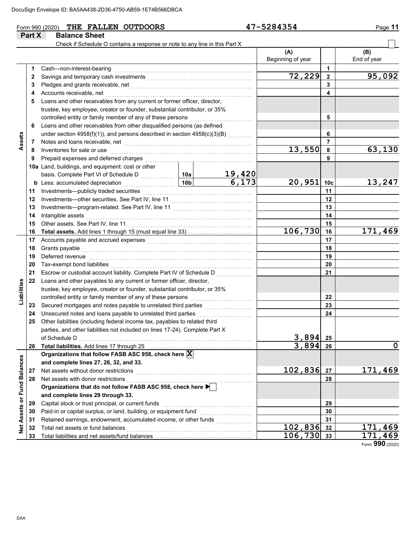|                             |          | Form 990 (2020) THE FALLEN OUTDOORS                                          |                 |                        | 47-5284354               |                 | Page 11                 |
|-----------------------------|----------|------------------------------------------------------------------------------|-----------------|------------------------|--------------------------|-----------------|-------------------------|
|                             | Part X   | <b>Balance Sheet</b>                                                         |                 |                        |                          |                 |                         |
|                             |          | Check if Schedule O contains a response or note to any line in this Part X   |                 |                        |                          |                 |                         |
|                             |          |                                                                              |                 |                        | (A)<br>Beginning of year |                 | (B)<br>End of year      |
|                             | 1        | Cash-non-interest-bearing                                                    |                 |                        |                          | 1               |                         |
|                             | 2        |                                                                              |                 |                        | 72,229                   | $\overline{2}$  | 95,092                  |
|                             | З        |                                                                              |                 |                        |                          | 3               |                         |
|                             | 4        | Accounts receivable, net                                                     |                 |                        |                          | 4               |                         |
|                             | 5        | Loans and other receivables from any current or former officer, director,    |                 |                        |                          |                 |                         |
|                             |          | trustee, key employee, creator or founder, substantial contributor, or 35%   |                 |                        |                          |                 |                         |
|                             |          | controlled entity or family member of any of these persons                   |                 |                        |                          | 5               |                         |
|                             | 6        | Loans and other receivables from other disqualified persons (as defined      |                 |                        |                          |                 |                         |
|                             |          | under section 4958(f)(1)), and persons described in section 4958(c)(3)(B)    |                 |                        |                          | 6               |                         |
| Assets                      | 7        | Notes and loans receivable, net                                              |                 |                        |                          | $\overline{7}$  |                         |
|                             | 8        | Inventories for sale or use                                                  |                 |                        | 13,550                   | 8               | 63,130                  |
|                             | 9        | Prepaid expenses and deferred charges                                        |                 |                        |                          | 9               |                         |
|                             |          | 10a Land, buildings, and equipment: cost or other                            |                 |                        |                          |                 |                         |
|                             |          |                                                                              |                 | $\frac{19,420}{6,173}$ |                          |                 |                         |
|                             |          | <b>b</b> Less: accumulated depreciation<br>.                                 | 10 <sub>b</sub> |                        | 20,951                   | 10 <sub>c</sub> | 13,247                  |
|                             | 11       | Investments-publicly traded securities                                       |                 |                        |                          | 11              |                         |
|                             | 12       | Investments-other securities. See Part IV, line 11                           |                 |                        |                          | 12              |                         |
|                             | 13       | Investments-program-related. See Part IV, line 11                            |                 |                        |                          | 13              |                         |
|                             | 14       | Intangible assets                                                            |                 | 14                     |                          |                 |                         |
|                             | 15       | Other assets. See Part IV, line 11                                           |                 |                        | 106,730                  | 15              |                         |
|                             | 16       | Total assets. Add lines 1 through 15 (must equal line 33)                    |                 |                        |                          | 16<br>17        | 171,469                 |
|                             | 17       |                                                                              |                 |                        |                          | 18              |                         |
|                             | 18<br>19 | Grants payable<br>Deferred revenue                                           |                 |                        |                          | 19              |                         |
|                             | 20       | Tax-exempt bond liabilities                                                  |                 |                        |                          | 20              |                         |
|                             | 21       | Escrow or custodial account liability. Complete Part IV of Schedule D        |                 |                        |                          | 21              |                         |
|                             | 22       | Loans and other payables to any current or former officer, director,         |                 |                        |                          |                 |                         |
| Liabilities                 |          | trustee, key employee, creator or founder, substantial contributor, or 35%   |                 |                        |                          |                 |                         |
|                             |          | controlled entity or family member of any of these persons                   |                 |                        |                          | 22              |                         |
|                             | 23       | Secured mortgages and notes payable to unrelated third parties               |                 |                        |                          | 23              |                         |
|                             | 24       | Unsecured notes and loans payable to unrelated third parties                 |                 |                        |                          | 24              |                         |
|                             | 25       | Other liabilities (including federal income tax, payables to related third   |                 | .                      |                          |                 |                         |
|                             |          | parties, and other liabilities not included on lines 17-24). Complete Part X |                 |                        |                          |                 |                         |
|                             |          | of Schedule D                                                                |                 |                        | 3,894                    | 25              |                         |
|                             | 26       |                                                                              |                 |                        | 3,894                    | 26              | $\mathbf 0$             |
|                             |          | Organizations that follow FASB ASC 958, check here X                         |                 |                        |                          |                 |                         |
|                             |          | and complete lines 27, 28, 32, and 33.                                       |                 |                        |                          |                 |                         |
|                             | 27       | Net assets without donor restrictions                                        |                 |                        | 102,836                  | 27              | 171,469                 |
|                             | 28       | Net assets with donor restrictions                                           |                 | 28                     |                          |                 |                         |
|                             |          | Organizations that do not follow FASB ASC 958, check here                    |                 |                        |                          |                 |                         |
|                             |          | and complete lines 29 through 33.                                            |                 |                        |                          |                 |                         |
|                             | 29       | Capital stock or trust principal, or current funds                           |                 |                        |                          | 29              |                         |
|                             | 30       | Paid-in or capital surplus, or land, building, or equipment fund             |                 |                        |                          | 30              |                         |
|                             | 31       | Retained earnings, endowment, accumulated income, or other funds             |                 |                        |                          | 31              |                         |
| Net Assets or Fund Balances | 32       | Total net assets or fund balances                                            |                 |                        | 102,836                  | 32              | 171,469                 |
|                             | 33       |                                                                              |                 |                        | $106,730$ 33             |                 | 171,469<br>$000 \ldots$ |

Form **990** (2020)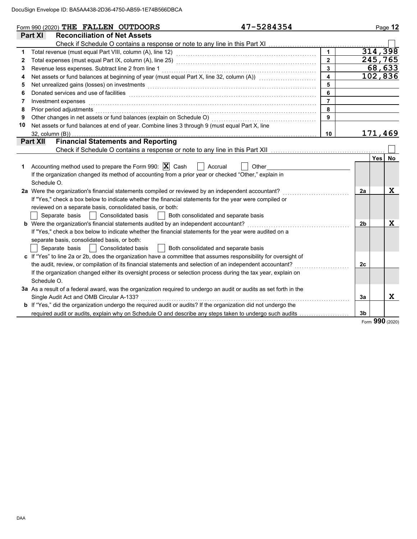|    | 47-5284354<br>Form 990 (2020) THE FALLEN OUTDOORS                                                                                                                                                                              |                         |                | Page 12               |  |
|----|--------------------------------------------------------------------------------------------------------------------------------------------------------------------------------------------------------------------------------|-------------------------|----------------|-----------------------|--|
|    | <b>Reconciliation of Net Assets</b><br>Part XI                                                                                                                                                                                 |                         |                |                       |  |
|    | Check if Schedule O contains a response or note to any line in this Part XI                                                                                                                                                    |                         |                |                       |  |
| 1  |                                                                                                                                                                                                                                | $\mathbf{1}$            |                | 314,398               |  |
| 2  |                                                                                                                                                                                                                                | $\overline{2}$          |                | 245,765               |  |
| 3  | Revenue less expenses. Subtract line 2 from line 1                                                                                                                                                                             | $\mathbf{3}$            |                | $\overline{68}$ , 633 |  |
| 4  | Net assets or fund balances at beginning of year (must equal Part X, line 32, column (A)) [[[[[[[[[[[[[[[[[[[                                                                                                                  | $\overline{\mathbf{4}}$ |                | 102,836               |  |
| 5  | Net unrealized gains (losses) on investments [11] with the content of the content of the set of the content of the content of the content of the content of the content of the content of the content of the content of the co | 5                       |                |                       |  |
| 6  | Donated services and use of facilities <b>constructs</b> and the service of the service of the services and use of facilities                                                                                                  | 6                       |                |                       |  |
| 7  | Investment expenses                                                                                                                                                                                                            | $\overline{7}$          |                |                       |  |
| 8  | Prior period adjustments                                                                                                                                                                                                       | 8                       |                |                       |  |
| 9  |                                                                                                                                                                                                                                | $\mathbf{q}$            |                |                       |  |
| 10 | Net assets or fund balances at end of year. Combine lines 3 through 9 (must equal Part X, line                                                                                                                                 |                         |                |                       |  |
|    | $32$ , column $(B)$ )                                                                                                                                                                                                          | 10                      |                | 171,469               |  |
|    | <b>Financial Statements and Reporting</b><br><b>Part XII</b>                                                                                                                                                                   |                         |                |                       |  |
|    | Check if Schedule O contains a response or note to any line in this Part XII                                                                                                                                                   |                         |                |                       |  |
|    |                                                                                                                                                                                                                                |                         |                | <b>Yes</b><br>No      |  |
| 1  | Accounting method used to prepare the Form 990: $ \mathbf{X} $ Cash<br>Accrual<br>Other                                                                                                                                        |                         |                |                       |  |
|    | If the organization changed its method of accounting from a prior year or checked "Other," explain in                                                                                                                          |                         |                |                       |  |
|    | Schedule O.                                                                                                                                                                                                                    |                         |                |                       |  |
|    | 2a Were the organization's financial statements compiled or reviewed by an independent accountant?                                                                                                                             |                         | 2a             | X                     |  |
|    | If "Yes," check a box below to indicate whether the financial statements for the year were compiled or                                                                                                                         |                         |                |                       |  |
|    | reviewed on a separate basis, consolidated basis, or both:                                                                                                                                                                     |                         |                |                       |  |
|    | Consolidated basis<br>Separate basis<br>Both consolidated and separate basis                                                                                                                                                   |                         |                |                       |  |
|    | <b>b</b> Were the organization's financial statements audited by an independent accountant?                                                                                                                                    |                         | 2 <sub>b</sub> | $\mathbf x$           |  |
|    | If "Yes," check a box below to indicate whether the financial statements for the year were audited on a                                                                                                                        |                         |                |                       |  |
|    | separate basis, consolidated basis, or both:                                                                                                                                                                                   |                         |                |                       |  |
|    | Consolidated basis<br>Both consolidated and separate basis<br>Separate basis                                                                                                                                                   |                         |                |                       |  |
|    | c If "Yes" to line 2a or 2b, does the organization have a committee that assumes responsibility for oversight of                                                                                                               |                         |                |                       |  |
|    | the audit, review, or compilation of its financial statements and selection of an independent accountant?                                                                                                                      |                         | 2c             |                       |  |
|    | If the organization changed either its oversight process or selection process during the tax year, explain on                                                                                                                  |                         |                |                       |  |
|    | Schedule O.                                                                                                                                                                                                                    |                         |                |                       |  |
|    | 3a As a result of a federal award, was the organization required to undergo an audit or audits as set forth in the                                                                                                             |                         |                |                       |  |
|    | Single Audit Act and OMB Circular A-133?                                                                                                                                                                                       |                         | 3a             | X                     |  |
|    | <b>b</b> If "Yes," did the organization undergo the required audit or audits? If the organization did not undergo the                                                                                                          |                         |                |                       |  |
|    | required audit or audits, explain why on Schedule O and describe any steps taken to undergo such audits                                                                                                                        |                         | 3 <sub>b</sub> |                       |  |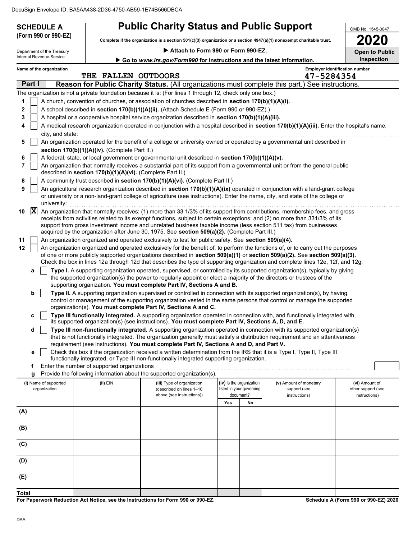DocuSign Envelope ID: BA5AA438-2D36-4750-AB59-1E74B566DBCA

| 0000001 LINGODO ID: DAVANTOO-2D00-TI 00-AD00- ILI TD000DD<br><b>Public Charity Status and Public Support</b><br><b>SCHEDULE A</b> |                                                            |                                                                                                           |                                       |                                                                                                                                                                                                                                                                 | OMB No. 1545-0047                     |  |
|-----------------------------------------------------------------------------------------------------------------------------------|------------------------------------------------------------|-----------------------------------------------------------------------------------------------------------|---------------------------------------|-----------------------------------------------------------------------------------------------------------------------------------------------------------------------------------------------------------------------------------------------------------------|---------------------------------------|--|
| (Form 990 or 990-EZ)                                                                                                              |                                                            |                                                                                                           |                                       | Complete if the organization is a section $501(c)(3)$ organization or a section $4947(a)(1)$ nonexempt charitable trust.                                                                                                                                        | 2020                                  |  |
| Department of the Treasury                                                                                                        |                                                            | Attach to Form 990 or Form 990-EZ.                                                                        |                                       |                                                                                                                                                                                                                                                                 | <b>Open to Public</b>                 |  |
| Internal Revenue Service                                                                                                          |                                                            | Go to www.irs.gov/Form990 for instructions and the latest information.                                    |                                       |                                                                                                                                                                                                                                                                 | <b>Inspection</b>                     |  |
| Name of the organization                                                                                                          |                                                            |                                                                                                           |                                       |                                                                                                                                                                                                                                                                 | <b>Employer identification number</b> |  |
| Part I                                                                                                                            | THE FALLEN OUTDOORS                                        |                                                                                                           |                                       | Reason for Public Charity Status. (All organizations must complete this part.) See instructions.                                                                                                                                                                | 47-5284354                            |  |
|                                                                                                                                   |                                                            | The organization is not a private foundation because it is: (For lines 1 through 12, check only one box.) |                                       |                                                                                                                                                                                                                                                                 |                                       |  |
| 1                                                                                                                                 |                                                            | A church, convention of churches, or association of churches described in section 170(b)(1)(A)(i).        |                                       |                                                                                                                                                                                                                                                                 |                                       |  |
| 2                                                                                                                                 |                                                            | A school described in section 170(b)(1)(A)(ii). (Attach Schedule E (Form 990 or 990-EZ).)                 |                                       |                                                                                                                                                                                                                                                                 |                                       |  |
| 3<br>4                                                                                                                            |                                                            | A hospital or a cooperative hospital service organization described in section 170(b)(1)(A)(iii).         |                                       |                                                                                                                                                                                                                                                                 |                                       |  |
| city, and state:                                                                                                                  |                                                            |                                                                                                           |                                       | A medical research organization operated in conjunction with a hospital described in section 170(b)(1)(A)(iii). Enter the hospital's name,                                                                                                                      |                                       |  |
| 5                                                                                                                                 |                                                            |                                                                                                           |                                       | An organization operated for the benefit of a college or university owned or operated by a governmental unit described in                                                                                                                                       |                                       |  |
|                                                                                                                                   | section 170(b)(1)(A)(iv). (Complete Part II.)              |                                                                                                           |                                       |                                                                                                                                                                                                                                                                 |                                       |  |
| 6<br>7                                                                                                                            |                                                            | A federal, state, or local government or governmental unit described in section 170(b)(1)(A)(v).          |                                       |                                                                                                                                                                                                                                                                 |                                       |  |
|                                                                                                                                   | described in section 170(b)(1)(A)(vi). (Complete Part II.) |                                                                                                           |                                       | An organization that normally receives a substantial part of its support from a governmental unit or from the general public                                                                                                                                    |                                       |  |
| 8                                                                                                                                 |                                                            | A community trust described in section 170(b)(1)(A)(vi). (Complete Part II.)                              |                                       |                                                                                                                                                                                                                                                                 |                                       |  |
| 9<br>university:                                                                                                                  |                                                            |                                                                                                           |                                       | An agricultural research organization described in section 170(b)(1)(A)(ix) operated in conjunction with a land-grant college<br>or university or a non-land-grant college of agriculture (see instructions). Enter the name, city, and state of the college or |                                       |  |
| $ \mathbf{X} $<br>10                                                                                                              |                                                            |                                                                                                           |                                       | An organization that normally receives: (1) more than 33 1/3% of its support from contributions, membership fees, and gross                                                                                                                                     |                                       |  |
|                                                                                                                                   |                                                            |                                                                                                           |                                       | receipts from activities related to its exempt functions, subject to certain exceptions; and (2) no more than 331/3% of its<br>support from gross investment income and unrelated business taxable income (less section 511 tax) from businesses                |                                       |  |
|                                                                                                                                   |                                                            | acquired by the organization after June 30, 1975. See section 509(a)(2). (Complete Part III.)             |                                       |                                                                                                                                                                                                                                                                 |                                       |  |
| 11                                                                                                                                |                                                            | An organization organized and operated exclusively to test for public safety. See section 509(a)(4).      |                                       |                                                                                                                                                                                                                                                                 |                                       |  |
| 12                                                                                                                                |                                                            |                                                                                                           |                                       | An organization organized and operated exclusively for the benefit of, to perform the functions of, or to carry out the purposes<br>of one or more publicly supported organizations described in section 509(a)(1) or section 509(a)(2). See section 509(a)(3). |                                       |  |
|                                                                                                                                   |                                                            |                                                                                                           |                                       | Check the box in lines 12a through 12d that describes the type of supporting organization and complete lines 12e, 12f, and 12g.                                                                                                                                 |                                       |  |
| a                                                                                                                                 |                                                            |                                                                                                           |                                       | Type I. A supporting organization operated, supervised, or controlled by its supported organization(s), typically by giving                                                                                                                                     |                                       |  |
|                                                                                                                                   |                                                            | supporting organization. You must complete Part IV, Sections A and B.                                     |                                       | the supported organization(s) the power to regularly appoint or elect a majority of the directors or trustees of the                                                                                                                                            |                                       |  |
| b                                                                                                                                 |                                                            |                                                                                                           |                                       | Type II. A supporting organization supervised or controlled in connection with its supported organization(s), by having                                                                                                                                         |                                       |  |
|                                                                                                                                   |                                                            |                                                                                                           |                                       | control or management of the supporting organization vested in the same persons that control or manage the supported                                                                                                                                            |                                       |  |
|                                                                                                                                   |                                                            | organization(s). You must complete Part IV, Sections A and C.                                             |                                       | Type III functionally integrated. A supporting organization operated in connection with, and functionally integrated with,                                                                                                                                      |                                       |  |
|                                                                                                                                   |                                                            | its supported organization(s) (see instructions). You must complete Part IV, Sections A, D, and E.        |                                       |                                                                                                                                                                                                                                                                 |                                       |  |
| d                                                                                                                                 |                                                            |                                                                                                           |                                       | Type III non-functionally integrated. A supporting organization operated in connection with its supported organization(s)<br>that is not functionally integrated. The organization generally must satisfy a distribution requirement and an attentiveness       |                                       |  |
|                                                                                                                                   |                                                            | requirement (see instructions). You must complete Part IV, Sections A and D, and Part V.                  |                                       |                                                                                                                                                                                                                                                                 |                                       |  |
| е                                                                                                                                 |                                                            |                                                                                                           |                                       | Check this box if the organization received a written determination from the IRS that it is a Type I, Type II, Type III                                                                                                                                         |                                       |  |
| f                                                                                                                                 | Enter the number of supported organizations                | functionally integrated, or Type III non-functionally integrated supporting organization.                 |                                       |                                                                                                                                                                                                                                                                 |                                       |  |
| g                                                                                                                                 |                                                            | Provide the following information about the supported organization(s).                                    |                                       |                                                                                                                                                                                                                                                                 |                                       |  |
| (i) Name of supported                                                                                                             | (ii) EIN                                                   | (iii) Type of organization                                                                                | (iv) Is the organization              | (v) Amount of monetary                                                                                                                                                                                                                                          | (vi) Amount of                        |  |
| organization                                                                                                                      |                                                            | (described on lines 1-10<br>above (see instructions))                                                     | listed in your governing<br>document? | support (see<br>instructions)                                                                                                                                                                                                                                   | other support (see<br>instructions)   |  |
|                                                                                                                                   |                                                            |                                                                                                           | Yes<br>No                             |                                                                                                                                                                                                                                                                 |                                       |  |
| (A)                                                                                                                               |                                                            |                                                                                                           |                                       |                                                                                                                                                                                                                                                                 |                                       |  |
| (B)                                                                                                                               |                                                            |                                                                                                           |                                       |                                                                                                                                                                                                                                                                 |                                       |  |
|                                                                                                                                   |                                                            |                                                                                                           |                                       |                                                                                                                                                                                                                                                                 |                                       |  |
| (C)                                                                                                                               |                                                            |                                                                                                           |                                       |                                                                                                                                                                                                                                                                 |                                       |  |
| (D)                                                                                                                               |                                                            |                                                                                                           |                                       |                                                                                                                                                                                                                                                                 |                                       |  |
|                                                                                                                                   |                                                            |                                                                                                           |                                       |                                                                                                                                                                                                                                                                 |                                       |  |
| (E)                                                                                                                               |                                                            |                                                                                                           |                                       |                                                                                                                                                                                                                                                                 |                                       |  |

**For Paperwork Reduction Act Notice, see the Instructions for Form 990 or 990-EZ.**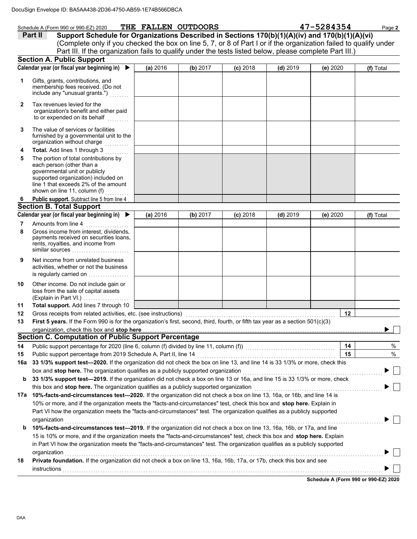|     | Schedule A (Form 990 or 990-EZ) 2020                                                                                                                                                                                         |          | THE FALLEN OUTDOORS |            |            | 47-5284354 | Page 2    |
|-----|------------------------------------------------------------------------------------------------------------------------------------------------------------------------------------------------------------------------------|----------|---------------------|------------|------------|------------|-----------|
|     | Support Schedule for Organizations Described in Sections 170(b)(1)(A)(iv) and 170(b)(1)(A)(vi)<br>Part II                                                                                                                    |          |                     |            |            |            |           |
|     | (Complete only if you checked the box on line 5, 7, or 8 of Part I or if the organization failed to qualify under<br>Part III. If the organization fails to qualify under the tests listed below, please complete Part III.) |          |                     |            |            |            |           |
|     | <b>Section A. Public Support</b>                                                                                                                                                                                             |          |                     |            |            |            |           |
|     | Calendar year (or fiscal year beginning in) $\blacktriangleright$                                                                                                                                                            | (a) 2016 | (b) 2017            | $(c)$ 2018 | $(d)$ 2019 | (e) 2020   | (f) Total |
| 1   | Gifts, grants, contributions, and<br>membership fees received. (Do not<br>include any "unusual grants.")                                                                                                                     |          |                     |            |            |            |           |
| 2   | Tax revenues levied for the<br>organization's benefit and either paid<br>to or expended on its behalf<br>.                                                                                                                   |          |                     |            |            |            |           |
| 3   | The value of services or facilities<br>furnished by a governmental unit to the<br>organization without charge<br>.                                                                                                           |          |                     |            |            |            |           |
| 4   | Total. Add lines 1 through 3                                                                                                                                                                                                 |          |                     |            |            |            |           |
| 5   | The portion of total contributions by<br>each person (other than a<br>governmental unit or publicly<br>supported organization) included on<br>line 1 that exceeds 2% of the amount<br>shown on line 11, column (f)           |          |                     |            |            |            |           |
| 6   | Public support. Subtract line 5 from line 4                                                                                                                                                                                  |          |                     |            |            |            |           |
|     | <b>Section B. Total Support</b>                                                                                                                                                                                              |          |                     |            |            |            |           |
|     | Calendar year (or fiscal year beginning in) $\blacktriangleright$                                                                                                                                                            | (a) 2016 | (b) 2017            | $(c)$ 2018 | $(d)$ 2019 | (e) 2020   | (f) Total |
| 7   | Amounts from line 4                                                                                                                                                                                                          |          |                     |            |            |            |           |
| 8   | Gross income from interest, dividends,<br>payments received on securities loans,<br>rents, royalties, and income from<br>similar sources                                                                                     |          |                     |            |            |            |           |
| 9   | Net income from unrelated business<br>activities, whether or not the business<br>is regularly carried on                                                                                                                     |          |                     |            |            |            |           |
| 10  | Other income. Do not include gain or<br>loss from the sale of capital assets<br>(Explain in Part VI.)                                                                                                                        |          |                     |            |            |            |           |
| 11  | Total support. Add lines 7 through 10                                                                                                                                                                                        |          |                     |            |            |            |           |
| 12  | Gross receipts from related activities, etc. (see instructions)                                                                                                                                                              |          |                     |            |            | 12         |           |
| 13  | First 5 years. If the Form 990 is for the organization's first, second, third, fourth, or fifth tax year as a section 501(c)(3)                                                                                              |          |                     |            |            |            |           |
|     | organization, check this box and stop here<br><b>Section C. Computation of Public Support Percentage</b>                                                                                                                     |          |                     |            |            |            |           |
|     |                                                                                                                                                                                                                              |          |                     |            |            | 14         |           |
| 14  | Public support percentage from 2019 Schedule A, Part II, line 14                                                                                                                                                             |          |                     |            |            | 15         | %<br>$\%$ |
| 15  | 33 1/3% support test-2020. If the organization did not check the box on line 13, and line 14 is 33 1/3% or more, check this                                                                                                  |          |                     |            |            |            |           |
| 16a | box and stop here. The organization qualifies as a publicly supported organization                                                                                                                                           |          |                     |            |            |            |           |
| b   | 33 1/3% support test-2019. If the organization did not check a box on line 13 or 16a, and line 15 is 33 1/3% or more, check                                                                                                  |          |                     |            |            |            |           |
|     | this box and stop here. The organization qualifies as a publicly supported organization                                                                                                                                      |          |                     |            |            |            |           |
|     | 17a 10%-facts-and-circumstances test-2020. If the organization did not check a box on line 13, 16a, or 16b, and line 14 is                                                                                                   |          |                     |            |            |            |           |
|     | 10% or more, and if the organization meets the "facts-and-circumstances" test, check this box and stop here. Explain in                                                                                                      |          |                     |            |            |            |           |
|     | Part VI how the organization meets the "facts-and-circumstances" test. The organization qualifies as a publicly supported                                                                                                    |          |                     |            |            |            |           |
|     | organization                                                                                                                                                                                                                 |          |                     |            |            |            |           |
| b   | 10%-facts-and-circumstances test-2019. If the organization did not check a box on line 13, 16a, 16b, or 17a, and line                                                                                                        |          |                     |            |            |            |           |
|     | 15 is 10% or more, and if the organization meets the "facts-and-circumstances" test, check this box and stop here. Explain                                                                                                   |          |                     |            |            |            |           |
|     | in Part VI how the organization meets the "facts-and-circumstances" test. The organization qualifies as a publicly supported                                                                                                 |          |                     |            |            |            |           |
|     | organization                                                                                                                                                                                                                 |          |                     |            |            |            |           |
| 18  | Private foundation. If the organization did not check a box on line 13, 16a, 16b, 17a, or 17b, check this box and see                                                                                                        |          |                     |            |            |            |           |
|     | instructions                                                                                                                                                                                                                 |          |                     |            |            |            |           |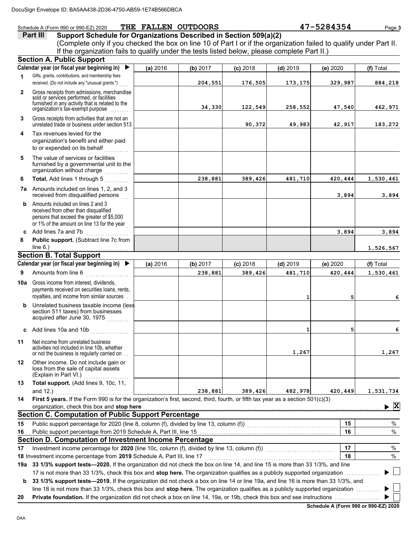#### **Section B. Total Support** unrelated trade or business under section 513 **Part III Support Schedule for Organizations Described in Section 509(a)(2)** (Complete only if you checked the box on line 10 of Part I or if the organization failed to qualify under Part II. **1 2 3 6 8** Schedule A (Form 990 or 990-EZ) 2020 **THE FALLEN OUTDOORS** 47 - 5284354 Page 3 Gifts, grants, contributions, and membership fees received. (Do not include any "unusual grants.") **Public support.** (Subtract line 7c from Gross receipts from admissions, merchandise sold or services performed, or facilities furnished in any activity that is related to the Gross receipts from activities that are not an **Total.** Add lines 1 through 5 . . . . . . . . . **Section A. Public Support** organization's tax-exempt purpose ........ **4** Tax revenues levied for the organization's benefit and either paid to or expended on its behalf organization without charge ........... furnished by a governmental unit to the **5** The value of services or facilities **7a** Amounts included on lines 1, 2, and 3 received from disqualified persons **b** Amounts included on lines 2 and 3 received from other than disqualified persons that exceed the greater of \$5,000 or 1% of the amount on line 13 for the year **c** Add lines 7a and 7b Amounts from line 6 . . . . . . . . . . . . . . . . . . **9** royalties, and income from similar sources . payments received on securities loans, rents, **10a** Gross income from interest, dividends, **b** Unrelated business taxable income (less section 511 taxes) from businesses acquired after June 30, 1975 . . . . . . . . **c** Add lines 10a and 10b . . . . . . . . . . . . . . . **11** Net income from unrelated business activities not included in line 10b, whether or not the business is regularly carried on ...  $(Explain in Part VI.)$  ............... loss from the sale of capital assets **12** Other income. Do not include gain or **13 Total support.** (Add lines 9, 10c, 11, **14 First 5 years.** If the Form 990 is for the organization's first, second, third, fourth, or fifth tax year as a section 501(c)(3) organization, check this box and stop here **Section C. Computation of Public Support Percentage** Public support percentage from 2019 Schedule A, Part III, line 15 **15** Public support percentage for 2020 (line 8, column (f), divided by line 13, column (f)) . . . . . . . . . . . . . . . . . . . . . . . . . . . . . . . . . . . . . **16 Section D. Computation of Investment Income Percentage 18** Investment income percentage from **2019** Schedule A, Part III, line 17 . . . . . . . . . . . . . . . . . . . . . . . . . . . . . . . . . . . . . . . . . . . . . . . . . . . . . . . 17 Investment income percentage for 2020 (line 10c, column (f), divided by line 13, column (f)) 17 is not more than 33 1/3%, check this box and **stop here.** The organization qualifies as a publicly supported organization . . . . . . . . . . . . . . . **19a 33 1/3% support tests—2020.** If the organization did not check the box on line 14, and line 15 is more than 33 1/3%, and line **b** 33 1/3% support tests—2019. If the organization did not check a box on line 14 or line 19a, and line 16 is more than 33 1/3%, and % % **16 15 17 18** % % **(a)** 2016 **(b)** 2017 **(c)** 2018 **(d)** 2019 **(e)** 2020 **(f)** Total **(f)** Total  $line 6.)$ **Calendar year (or fiscal year beginning in) Calendar year (or fiscal year beginning in)**  and 12.)  $\ldots$ . If the organization fails to qualify under the tests listed below, please complete Part II.) **(a)** 2016 **(b)** 2017 **(c)** 2018 **(d)** 2019 **(e)** 2020 THE FALLEN OUTDOORS **204,551 176,505 173,175 329,987 884,218 34,330 122,549 258,552 47,540 462,971 90,372 49,983 42,917 183,272 238,881 389,426 481,710 420,444 1,530,461 3,894 3,894 3,894 3,894 1,526,567 238,881 389,426 481,710 420,444 1,530,461** 1 5 6 1 5 6 **1,267 1,267 238,881 389,426 482,978 420,449 1,531,734 X**

line 18 is not more than 33 1/3%, check this box and **stop here.** The organization qualifies as a publicly supported organization . . . . . . . . . . **20 Private foundation.** If the organization did not check a box on line 14, 19a, or 19b, check this box and see instructions . . . . . . . . . . . . . . . . . . .

**Schedule A (Form 990 or 990-EZ) 2020**

Þ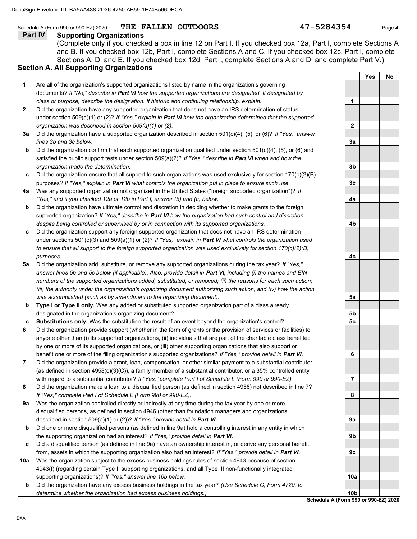**Part IV Supporting Organizations** Sections A, D, and E. If you checked box 12d, Part I, complete Sections A and D, and complete Part V.) Schedule A (Form 990 or 990-EZ) 2020 **THE FALLEN OUTDOORS**  $47-5284354$  Page 4 **Section A. All Supporting Organizations** (Complete only if you checked a box in line 12 on Part I. If you checked box 12a, Part I, complete Sections A and B. If you checked box 12b, Part I, complete Sections A and C. If you checked box 12c, Part I, complete Are all of the organization's supported organizations listed by name in the organization's governing documents? *If "No," describe in Part VI how the supported organizations are designated. If designated by class or purpose, describe the designation. If historic and continuing relationship, explain.* Did the organization have any supported organization that does not have an IRS determination of status under section 509(a)(1) or (2)? *If "Yes," explain in Part VI how the organization determined that the supported organization was described in section 509(a)(1) or (2).* **1 2 3a** Did the organization have a supported organization described in section 501(c)(4), (5), or (6)? *If "Yes," answer* **b c** Did the organization ensure that all support to such organizations was used exclusively for section 170(c)(2)(B) **4a** Was any supported organization not organized in the United States ("foreign supported organization")? *If* **b c** Did the organization support any foreign supported organization that does not have an IRS determination **5a** Did the organization add, substitute, or remove any supported organizations during the tax year? *If "Yes,"* **b c 6 7 8 9a b c 10a b** *lines 3b and 3c below.* Did the organization confirm that each supported organization qualified under section 501(c)(4), (5), or (6) and satisfied the public support tests under section 509(a)(2)? *If "Yes," describe in Part VI when and how the organization made the determination.* purposes? *If "Yes," explain in Part VI what controls the organization put in place to ensure such use. "Yes," and if you checked 12a or 12b in Part I, answer (b) and (c) below.* Did the organization have ultimate control and discretion in deciding whether to make grants to the foreign supported organization? *If "Yes," describe in Part VI how the organization had such control and discretion despite being controlled or supervised by or in connection with its supported organizations.* under sections 501(c)(3) and 509(a)(1) or (2)? *If "Yes," explain in Part VI what controls the organization used to ensure that all support to the foreign supported organization was used exclusively for section 170(c)(2)(B) purposes. answer lines 5b and 5c below (if applicable). Also, provide detail in Part VI, including (i) the names and EIN numbers of the supported organizations added, substituted, or removed; (ii) the reasons for each such action; (iii) the authority under the organization's organizing document authorizing such action; and (iv) how the action was accomplished (such as by amendment to the organizing document).* **Type I or Type II only.** Was any added or substituted supported organization part of a class already designated in the organization's organizing document? **Substitutions only.** Was the substitution the result of an event beyond the organization's control? Did the organization provide support (whether in the form of grants or the provision of services or facilities) to anyone other than (i) its supported organizations, (ii) individuals that are part of the charitable class benefited by one or more of its supported organizations, or (iii) other supporting organizations that also support or benefit one or more of the filing organization's supported organizations? *If "Yes," provide detail in Part VI.* Did the organization provide a grant, loan, compensation, or other similar payment to a substantial contributor (as defined in section 4958(c)(3)(C)), a family member of a substantial contributor, or a 35% controlled entity with regard to a substantial contributor? *If "Yes," complete Part I of Schedule L (Form 990 or 990-EZ).* Did the organization make a loan to a disqualified person (as defined in section 4958) not described in line 7? *If "Yes," complete Part I of Schedule L (Form 990 or 990-EZ).* Was the organization controlled directly or indirectly at any time during the tax year by one or more disqualified persons, as defined in section 4946 (other than foundation managers and organizations described in section 509(a)(1) or (2))? *If "Yes," provide detail in Part VI.* Did one or more disqualified persons (as defined in line 9a) hold a controlling interest in any entity in which the supporting organization had an interest? *If "Yes," provide detail in Part VI.* Did a disqualified person (as defined in line 9a) have an ownership interest in, or derive any personal benefit from, assets in which the supporting organization also had an interest? *If "Yes," provide detail in Part VI.* Was the organization subject to the excess business holdings rules of section 4943 because of section 4943(f) (regarding certain Type II supporting organizations, and all Type III non-functionally integrated supporting organizations)? *If "Yes," answer line 10b below.* Did the organization have any excess business holdings in the tax year? *(Use Schedule C, Form 4720, to determine whether the organization had excess business holdings.)* **Yes No 1 2 3a 3b 3c 4a 4b 4c 5a 5b 5c 6 7 8 9a 9b 9c 10a 10b** THE FALLEN OUTDOORS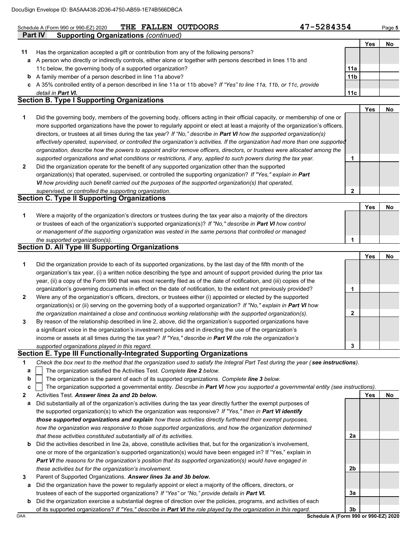|                | Schedule A (Form 990 or 990-EZ) 2020                                                    |  | THE FALLEN OUTDOORS | 47-5284354 |     | Page 5 |
|----------------|-----------------------------------------------------------------------------------------|--|---------------------|------------|-----|--------|
| <b>Part IV</b> | <b>Supporting Organizations (continued)</b>                                             |  |                     |            |     |        |
|                |                                                                                         |  |                     |            | Yes | No     |
|                | Has the organization accepted a gift or contribution from any of the following persons? |  |                     |            |     |        |

|                                                            |  | a A person who directly or indirectly controls, either alone or together with persons described in lines 11b and |  |  |
|------------------------------------------------------------|--|------------------------------------------------------------------------------------------------------------------|--|--|
| 11c below, the governing body of a supported organization? |  |                                                                                                                  |  |  |

**b** A family member of a person described in line 11a above?

**c** A 35% controlled entity of a person described in line 11a or 11b above? *If "Yes" to line 11a, 11b, or 11c, provide detail in Part VI.*

#### **Section B. Type I Supporting Organizations**

**2 1** *supported organizations and what conditions or restrictions, if any, applied to such powers during the tax year. organization, describe how the powers to appoint and/or remove officers, directors, or trustees were allocated among the effectively operated, supervised, or controlled the organization's activities. If the organization had more than one supported* directors, or trustees at all times during the tax year? *If "No," describe in Part VI how the supported organization(s)* more supported organizations have the power to regularly appoint or elect at least a majority of the organization's officers, Did the governing body, members of the governing body, officers acting in their official capacity, or membership of one or Did the organization operate for the benefit of any supported organization other than the supported organization(s) that operated, supervised, or controlled the supporting organization? *If "Yes," explain in Part*  **1 Yes No**

*VI how providing such benefit carried out the purposes of the supported organization(s) that operated,* 

#### *supervised, or controlled the supporting organization.* **Section C. Type II Supporting Organizations**

|                                                                                                                  |  | No |
|------------------------------------------------------------------------------------------------------------------|--|----|
| Were a majority of the organization's directors or trustees during the tax year also a majority of the directors |  |    |
| or trustees of each of the organization's supported organization(s)? If "No," describe in Part VI how control    |  |    |
| or management of the supporting organization was vested in the same persons that controlled or managed           |  |    |
| the supported organization(s).                                                                                   |  |    |

#### **Section D. All Type III Supporting Organizations**

|                |                                                                                                                        | Yes |  |
|----------------|------------------------------------------------------------------------------------------------------------------------|-----|--|
| 1              | Did the organization provide to each of its supported organizations, by the last day of the fifth month of the         |     |  |
|                | organization's tax year, (i) a written notice describing the type and amount of support provided during the prior tax  |     |  |
|                | year, (ii) a copy of the Form 990 that was most recently filed as of the date of notification, and (iii) copies of the |     |  |
|                | organization's governing documents in effect on the date of notification, to the extent not previously provided?       |     |  |
| $\overline{2}$ | Were any of the organization's officers, directors, or trustees either (i) appointed or elected by the supported       |     |  |
|                | organization(s) or (ii) serving on the governing body of a supported organization? If "No," explain in Part VI how     |     |  |
|                | the organization maintained a close and continuous working relationship with the supported organization(s).            |     |  |
| 3              | By reason of the relationship described in line 2, above, did the organization's supported organizations have          |     |  |
|                | a significant voice in the organization's investment policies and in directing the use of the organization's           |     |  |
|                | income or assets at all times during the tax year? If "Yes," describe in Part VI the role the organization's           |     |  |
|                | supported organizations played in this regard.<br>3                                                                    |     |  |

#### **Section E. Type III Functionally-Integrated Supporting Organizations**

| Check the box next to the method that the organization used to satisfy the Integral Part Test during the year (see instructions). |  |  |
|-----------------------------------------------------------------------------------------------------------------------------------|--|--|
|                                                                                                                                   |  |  |

- The organization satisfied the Activities Test. *Complete line 2 below.* **a**
- The organization is the parent of each of its supported organizations. *Complete line 3 below.* **b**

|  | c $\vert$ The organization supported a governmental entity. Describe in Part VI how you supported a governmental entity (see instructions). |
|--|---------------------------------------------------------------------------------------------------------------------------------------------|
|  |                                                                                                                                             |

**2** Activities Test. *Answer lines 2a and 2b below.*

- **a** Did substantially all of the organization's activities during the tax year directly further the exempt purposes of the supported organization(s) to which the organization was responsive? *If "Yes," then in Part VI identify those supported organizations and explain how these activities directly furthered their exempt purposes,*  how the organization was responsive to those supported organizations, and how the organization determined *that these activities constituted substantially all of its activities.*
- **b** Did the activities described in line 2a, above, constitute activities that, but for the organization's involvement, one or more of the organization's supported organization(s) would have been engaged in? If "Yes," explain in *Part VI the reasons for the organization's position that its supported organization(s) would have engaged in these activities but for the organization's involvement.*
- **3** Parent of Supported Organizations. *Answer lines 3a and 3b below.*
	- **a** Did the organization have the power to regularly appoint or elect a majority of the officers, directors, or trustees of each of the supported organizations? *If "Yes" or "No," provide details in Part VI.*
	- **b** Did the organization exercise a substantial degree of direction over the policies, programs, and activities of each of its supported organizations? *If "Yes," describe in Part VI the role played by the organization in this regard.*

DAA **Schedule A (Form 990 or 990-EZ) 2020 3b**

**2a**

**2b**

**3a**

**Yes No**

**11a 11b**

**11c**

**2**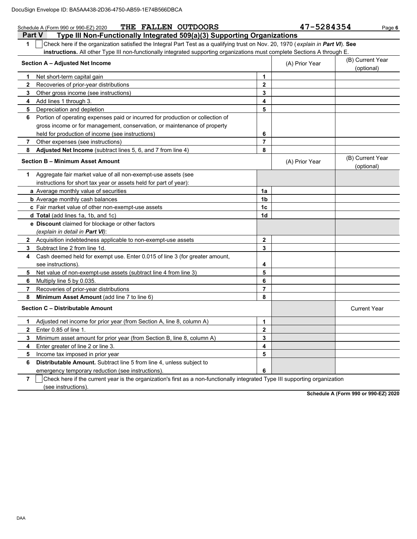|              | THE FALLEN OUTDOORS<br>Schedule A (Form 990 or 990-EZ) 2020                                                                      |                | 47-5284354     | Page 6                         |
|--------------|----------------------------------------------------------------------------------------------------------------------------------|----------------|----------------|--------------------------------|
|              | Type III Non-Functionally Integrated 509(a)(3) Supporting Organizations<br><b>Part V</b>                                         |                |                |                                |
| 1            | Check here if the organization satisfied the Integral Part Test as a qualifying trust on Nov. 20, 1970 (explain in Part VI). See |                |                |                                |
|              | instructions. All other Type III non-functionally integrated supporting organizations must complete Sections A through E.        |                |                |                                |
|              | Section A - Adjusted Net Income                                                                                                  |                | (A) Prior Year | (B) Current Year<br>(optional) |
| 1            | Net short-term capital gain                                                                                                      | 1              |                |                                |
| $\mathbf{2}$ | Recoveries of prior-year distributions                                                                                           | $\overline{2}$ |                |                                |
| 3            | Other gross income (see instructions)                                                                                            | 3              |                |                                |
| 4            | Add lines 1 through 3.                                                                                                           | 4              |                |                                |
| 5            | Depreciation and depletion                                                                                                       | 5              |                |                                |
| 6            | Portion of operating expenses paid or incurred for production or collection of                                                   |                |                |                                |
|              | gross income or for management, conservation, or maintenance of property                                                         |                |                |                                |
|              | held for production of income (see instructions)                                                                                 | 6              |                |                                |
| 7            | Other expenses (see instructions)                                                                                                | $\overline{7}$ |                |                                |
| 8            | Adjusted Net Income (subtract lines 5, 6, and 7 from line 4)                                                                     | 8              |                |                                |
|              | Section B - Minimum Asset Amount                                                                                                 |                | (A) Prior Year | (B) Current Year<br>(optional) |
| 1            | Aggregate fair market value of all non-exempt-use assets (see                                                                    |                |                |                                |
|              | instructions for short tax year or assets held for part of year):                                                                |                |                |                                |
|              | <b>a</b> Average monthly value of securities                                                                                     | 1a             |                |                                |
|              | <b>b</b> Average monthly cash balances                                                                                           | 1b             |                |                                |
|              | c Fair market value of other non-exempt-use assets                                                                               | 1c             |                |                                |
|              | d Total (add lines 1a, 1b, and 1c)                                                                                               | 1d             |                |                                |
|              | <b>e</b> Discount claimed for blockage or other factors                                                                          |                |                |                                |
|              | (explain in detail in <b>Part VI</b> ):                                                                                          |                |                |                                |
| $\mathbf{2}$ | Acquisition indebtedness applicable to non-exempt-use assets                                                                     | $\mathbf{2}$   |                |                                |
| 3            | Subtract line 2 from line 1d.                                                                                                    | 3              |                |                                |
| 4            | Cash deemed held for exempt use. Enter 0.015 of line 3 (for greater amount,                                                      |                |                |                                |
|              | see instructions).                                                                                                               | 4              |                |                                |
| 5            | Net value of non-exempt-use assets (subtract line 4 from line 3)                                                                 | 5              |                |                                |
| 6            | Multiply line 5 by 0.035.                                                                                                        | 6              |                |                                |
| 7            | Recoveries of prior-year distributions                                                                                           | 7              |                |                                |
| 8            | Minimum Asset Amount (add line 7 to line 6)                                                                                      | 8              |                |                                |
|              | Section C - Distributable Amount                                                                                                 |                |                | <b>Current Year</b>            |
| 1.           | Adjusted net income for prior year (from Section A, line 8, column A)                                                            | 1              |                |                                |
| $\mathbf{2}$ | Enter 0.85 of line 1.                                                                                                            | $\overline{2}$ |                |                                |
| 3            | Minimum asset amount for prior year (from Section B, line 8, column A)                                                           | 3              |                |                                |
| 4            | Enter greater of line 2 or line 3.                                                                                               | 4              |                |                                |
| 5            | Income tax imposed in prior year                                                                                                 | 5              |                |                                |
| 6            | <b>Distributable Amount.</b> Subtract line 5 from line 4, unless subject to                                                      |                |                |                                |
|              | emergency temporary reduction (see instructions).                                                                                | 6              |                |                                |

**7** | Check here if the current year is the organization's first as a non-functionally integrated Type III supporting organization (see instructions).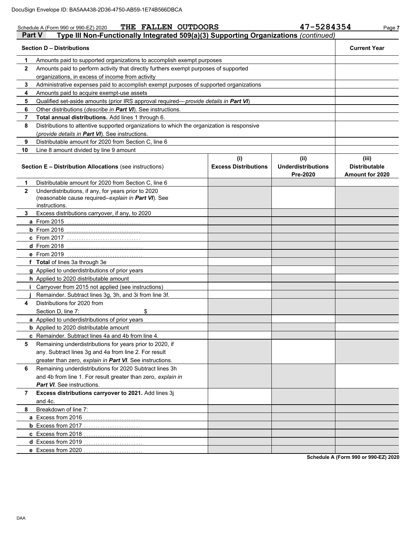| <b>Part V</b> | THE FALLEN OUTDOORS<br>Schedule A (Form 990 or 990-EZ) 2020<br>Type III Non-Functionally Integrated 509(a)(3) Supporting Organizations (continued) |                             | 47-5284354                            | Page 7                                         |  |  |  |  |  |  |
|---------------|----------------------------------------------------------------------------------------------------------------------------------------------------|-----------------------------|---------------------------------------|------------------------------------------------|--|--|--|--|--|--|
|               | <b>Section D - Distributions</b>                                                                                                                   |                             |                                       | <b>Current Year</b>                            |  |  |  |  |  |  |
| 1             | Amounts paid to supported organizations to accomplish exempt purposes                                                                              |                             |                                       |                                                |  |  |  |  |  |  |
| $\mathbf{2}$  | Amounts paid to perform activity that directly furthers exempt purposes of supported                                                               |                             |                                       |                                                |  |  |  |  |  |  |
|               | organizations, in excess of income from activity                                                                                                   |                             |                                       |                                                |  |  |  |  |  |  |
| 3             | Administrative expenses paid to accomplish exempt purposes of supported organizations                                                              |                             |                                       |                                                |  |  |  |  |  |  |
| 4             | Amounts paid to acquire exempt-use assets                                                                                                          |                             |                                       |                                                |  |  |  |  |  |  |
| 5             | Qualified set-aside amounts (prior IRS approval required— <i>provide details in Part VI</i> )                                                      |                             |                                       |                                                |  |  |  |  |  |  |
| 6             | Other distributions ( <i>describe in Part VI</i> ). See instructions.                                                                              |                             |                                       |                                                |  |  |  |  |  |  |
| 7             | Total annual distributions. Add lines 1 through 6.                                                                                                 |                             |                                       |                                                |  |  |  |  |  |  |
| 8             | Distributions to attentive supported organizations to which the organization is responsive                                                         |                             |                                       |                                                |  |  |  |  |  |  |
|               | (provide details in Part VI). See instructions.                                                                                                    |                             |                                       |                                                |  |  |  |  |  |  |
| 9             | Distributable amount for 2020 from Section C, line 6                                                                                               |                             |                                       |                                                |  |  |  |  |  |  |
| 10            | Line 8 amount divided by line 9 amount                                                                                                             |                             |                                       |                                                |  |  |  |  |  |  |
|               |                                                                                                                                                    | (i)                         | (ii)                                  | (iii)                                          |  |  |  |  |  |  |
|               | <b>Section E - Distribution Allocations</b> (see instructions)                                                                                     | <b>Excess Distributions</b> | <b>Underdistributions</b><br>Pre-2020 | <b>Distributable</b><br><b>Amount for 2020</b> |  |  |  |  |  |  |
| 1             | Distributable amount for 2020 from Section C, line 6                                                                                               |                             |                                       |                                                |  |  |  |  |  |  |
| 2             | Underdistributions, if any, for years prior to 2020                                                                                                |                             |                                       |                                                |  |  |  |  |  |  |
|               | (reasonable cause required-explain in Part VI). See                                                                                                |                             |                                       |                                                |  |  |  |  |  |  |
|               | instructions.                                                                                                                                      |                             |                                       |                                                |  |  |  |  |  |  |
| 3             | Excess distributions carryover, if any, to 2020                                                                                                    |                             |                                       |                                                |  |  |  |  |  |  |
|               | <b>a</b> From 2015<br>. <u>.</u>                                                                                                                   |                             |                                       |                                                |  |  |  |  |  |  |
|               | $b$ From 2016                                                                                                                                      |                             |                                       |                                                |  |  |  |  |  |  |
|               | c From 2017                                                                                                                                        |                             |                                       |                                                |  |  |  |  |  |  |
|               | <b>d</b> From 2018                                                                                                                                 |                             |                                       |                                                |  |  |  |  |  |  |
|               | e From 2019                                                                                                                                        |                             |                                       |                                                |  |  |  |  |  |  |
|               | f Total of lines 3a through 3e                                                                                                                     |                             |                                       |                                                |  |  |  |  |  |  |
|               | g Applied to underdistributions of prior years                                                                                                     |                             |                                       |                                                |  |  |  |  |  |  |
|               | h Applied to 2020 distributable amount                                                                                                             |                             |                                       |                                                |  |  |  |  |  |  |
|               | Carryover from 2015 not applied (see instructions)                                                                                                 |                             |                                       |                                                |  |  |  |  |  |  |
|               | Remainder. Subtract lines 3g, 3h, and 3i from line 3f.                                                                                             |                             |                                       |                                                |  |  |  |  |  |  |
| 4             | Distributions for 2020 from                                                                                                                        |                             |                                       |                                                |  |  |  |  |  |  |
|               | Section D. line 7:<br>\$                                                                                                                           |                             |                                       |                                                |  |  |  |  |  |  |
|               | <b>a</b> Applied to underdistributions of prior years                                                                                              |                             |                                       |                                                |  |  |  |  |  |  |
|               | <b>b</b> Applied to 2020 distributable amount                                                                                                      |                             |                                       |                                                |  |  |  |  |  |  |
|               | <b>c</b> Remainder. Subtract lines 4a and 4b from line 4.                                                                                          |                             |                                       |                                                |  |  |  |  |  |  |
| 5             | Remaining underdistributions for years prior to 2020, if                                                                                           |                             |                                       |                                                |  |  |  |  |  |  |
|               | any. Subtract lines 3g and 4a from line 2. For result                                                                                              |                             |                                       |                                                |  |  |  |  |  |  |
|               | greater than zero, explain in Part VI. See instructions.                                                                                           |                             |                                       |                                                |  |  |  |  |  |  |
| 6             | Remaining underdistributions for 2020 Subtract lines 3h                                                                                            |                             |                                       |                                                |  |  |  |  |  |  |
|               | and 4b from line 1. For result greater than zero, explain in                                                                                       |                             |                                       |                                                |  |  |  |  |  |  |
|               | <b>Part VI</b> . See instructions.                                                                                                                 |                             |                                       |                                                |  |  |  |  |  |  |
| 7             | Excess distributions carryover to 2021. Add lines 3j                                                                                               |                             |                                       |                                                |  |  |  |  |  |  |
|               | and 4c.                                                                                                                                            |                             |                                       |                                                |  |  |  |  |  |  |
| 8             | Breakdown of line 7:                                                                                                                               |                             |                                       |                                                |  |  |  |  |  |  |
|               | a Excess from 2016                                                                                                                                 |                             |                                       |                                                |  |  |  |  |  |  |
|               |                                                                                                                                                    |                             |                                       |                                                |  |  |  |  |  |  |
|               | c Excess from 2018                                                                                                                                 |                             |                                       |                                                |  |  |  |  |  |  |
|               | d Excess from 2019                                                                                                                                 |                             |                                       |                                                |  |  |  |  |  |  |
|               | e Excess from 2020                                                                                                                                 |                             |                                       |                                                |  |  |  |  |  |  |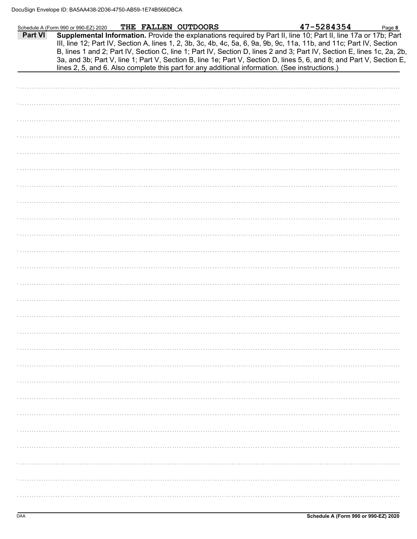|         | Schedule A (Form 990 or 990-EZ) 2020 | THE FALLEN OUTDOORS |                                                                                                | 47-5284354                                                                                                                                                                                                                                                                                                                                                        | Page 8 |
|---------|--------------------------------------|---------------------|------------------------------------------------------------------------------------------------|-------------------------------------------------------------------------------------------------------------------------------------------------------------------------------------------------------------------------------------------------------------------------------------------------------------------------------------------------------------------|--------|
| Part VI |                                      |                     |                                                                                                | Supplemental Information. Provide the explanations required by Part II, line 10; Part II, line 17a or 17b; Part<br>III, line 12; Part IV, Section A, lines 1, 2, 3b, 3c, 4b, 4c, 5a, 6, 9a, 9b, 9c, 11a, 11b, and 11c; Part IV, Section<br>B, lines 1 and 2; Part IV, Section C, line 1; Part IV, Section D, lines 2 and 3; Part IV, Section E, lines 1c, 2a, 2b, |        |
|         |                                      |                     | lines 2, 5, and 6. Also complete this part for any additional information. (See instructions.) | 3a, and 3b; Part V, line 1; Part V, Section B, line 1e; Part V, Section D, lines 5, 6, and 8; and Part V, Section E,                                                                                                                                                                                                                                              |        |
|         |                                      |                     |                                                                                                |                                                                                                                                                                                                                                                                                                                                                                   |        |
|         |                                      |                     |                                                                                                |                                                                                                                                                                                                                                                                                                                                                                   |        |
|         |                                      |                     |                                                                                                |                                                                                                                                                                                                                                                                                                                                                                   |        |
|         |                                      |                     |                                                                                                |                                                                                                                                                                                                                                                                                                                                                                   |        |
|         |                                      |                     |                                                                                                |                                                                                                                                                                                                                                                                                                                                                                   |        |
|         |                                      |                     |                                                                                                |                                                                                                                                                                                                                                                                                                                                                                   |        |
|         |                                      |                     |                                                                                                |                                                                                                                                                                                                                                                                                                                                                                   |        |
|         |                                      |                     |                                                                                                |                                                                                                                                                                                                                                                                                                                                                                   |        |
|         |                                      |                     |                                                                                                |                                                                                                                                                                                                                                                                                                                                                                   |        |
|         |                                      |                     |                                                                                                |                                                                                                                                                                                                                                                                                                                                                                   |        |
|         |                                      |                     |                                                                                                |                                                                                                                                                                                                                                                                                                                                                                   |        |
|         |                                      |                     |                                                                                                |                                                                                                                                                                                                                                                                                                                                                                   |        |
|         |                                      |                     |                                                                                                |                                                                                                                                                                                                                                                                                                                                                                   |        |
|         |                                      |                     |                                                                                                |                                                                                                                                                                                                                                                                                                                                                                   |        |
|         |                                      |                     |                                                                                                |                                                                                                                                                                                                                                                                                                                                                                   |        |
|         |                                      |                     |                                                                                                |                                                                                                                                                                                                                                                                                                                                                                   |        |
|         |                                      |                     |                                                                                                |                                                                                                                                                                                                                                                                                                                                                                   |        |
|         |                                      |                     |                                                                                                |                                                                                                                                                                                                                                                                                                                                                                   |        |
|         |                                      |                     |                                                                                                |                                                                                                                                                                                                                                                                                                                                                                   |        |
|         |                                      |                     |                                                                                                |                                                                                                                                                                                                                                                                                                                                                                   |        |
|         |                                      |                     |                                                                                                |                                                                                                                                                                                                                                                                                                                                                                   |        |
|         |                                      |                     |                                                                                                |                                                                                                                                                                                                                                                                                                                                                                   |        |
|         |                                      |                     |                                                                                                |                                                                                                                                                                                                                                                                                                                                                                   |        |
|         |                                      |                     |                                                                                                |                                                                                                                                                                                                                                                                                                                                                                   |        |
|         |                                      |                     |                                                                                                |                                                                                                                                                                                                                                                                                                                                                                   |        |
|         |                                      |                     |                                                                                                |                                                                                                                                                                                                                                                                                                                                                                   |        |
|         |                                      |                     |                                                                                                |                                                                                                                                                                                                                                                                                                                                                                   |        |
|         |                                      |                     |                                                                                                |                                                                                                                                                                                                                                                                                                                                                                   |        |
|         |                                      |                     |                                                                                                |                                                                                                                                                                                                                                                                                                                                                                   |        |
|         |                                      |                     |                                                                                                |                                                                                                                                                                                                                                                                                                                                                                   |        |
|         |                                      |                     |                                                                                                |                                                                                                                                                                                                                                                                                                                                                                   |        |
|         |                                      |                     |                                                                                                |                                                                                                                                                                                                                                                                                                                                                                   |        |
|         |                                      |                     |                                                                                                |                                                                                                                                                                                                                                                                                                                                                                   |        |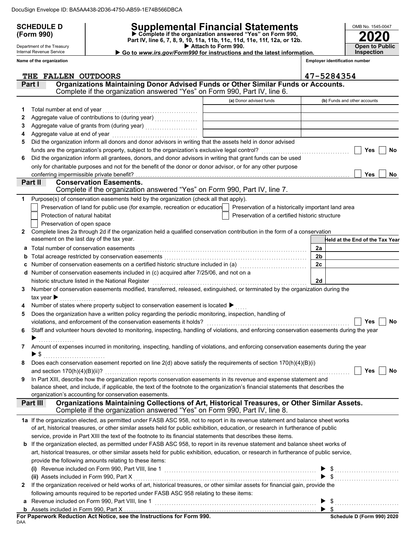|        | <b>SCHEDULE D</b><br>(Form 990)                        | <b>Supplemental Financial Statements</b><br>Complete if the organization answered "Yes" on Form 990,                                                                                                                     | OMB No. 1545-0047                                          |
|--------|--------------------------------------------------------|--------------------------------------------------------------------------------------------------------------------------------------------------------------------------------------------------------------------------|------------------------------------------------------------|
|        | Department of the Treasury<br>Internal Revenue Service | Part IV, line 6, 7, 8, 9, 10, 11a, 11b, 11c, 11d, 11e, 11f, 12a, or 12b.<br>Attach to Form 990.                                                                                                                          | <b>Open to Public</b>                                      |
|        | Name of the organization                               | Go to www.irs.gov/Form990 for instructions and the latest information.                                                                                                                                                   | <b>Inspection</b><br><b>Employer identification number</b> |
|        |                                                        |                                                                                                                                                                                                                          |                                                            |
|        | THE FALLEN OUTDOORS                                    |                                                                                                                                                                                                                          | 47-5284354                                                 |
|        | Part I                                                 | Organizations Maintaining Donor Advised Funds or Other Similar Funds or Accounts.                                                                                                                                        |                                                            |
|        |                                                        | Complete if the organization answered "Yes" on Form 990, Part IV, line 6.                                                                                                                                                |                                                            |
|        |                                                        | (a) Donor advised funds                                                                                                                                                                                                  | (b) Funds and other accounts                               |
| 1<br>2 | Total number at end of year                            |                                                                                                                                                                                                                          |                                                            |
| 3      |                                                        |                                                                                                                                                                                                                          |                                                            |
| 4      |                                                        |                                                                                                                                                                                                                          |                                                            |
| 5      |                                                        | Did the organization inform all donors and donor advisors in writing that the assets held in donor advised                                                                                                               |                                                            |
|        |                                                        |                                                                                                                                                                                                                          | Yes<br>No                                                  |
| 6      |                                                        | Did the organization inform all grantees, donors, and donor advisors in writing that grant funds can be used                                                                                                             |                                                            |
|        |                                                        | only for charitable purposes and not for the benefit of the donor or donor advisor, or for any other purpose                                                                                                             |                                                            |
|        | conferring impermissible private benefit?              |                                                                                                                                                                                                                          | Yes<br><b>No</b>                                           |
|        | Part II                                                | <b>Conservation Easements.</b>                                                                                                                                                                                           |                                                            |
|        |                                                        | Complete if the organization answered "Yes" on Form 990, Part IV, line 7.                                                                                                                                                |                                                            |
| 1.     |                                                        | Purpose(s) of conservation easements held by the organization (check all that apply).<br>Preservation of land for public use (for example, recreation or education<br>Preservation of a historically important land area |                                                            |
|        | Protection of natural habitat                          | Preservation of a certified historic structure                                                                                                                                                                           |                                                            |
|        | Preservation of open space                             |                                                                                                                                                                                                                          |                                                            |
| 2      |                                                        | Complete lines 2a through 2d if the organization held a qualified conservation contribution in the form of a conservation                                                                                                |                                                            |
|        | easement on the last day of the tax year.              |                                                                                                                                                                                                                          | Held at the End of the Tax Year                            |
| а      | Total number of conservation easements                 |                                                                                                                                                                                                                          | 2a                                                         |
| b      |                                                        |                                                                                                                                                                                                                          | 2 <sub>b</sub>                                             |
| c      |                                                        |                                                                                                                                                                                                                          | 2c                                                         |
|        |                                                        | d Number of conservation easements included in (c) acquired after 7/25/06, and not on a                                                                                                                                  |                                                            |
|        |                                                        | historic structure listed in the National Register                                                                                                                                                                       | 2d                                                         |
| 3      |                                                        | Number of conservation easements modified, transferred, released, extinguished, or terminated by the organization during the                                                                                             |                                                            |
|        | tax year $\blacktriangleright$                         | Number of states where property subject to conservation easement is located ▶                                                                                                                                            |                                                            |
| 5      |                                                        | Does the organization have a written policy regarding the periodic monitoring, inspection, handling of                                                                                                                   |                                                            |
|        |                                                        | violations, and enforcement of the conservation easements it holds?                                                                                                                                                      | Yes<br>No                                                  |
| 6      |                                                        | Staff and volunteer hours devoted to monitoring, inspecting, handling of violations, and enforcing conservation easements during the year                                                                                |                                                            |
|        |                                                        |                                                                                                                                                                                                                          |                                                            |
| 7      |                                                        | Amount of expenses incurred in monitoring, inspecting, handling of violations, and enforcing conservation easements during the year                                                                                      |                                                            |
|        | $\blacktriangleright$ \$                               |                                                                                                                                                                                                                          |                                                            |
| 8      |                                                        | Does each conservation easement reported on line 2(d) above satisfy the requirements of section 170(h)(4)(B)(i)                                                                                                          |                                                            |
|        |                                                        |                                                                                                                                                                                                                          | Yes<br><b>No</b>                                           |
| 9      |                                                        | In Part XIII, describe how the organization reports conservation easements in its revenue and expense statement and                                                                                                      |                                                            |
|        |                                                        | balance sheet, and include, if applicable, the text of the footnote to the organization's financial statements that describes the<br>organization's accounting for conservation easements.                               |                                                            |
|        | Part III                                               | Organizations Maintaining Collections of Art, Historical Treasures, or Other Similar Assets.<br>Complete if the organization answered "Yes" on Form 990, Part IV, line 8.                                                |                                                            |
|        |                                                        | 1a If the organization elected, as permitted under FASB ASC 958, not to report in its revenue statement and balance sheet works                                                                                          |                                                            |
|        |                                                        | of art, historical treasures, or other similar assets held for public exhibition, education, or research in furtherance of public                                                                                        |                                                            |
|        |                                                        | service, provide in Part XIII the text of the footnote to its financial statements that describes these items.                                                                                                           |                                                            |
|        |                                                        | b If the organization elected, as permitted under FASB ASC 958, to report in its revenue statement and balance sheet works of                                                                                            |                                                            |
|        |                                                        | art, historical treasures, or other similar assets held for public exhibition, education, or research in furtherance of public service,                                                                                  |                                                            |
|        |                                                        | provide the following amounts relating to these items:                                                                                                                                                                   |                                                            |
|        |                                                        |                                                                                                                                                                                                                          |                                                            |
|        | (ii) Assets included in Form 990, Part X               |                                                                                                                                                                                                                          |                                                            |
| 2      |                                                        | If the organization received or held works of art, historical treasures, or other similar assets for financial gain, provide the                                                                                         |                                                            |
| a      |                                                        | following amounts required to be reported under FASB ASC 958 relating to these items:<br>Revenue included on Form 990, Part VIII, line 1                                                                                 |                                                            |
|        |                                                        |                                                                                                                                                                                                                          |                                                            |
|        |                                                        |                                                                                                                                                                                                                          |                                                            |

**Schedule D (Form 990) 2020**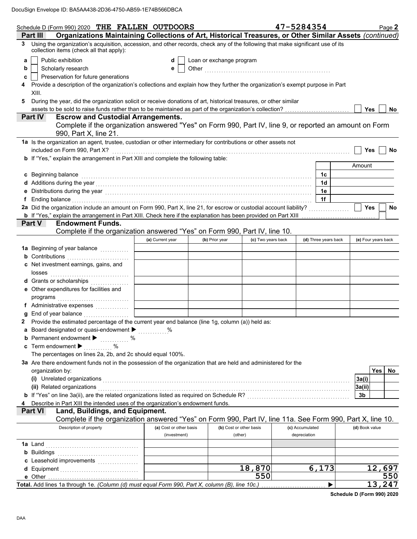| Schedule D (Form 990) 2020 THE FALLEN OUTDOORS                                                                                                                                                                                       |                         |                          |                         | 47-5284354      |                      | Page 2              |
|--------------------------------------------------------------------------------------------------------------------------------------------------------------------------------------------------------------------------------------|-------------------------|--------------------------|-------------------------|-----------------|----------------------|---------------------|
| Organizations Maintaining Collections of Art, Historical Treasures, or Other Similar Assets (continued)<br>Part III                                                                                                                  |                         |                          |                         |                 |                      |                     |
| Using the organization's acquisition, accession, and other records, check any of the following that make significant use of its<br>3.<br>collection items (check all that apply):                                                    |                         |                          |                         |                 |                      |                     |
| Public exhibition<br>a                                                                                                                                                                                                               | d                       | Loan or exchange program |                         |                 |                      |                     |
| Scholarly research<br>b                                                                                                                                                                                                              | е                       |                          |                         |                 |                      |                     |
| Preservation for future generations<br>c                                                                                                                                                                                             |                         |                          |                         |                 |                      |                     |
| Provide a description of the organization's collections and explain how they further the organization's exempt purpose in Part                                                                                                       |                         |                          |                         |                 |                      |                     |
| XIII.                                                                                                                                                                                                                                |                         |                          |                         |                 |                      |                     |
| During the year, did the organization solicit or receive donations of art, historical treasures, or other similar<br>5                                                                                                               |                         |                          |                         |                 |                      |                     |
| assets to be sold to raise funds rather than to be maintained as part of the organization's collection?                                                                                                                              |                         |                          |                         |                 |                      | Yes<br>No           |
| Part IV<br><b>Escrow and Custodial Arrangements.</b>                                                                                                                                                                                 |                         |                          |                         |                 |                      |                     |
| Complete if the organization answered "Yes" on Form 990, Part IV, line 9, or reported an amount on Form<br>990, Part X, line 21.                                                                                                     |                         |                          |                         |                 |                      |                     |
| 1a Is the organization an agent, trustee, custodian or other intermediary for contributions or other assets not                                                                                                                      |                         |                          |                         |                 |                      |                     |
| included on Form 990, Part X?                                                                                                                                                                                                        |                         |                          |                         |                 |                      | <b>Yes</b><br>No    |
| b If "Yes," explain the arrangement in Part XIII and complete the following table:                                                                                                                                                   |                         |                          |                         |                 |                      |                     |
|                                                                                                                                                                                                                                      |                         |                          |                         |                 |                      | Amount              |
| c Beginning balance                                                                                                                                                                                                                  |                         |                          |                         |                 | 1с                   |                     |
|                                                                                                                                                                                                                                      |                         |                          |                         |                 | 1 <sub>d</sub>       |                     |
|                                                                                                                                                                                                                                      |                         |                          |                         |                 | 1e                   |                     |
|                                                                                                                                                                                                                                      |                         |                          |                         |                 | 1f                   |                     |
| 2a Did the organization include an amount on Form 990, Part X, line 21, for escrow or custodial account liability?                                                                                                                   |                         |                          |                         |                 |                      | <b>Yes</b><br>No    |
| b If "Yes," explain the arrangement in Part XIII. Check here if the explanation has been provided on Part XIII                                                                                                                       |                         |                          |                         |                 |                      |                     |
| <b>Endowment Funds.</b><br><b>Part V</b>                                                                                                                                                                                             |                         |                          |                         |                 |                      |                     |
| Complete if the organization answered "Yes" on Form 990, Part IV, line 10.                                                                                                                                                           |                         |                          |                         |                 |                      |                     |
|                                                                                                                                                                                                                                      | (a) Current year        | (b) Prior year           | (c) Two years back      |                 | (d) Three years back | (e) Four years back |
| 1a Beginning of year balance <b>contained</b>                                                                                                                                                                                        |                         |                          |                         |                 |                      |                     |
| <b>b</b> Contributions                                                                                                                                                                                                               |                         |                          |                         |                 |                      |                     |
| c Net investment earnings, gains, and                                                                                                                                                                                                |                         |                          |                         |                 |                      |                     |
| losses                                                                                                                                                                                                                               |                         |                          |                         |                 |                      |                     |
| <b>d</b> Grants or scholarships<br>.                                                                                                                                                                                                 |                         |                          |                         |                 |                      |                     |
| e Other expenditures for facilities and                                                                                                                                                                                              |                         |                          |                         |                 |                      |                     |
|                                                                                                                                                                                                                                      |                         |                          |                         |                 |                      |                     |
| f Administrative expenses                                                                                                                                                                                                            |                         |                          |                         |                 |                      |                     |
| End of year balance <i>[[[[[[[[[[[[[[[[[[[[[[[[[[[]]]]</i>                                                                                                                                                                           |                         |                          |                         |                 |                      |                     |
| 2 Provide the estimated percentage of the current year end balance (line 1g, column (a)) held as:                                                                                                                                    |                         |                          |                         |                 |                      |                     |
| a Board designated or quasi-endowment >                                                                                                                                                                                              |                         |                          |                         |                 |                      |                     |
| <b>b</b> Permanent endowment $\blacktriangleright$<br>$\%$<br>.                                                                                                                                                                      |                         |                          |                         |                 |                      |                     |
| c Term endowment $\blacktriangleright$                                                                                                                                                                                               |                         |                          |                         |                 |                      |                     |
| The percentages on lines 2a, 2b, and 2c should equal 100%.<br>3a Are there endowment funds not in the possession of the organization that are held and administered for the                                                          |                         |                          |                         |                 |                      |                     |
| organization by:                                                                                                                                                                                                                     |                         |                          |                         |                 |                      | Yes<br>No           |
|                                                                                                                                                                                                                                      |                         |                          |                         |                 |                      | 3a(i)               |
| (i) Unrelated organizations <b>constructions</b> and all the constructions of the construction of the construction of the construction of the construction of the construction of the construction of the construction of the const  |                         |                          |                         |                 |                      | 3a(ii)              |
| (ii) Related organizations <b>constant of the constant of the constant of the constant of the constant of the constant of the constant of the constant of the constant of the constant of the constant of the constant of the co</b> |                         |                          |                         |                 |                      | 3b                  |
| Describe in Part XIII the intended uses of the organization's endowment funds.                                                                                                                                                       |                         |                          |                         |                 |                      |                     |
| Land, Buildings, and Equipment.<br><b>Part VI</b>                                                                                                                                                                                    |                         |                          |                         |                 |                      |                     |
| Complete if the organization answered "Yes" on Form 990, Part IV, line 11a. See Form 990, Part X, line 10.                                                                                                                           |                         |                          |                         |                 |                      |                     |
| Description of property                                                                                                                                                                                                              | (a) Cost or other basis |                          | (b) Cost or other basis | (c) Accumulated |                      | (d) Book value      |
|                                                                                                                                                                                                                                      | (investment)            |                          | (other)                 | depreciation    |                      |                     |
|                                                                                                                                                                                                                                      |                         |                          |                         |                 |                      |                     |
|                                                                                                                                                                                                                                      |                         |                          |                         |                 |                      |                     |
|                                                                                                                                                                                                                                      |                         |                          |                         |                 |                      |                     |
|                                                                                                                                                                                                                                      |                         |                          | 18,870                  |                 | 6,173                | 12,697              |
|                                                                                                                                                                                                                                      |                         |                          | 550                     |                 |                      | 550                 |
| Total. Add lines 1a through 1e. (Column (d) must equal Form 990, Part X, column (B), line 10c.)                                                                                                                                      |                         |                          |                         |                 |                      | 13,247              |

**Schedule D (Form 990) 2020**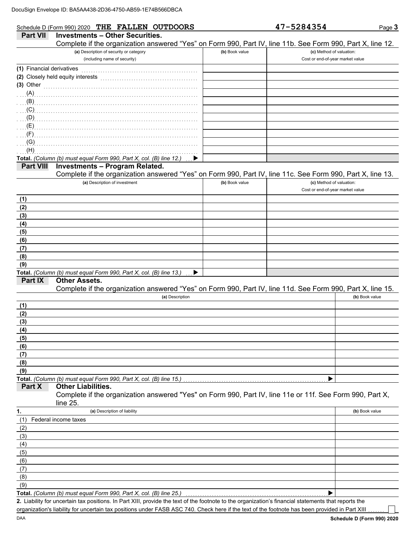|                           | Schedule D (Form 990) 2020 THE FALLEN OUTDOORS                                                                                                       |                | 47-5284354                       | Page 3         |
|---------------------------|------------------------------------------------------------------------------------------------------------------------------------------------------|----------------|----------------------------------|----------------|
| <b>Part VII</b>           | <b>Investments - Other Securities.</b>                                                                                                               |                |                                  |                |
|                           | Complete if the organization answered "Yes" on Form 990, Part IV, line 11b. See Form 990, Part X, line 12.                                           |                |                                  |                |
|                           | (a) Description of security or category                                                                                                              | (b) Book value | (c) Method of valuation:         |                |
|                           | (including name of security)                                                                                                                         |                | Cost or end-of-year market value |                |
| (1) Financial derivatives |                                                                                                                                                      |                |                                  |                |
|                           |                                                                                                                                                      |                |                                  |                |
| $(3)$ Other               |                                                                                                                                                      |                |                                  |                |
|                           |                                                                                                                                                      |                |                                  |                |
|                           |                                                                                                                                                      |                |                                  |                |
|                           |                                                                                                                                                      |                |                                  |                |
|                           |                                                                                                                                                      |                |                                  |                |
|                           |                                                                                                                                                      |                |                                  |                |
|                           |                                                                                                                                                      |                |                                  |                |
|                           |                                                                                                                                                      |                |                                  |                |
| (G)                       |                                                                                                                                                      |                |                                  |                |
| (H)                       |                                                                                                                                                      |                |                                  |                |
|                           | Total. (Column (b) must equal Form 990, Part X, col. (B) line 12.)                                                                                   |                |                                  |                |
| <b>Part VIII</b>          | <b>Investments - Program Related.</b>                                                                                                                |                |                                  |                |
|                           | Complete if the organization answered "Yes" on Form 990, Part IV, line 11c. See Form 990, Part X, line 13.                                           |                |                                  |                |
|                           | (a) Description of investment                                                                                                                        | (b) Book value | (c) Method of valuation:         |                |
|                           |                                                                                                                                                      |                | Cost or end-of-year market value |                |
|                           |                                                                                                                                                      |                |                                  |                |
| (1)                       |                                                                                                                                                      |                |                                  |                |
| (2)                       |                                                                                                                                                      |                |                                  |                |
| (3)                       |                                                                                                                                                      |                |                                  |                |
| (4)                       |                                                                                                                                                      |                |                                  |                |
| (5)                       |                                                                                                                                                      |                |                                  |                |
| (6)                       |                                                                                                                                                      |                |                                  |                |
| (7)                       |                                                                                                                                                      |                |                                  |                |
| (8)                       |                                                                                                                                                      |                |                                  |                |
| (9)                       |                                                                                                                                                      |                |                                  |                |
|                           | Total. (Column (b) must equal Form 990, Part X, col. (B) line 13.)                                                                                   |                |                                  |                |
| Part IX                   | <b>Other Assets.</b>                                                                                                                                 |                |                                  |                |
|                           | Complete if the organization answered "Yes" on Form 990, Part IV, line 11d. See Form 990, Part X, line 15.                                           |                |                                  |                |
|                           | (a) Description                                                                                                                                      |                |                                  | (b) Book value |
| (1)                       |                                                                                                                                                      |                |                                  |                |
|                           |                                                                                                                                                      |                |                                  |                |
| (2)                       |                                                                                                                                                      |                |                                  |                |
| (3)                       |                                                                                                                                                      |                |                                  |                |
| (4)                       |                                                                                                                                                      |                |                                  |                |
| (5)                       |                                                                                                                                                      |                |                                  |                |
| (6)                       |                                                                                                                                                      |                |                                  |                |
| (7)                       |                                                                                                                                                      |                |                                  |                |
| (8)                       |                                                                                                                                                      |                |                                  |                |
| (9)                       |                                                                                                                                                      |                |                                  |                |
|                           | Total. (Column (b) must equal Form 990, Part X, col. (B) line 15.)                                                                                   |                |                                  |                |
| Part X                    | Other Liabilities.                                                                                                                                   |                |                                  |                |
|                           | Complete if the organization answered "Yes" on Form 990, Part IV, line 11e or 11f. See Form 990, Part X,                                             |                |                                  |                |
|                           | line 25.                                                                                                                                             |                |                                  |                |
| 1.                        | (a) Description of liability                                                                                                                         |                |                                  | (b) Book value |
| (1)                       | Federal income taxes                                                                                                                                 |                |                                  |                |
| (2)                       |                                                                                                                                                      |                |                                  |                |
|                           |                                                                                                                                                      |                |                                  |                |
| (3)                       |                                                                                                                                                      |                |                                  |                |
| (4)                       |                                                                                                                                                      |                |                                  |                |
| (5)                       |                                                                                                                                                      |                |                                  |                |
| (6)                       |                                                                                                                                                      |                |                                  |                |
| (7)                       |                                                                                                                                                      |                |                                  |                |
| (8)                       |                                                                                                                                                      |                |                                  |                |
| (9)                       |                                                                                                                                                      |                |                                  |                |
|                           | Total. (Column (b) must equal Form 990, Part X, col. (B) line 25.)                                                                                   |                |                                  |                |
|                           | 2. Liability for uncertain tax positions. In Part XIII, provide the text of the footnote to the organization's financial statements that reports the |                |                                  |                |
|                           | organization's liability for uncertain tax positions under FASB ASC 740. Check here if the text of the footnote has been provided in Part XIII.      |                |                                  |                |
|                           |                                                                                                                                                      |                |                                  |                |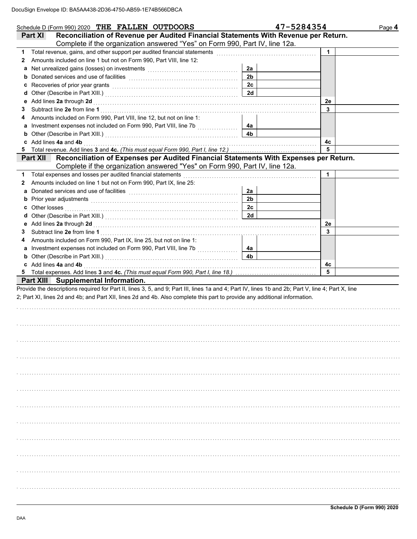|                 | Schedule D (Form 990) 2020 THE FALLEN OUTDOORS                                                                                                                                                                                 |                | 47-5284354 | Page 4 |
|-----------------|--------------------------------------------------------------------------------------------------------------------------------------------------------------------------------------------------------------------------------|----------------|------------|--------|
| Part XI         | Reconciliation of Revenue per Audited Financial Statements With Revenue per Return.                                                                                                                                            |                |            |        |
|                 | Complete if the organization answered "Yes" on Form 990, Part IV, line 12a.                                                                                                                                                    |                |            |        |
| 1.              |                                                                                                                                                                                                                                |                | 1          |        |
| 2               | Amounts included on line 1 but not on Form 990, Part VIII, line 12:                                                                                                                                                            |                |            |        |
| a               | Net unrealized gains (losses) on investments [11] with an intervention of the set of the set of the set of the                                                                                                                 | 2a             |            |        |
| b               |                                                                                                                                                                                                                                | 2 <sub>b</sub> |            |        |
| c               | Recoveries of prior year grants [11] resonance contracts and prior with the contract of prior year grants                                                                                                                      | 2c             |            |        |
| d               |                                                                                                                                                                                                                                | 2d             |            |        |
| е               | Add lines 2a through 2d [11] Additional Property of Additional Property and Theorem 2011 Property and Property and Property and Property and Property and Property and Property and Property and Property and Property and Pro |                | 2e         |        |
| 3               |                                                                                                                                                                                                                                |                | 3          |        |
|                 | Amounts included on Form 990, Part VIII, line 12, but not on line 1:                                                                                                                                                           |                |            |        |
| а               |                                                                                                                                                                                                                                | 4a             |            |        |
| b               |                                                                                                                                                                                                                                | 4 <sub>b</sub> |            |        |
|                 | c Add lines 4a and 4b                                                                                                                                                                                                          |                | 4с         |        |
| 5               |                                                                                                                                                                                                                                |                | 5          |        |
| <b>Part XII</b> | Reconciliation of Expenses per Audited Financial Statements With Expenses per Return.                                                                                                                                          |                |            |        |
|                 | Complete if the organization answered "Yes" on Form 990, Part IV, line 12a.                                                                                                                                                    |                |            |        |
| 1.              | Total expenses and losses per audited financial statements                                                                                                                                                                     |                | 1          |        |
| 2               | Amounts included on line 1 but not on Form 990, Part IX, line 25:                                                                                                                                                              |                |            |        |
| a               |                                                                                                                                                                                                                                | 2a             |            |        |
| b               | Prior year adjustments [11, 12] March 1997 (12) March 1997 (12) March 1997 (13) March 1997 (13) March 1997 (13                                                                                                                 | 2 <sub>b</sub> |            |        |
| c               |                                                                                                                                                                                                                                | 2c             |            |        |
| d               |                                                                                                                                                                                                                                | 2d             |            |        |
| е               |                                                                                                                                                                                                                                |                | 2e         |        |
| 3.              |                                                                                                                                                                                                                                |                | 3          |        |
|                 | Amounts included on Form 990, Part IX, line 25, but not on line 1:                                                                                                                                                             |                |            |        |
| а               |                                                                                                                                                                                                                                | 4a             |            |        |
| b               |                                                                                                                                                                                                                                | 4 <sub>b</sub> |            |        |
|                 | c Add lines 4a and 4b                                                                                                                                                                                                          |                | 4с         |        |
|                 |                                                                                                                                                                                                                                |                | 5          |        |
|                 | Part XIII Supplemental Information.                                                                                                                                                                                            |                |            |        |
|                 | Provide the descriptions required for Part II, lines 3, 5, and 9; Part III, lines 1a and 4; Part IV, lines 1b and 2b; Part V, line 4; Part X, line                                                                             |                |            |        |
|                 | 2; Part XI, lines 2d and 4b; and Part XII, lines 2d and 4b. Also complete this part to provide any additional information.                                                                                                     |                |            |        |
|                 |                                                                                                                                                                                                                                |                |            |        |
|                 |                                                                                                                                                                                                                                |                |            |        |
|                 |                                                                                                                                                                                                                                |                |            |        |
|                 |                                                                                                                                                                                                                                |                |            |        |
|                 |                                                                                                                                                                                                                                |                |            |        |
|                 |                                                                                                                                                                                                                                |                |            |        |
|                 |                                                                                                                                                                                                                                |                |            |        |
|                 |                                                                                                                                                                                                                                |                |            |        |
|                 |                                                                                                                                                                                                                                |                |            |        |
|                 |                                                                                                                                                                                                                                |                |            |        |
|                 |                                                                                                                                                                                                                                |                |            |        |
|                 |                                                                                                                                                                                                                                |                |            |        |
|                 |                                                                                                                                                                                                                                |                |            |        |
|                 |                                                                                                                                                                                                                                |                |            |        |
|                 |                                                                                                                                                                                                                                |                |            |        |
|                 |                                                                                                                                                                                                                                |                |            |        |
|                 |                                                                                                                                                                                                                                |                |            |        |
|                 |                                                                                                                                                                                                                                |                |            |        |
|                 |                                                                                                                                                                                                                                |                |            |        |
|                 |                                                                                                                                                                                                                                |                |            |        |
|                 |                                                                                                                                                                                                                                |                |            |        |
|                 |                                                                                                                                                                                                                                |                |            |        |
|                 |                                                                                                                                                                                                                                |                |            |        |
|                 |                                                                                                                                                                                                                                |                |            |        |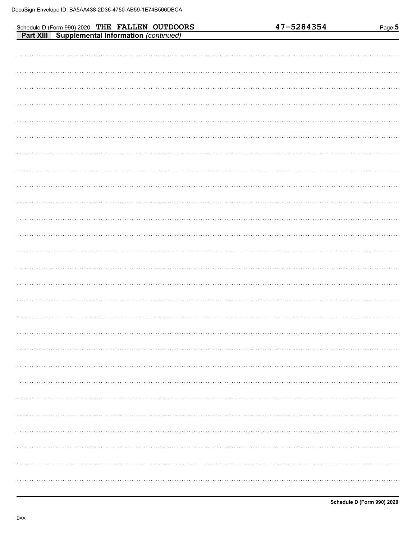| Schedule D (Form 990) 2020 THE FALLEN OUTDOORS<br>Part XIII Supplemental Information (continued) | 47-5284354 | Page 5 |
|--------------------------------------------------------------------------------------------------|------------|--------|
|                                                                                                  |            |        |
|                                                                                                  |            |        |
|                                                                                                  |            |        |
|                                                                                                  |            |        |
|                                                                                                  |            |        |
|                                                                                                  |            |        |
|                                                                                                  |            |        |
|                                                                                                  |            |        |
|                                                                                                  |            |        |
|                                                                                                  |            |        |
|                                                                                                  |            |        |
|                                                                                                  |            |        |
|                                                                                                  |            |        |
|                                                                                                  |            |        |
|                                                                                                  |            |        |
|                                                                                                  |            |        |
|                                                                                                  |            |        |
|                                                                                                  |            |        |
|                                                                                                  |            |        |
|                                                                                                  |            |        |
|                                                                                                  |            |        |
|                                                                                                  |            |        |
|                                                                                                  |            |        |
|                                                                                                  |            |        |
|                                                                                                  |            |        |
|                                                                                                  |            |        |
|                                                                                                  |            |        |
|                                                                                                  |            |        |
|                                                                                                  |            |        |
|                                                                                                  |            |        |
|                                                                                                  |            |        |
|                                                                                                  |            |        |
|                                                                                                  |            |        |
|                                                                                                  |            |        |
|                                                                                                  |            |        |
|                                                                                                  |            |        |
|                                                                                                  |            |        |
|                                                                                                  |            |        |
|                                                                                                  |            |        |
|                                                                                                  |            |        |
|                                                                                                  |            |        |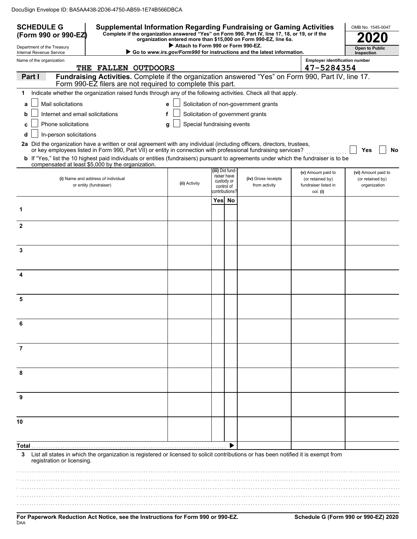| <b>SCHEDULE G</b><br>(Form 990 or 990-EZ)              | <b>Supplemental Information Regarding Fundraising or Gaming Activities</b><br>Complete if the organization answered "Yes" on Form 990, Part IV, line 17, 18, or 19, or if the                                                            |                                    |                |                                | organization entered more than \$15,000 on Form 990-EZ, line 6a.       |                                          | OMB No. 1545-0047                |
|--------------------------------------------------------|------------------------------------------------------------------------------------------------------------------------------------------------------------------------------------------------------------------------------------------|------------------------------------|----------------|--------------------------------|------------------------------------------------------------------------|------------------------------------------|----------------------------------|
| Department of the Treasury<br>Internal Revenue Service |                                                                                                                                                                                                                                          | Attach to Form 990 or Form 990-EZ. |                |                                | Go to www.irs.gov/Form990 for instructions and the latest information. |                                          | <b>Open to Public</b>            |
| Name of the organization                               |                                                                                                                                                                                                                                          |                                    |                |                                |                                                                        | <b>Employer identification number</b>    | Inspection                       |
|                                                        | THE FALLEN OUTDOORS                                                                                                                                                                                                                      |                                    |                |                                |                                                                        | 47-5284354                               |                                  |
| Part I                                                 | Fundraising Activities. Complete if the organization answered "Yes" on Form 990, Part IV, line 17.<br>Form 990-EZ filers are not required to complete this part.                                                                         |                                    |                |                                |                                                                        |                                          |                                  |
| 1                                                      | Indicate whether the organization raised funds through any of the following activities. Check all that apply.                                                                                                                            |                                    |                |                                |                                                                        |                                          |                                  |
| Mail solicitations<br>a                                |                                                                                                                                                                                                                                          | е                                  |                |                                | Solicitation of non-government grants                                  |                                          |                                  |
| Internet and email solicitations<br>b                  | f                                                                                                                                                                                                                                        |                                    |                |                                | Solicitation of government grants                                      |                                          |                                  |
| Phone solicitations<br>C                               |                                                                                                                                                                                                                                          | Special fundraising events<br>g    |                |                                |                                                                        |                                          |                                  |
| In-person solicitations<br>d                           |                                                                                                                                                                                                                                          |                                    |                |                                |                                                                        |                                          |                                  |
|                                                        | 2a Did the organization have a written or oral agreement with any individual (including officers, directors, trustees,<br>or key employees listed in Form 990, Part VII) or entity in connection with professional fundraising services? |                                    |                |                                |                                                                        |                                          | Yes<br>No                        |
|                                                        | b If "Yes," list the 10 highest paid individuals or entities (fundraisers) pursuant to agreements under which the fundraiser is to be<br>compensated at least \$5,000 by the organization.                                               |                                    |                |                                |                                                                        |                                          |                                  |
|                                                        |                                                                                                                                                                                                                                          |                                    |                | (iii) Did fund-<br>raiser have |                                                                        | (v) Amount paid to                       | (vi) Amount paid to              |
|                                                        | (i) Name and address of individual<br>or entity (fundraiser)                                                                                                                                                                             | (ii) Activity                      |                | custody or<br>control of       | (iv) Gross receipts<br>from activity                                   | (or retained by)<br>fundraiser listed in | (or retained by)<br>organization |
|                                                        |                                                                                                                                                                                                                                          |                                    | contributions? |                                |                                                                        | col. (i)                                 |                                  |
|                                                        |                                                                                                                                                                                                                                          |                                    |                | Yes No                         |                                                                        |                                          |                                  |
| 1                                                      |                                                                                                                                                                                                                                          |                                    |                |                                |                                                                        |                                          |                                  |
| $\mathbf{2}$                                           |                                                                                                                                                                                                                                          |                                    |                |                                |                                                                        |                                          |                                  |
|                                                        |                                                                                                                                                                                                                                          |                                    |                |                                |                                                                        |                                          |                                  |
| 3                                                      |                                                                                                                                                                                                                                          |                                    |                |                                |                                                                        |                                          |                                  |
|                                                        |                                                                                                                                                                                                                                          |                                    |                |                                |                                                                        |                                          |                                  |
| 4                                                      |                                                                                                                                                                                                                                          |                                    |                |                                |                                                                        |                                          |                                  |
|                                                        |                                                                                                                                                                                                                                          |                                    |                |                                |                                                                        |                                          |                                  |
|                                                        |                                                                                                                                                                                                                                          |                                    |                |                                |                                                                        |                                          |                                  |
| 5                                                      |                                                                                                                                                                                                                                          |                                    |                |                                |                                                                        |                                          |                                  |
|                                                        |                                                                                                                                                                                                                                          |                                    |                |                                |                                                                        |                                          |                                  |
| 6                                                      |                                                                                                                                                                                                                                          |                                    |                |                                |                                                                        |                                          |                                  |
|                                                        |                                                                                                                                                                                                                                          |                                    |                |                                |                                                                        |                                          |                                  |
| 7                                                      |                                                                                                                                                                                                                                          |                                    |                |                                |                                                                        |                                          |                                  |
|                                                        |                                                                                                                                                                                                                                          |                                    |                |                                |                                                                        |                                          |                                  |
| 8                                                      |                                                                                                                                                                                                                                          |                                    |                |                                |                                                                        |                                          |                                  |
|                                                        |                                                                                                                                                                                                                                          |                                    |                |                                |                                                                        |                                          |                                  |
| 9                                                      |                                                                                                                                                                                                                                          |                                    |                |                                |                                                                        |                                          |                                  |
|                                                        |                                                                                                                                                                                                                                          |                                    |                |                                |                                                                        |                                          |                                  |
| 10                                                     |                                                                                                                                                                                                                                          |                                    |                |                                |                                                                        |                                          |                                  |
|                                                        |                                                                                                                                                                                                                                          |                                    |                |                                |                                                                        |                                          |                                  |
|                                                        |                                                                                                                                                                                                                                          |                                    |                |                                |                                                                        |                                          |                                  |
| Total                                                  |                                                                                                                                                                                                                                          |                                    |                |                                |                                                                        |                                          |                                  |
| 3<br>registration or licensing.                        | List all states in which the organization is registered or licensed to solicit contributions or has been notified it is exempt from                                                                                                      |                                    |                |                                |                                                                        |                                          |                                  |
|                                                        |                                                                                                                                                                                                                                          |                                    |                |                                |                                                                        |                                          |                                  |
|                                                        |                                                                                                                                                                                                                                          |                                    |                |                                |                                                                        |                                          |                                  |
|                                                        |                                                                                                                                                                                                                                          |                                    |                |                                |                                                                        |                                          |                                  |
|                                                        |                                                                                                                                                                                                                                          |                                    |                |                                |                                                                        |                                          |                                  |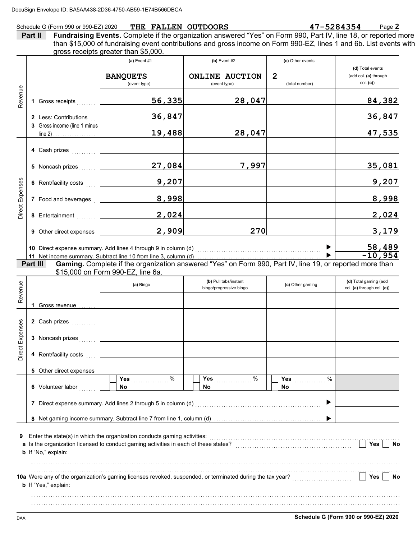# Schedule G (Form 990 or 990-EZ) 2020 **THE FALLEN OUTDOORS 47-5284354** Page 2

**Part II** Fundraising Events. Complete if the organization answered "Yes" on Form 990, Part IV, line 18, or reported more than \$15,000 of fundraising event contributions and gross income on Form 990-EZ, lines 1 and 6b. List events with

|                   |                                                                                                                               | gross receipts greater than \$5,000.                                                                                                                             |                                                                                                           |                                                      |                                                       |
|-------------------|-------------------------------------------------------------------------------------------------------------------------------|------------------------------------------------------------------------------------------------------------------------------------------------------------------|-----------------------------------------------------------------------------------------------------------|------------------------------------------------------|-------------------------------------------------------|
|                   |                                                                                                                               | (a) Event $#1$<br><b>BANQUETS</b><br>(event type)                                                                                                                | $(b)$ Event #2<br><b>ONLINE AUCTION</b><br>(event type)                                                   | (c) Other events<br>$\overline{2}$<br>(total number) | (d) Total events<br>(add col. (a) through<br>col. (c) |
| Revenue           | 1 Gross receipts                                                                                                              | 56,335                                                                                                                                                           | 28,047                                                                                                    |                                                      | 84,382                                                |
|                   | 2 Less: Contributions                                                                                                         | 36,847                                                                                                                                                           |                                                                                                           |                                                      | 36,847                                                |
|                   | 3 Gross income (line 1 minus                                                                                                  | 19,488                                                                                                                                                           | 28,047                                                                                                    |                                                      | <u>47,535</u>                                         |
|                   | 4 Cash prizes                                                                                                                 |                                                                                                                                                                  |                                                                                                           |                                                      |                                                       |
|                   | 5 Noncash prizes                                                                                                              | 27,084                                                                                                                                                           | 7,997                                                                                                     |                                                      | 35,081                                                |
|                   | 6 Rent/facility costs                                                                                                         | 9,207                                                                                                                                                            |                                                                                                           |                                                      | 9,207                                                 |
| Direct Expenses   | 7 Food and beverages                                                                                                          | 8,998                                                                                                                                                            |                                                                                                           |                                                      | 8,998                                                 |
|                   | 8 Entertainment                                                                                                               | 2,024                                                                                                                                                            |                                                                                                           |                                                      | 2,024                                                 |
|                   | 9 Other direct expenses                                                                                                       | 2,909                                                                                                                                                            | 270                                                                                                       |                                                      | 3,179                                                 |
|                   | Part III                                                                                                                      |                                                                                                                                                                  | Gaming. Complete if the organization answered "Yes" on Form 990, Part IV, line 19, or reported more than  |                                                      | 58,489<br>$-10,954$                                   |
| Revenue           |                                                                                                                               | \$15,000 on Form 990-EZ, line 6a.<br>(a) Bingo                                                                                                                   | (b) Pull tabs/instant<br>bingo/progressive bingo                                                          | (c) Other gaming                                     | (d) Total gaming (add<br>col. (a) through col. (c))   |
| ect Expenses<br>έ | 1 Gross revenue<br>2 Cash prizes<br>3 Noncash prizes<br>4 Rent/facility costs<br>5 Other direct expenses<br>6 Volunteer labor | Yes<br>%<br>No<br>7 Direct expense summary. Add lines 2 through 5 in column (d)                                                                                  | Yes<br>%<br>No                                                                                            | %<br><b>Yes</b><br>No<br>▶                           |                                                       |
| 9                 | b If "No," explain:                                                                                                           | Enter the state(s) in which the organization conducts gaming activities:<br>a Is the organization licensed to conduct gaming activities in each of these states? |                                                                                                           | ▶                                                    | $Yes \mid$<br>No                                      |
|                   | $h$ If " $VaA$ " ovelojn:                                                                                                     |                                                                                                                                                                  | 10a Were any of the organization's gaming licenses revoked, suspended, or terminated during the tax year? |                                                      | $Yes \mid$<br>No                                      |

. . . . . . . . . . . . . . . . . . . . . . . . . . . . . . . . . . . . . . . . . . . . . . . . . . . . . . . . . . . . . . . . . . . . . . . . . . . . . . . . . . . . . . . . . . . . . . . . . . . . . . . . . . . . . . . . . . . . . . . . . . . . . . . . . . . . . . . . . . . . . . . . . . . . . . . . . . .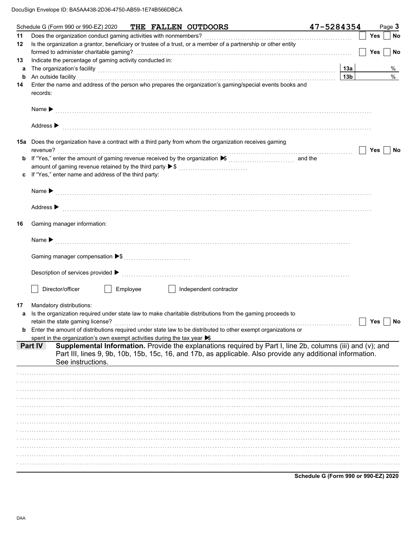|    | Schedule G (Form 990 or 990-EZ) 2020<br>THE FALLEN OUTDOORS                                                                           | 47-5284354                           |            | Page 3 |    |
|----|---------------------------------------------------------------------------------------------------------------------------------------|--------------------------------------|------------|--------|----|
| 11 | Does the organization conduct gaming activities with nonmembers?                                                                      |                                      | Yes        |        | No |
| 12 | Is the organization a grantor, beneficiary or trustee of a trust, or a member of a partnership or other entity                        |                                      |            |        |    |
|    |                                                                                                                                       |                                      | Yes        |        | No |
| 13 | Indicate the percentage of gaming activity conducted in:                                                                              |                                      |            |        |    |
| a  | The organization's facility (Mathematic Accordination) and the organization's facility (Mathematic Accordination)                     | 13a                                  |            |        | %  |
| b  | Enter the name and address of the person who prepares the organization's gaming/special events books and                              | 13 <sub>b</sub>                      |            |        | %  |
| 14 | records:                                                                                                                              |                                      |            |        |    |
|    |                                                                                                                                       |                                      |            |        |    |
|    | Address $\blacktriangleright$                                                                                                         |                                      |            |        |    |
|    | 15a Does the organization have a contract with a third party from whom the organization receives gaming                               |                                      |            |        |    |
|    | revenue?                                                                                                                              |                                      | Yes        |        | No |
| b  | If "Yes," enter the amount of gaming revenue received by the organization ▶ ((1) (1) (1) and the                                      |                                      |            |        |    |
|    | amount of gaming revenue retained by the third party ▶ \$                                                                             |                                      |            |        |    |
|    | If "Yes," enter name and address of the third party:                                                                                  |                                      |            |        |    |
|    |                                                                                                                                       |                                      |            |        |    |
|    |                                                                                                                                       |                                      |            |        |    |
|    | Address $\blacktriangleright$                                                                                                         |                                      |            |        |    |
| 16 | Gaming manager information:                                                                                                           |                                      |            |        |    |
|    |                                                                                                                                       |                                      |            |        |    |
|    |                                                                                                                                       |                                      |            |        |    |
|    |                                                                                                                                       |                                      |            |        |    |
|    |                                                                                                                                       |                                      |            |        |    |
|    | Director/officer<br>Employee<br>Independent contractor                                                                                |                                      |            |        |    |
|    |                                                                                                                                       |                                      |            |        |    |
| 17 | Mandatory distributions:<br>Is the organization required under state law to make charitable distributions from the gaming proceeds to |                                      |            |        |    |
|    | retain the state gaming license?                                                                                                      |                                      | <b>Yes</b> |        | No |
| b  | Enter the amount of distributions required under state law to be distributed to other exempt organizations or                         |                                      |            |        |    |
|    | spent in the organization's own exempt activities during the tax year $\blacktriangleright$                                           |                                      |            |        |    |
|    | Supplemental Information. Provide the explanations required by Part I, line 2b, columns (iii) and (v); and<br>Part IV                 |                                      |            |        |    |
|    | Part III, lines 9, 9b, 10b, 15b, 15c, 16, and 17b, as applicable. Also provide any additional information.<br>See instructions.       |                                      |            |        |    |
|    |                                                                                                                                       |                                      |            |        |    |
|    |                                                                                                                                       |                                      |            |        |    |
|    |                                                                                                                                       |                                      |            |        |    |
|    |                                                                                                                                       |                                      |            |        |    |
|    |                                                                                                                                       |                                      |            |        |    |
|    |                                                                                                                                       |                                      |            |        |    |
|    |                                                                                                                                       |                                      |            |        |    |
|    |                                                                                                                                       |                                      |            |        |    |
|    |                                                                                                                                       |                                      |            |        |    |
|    |                                                                                                                                       |                                      |            |        |    |
|    |                                                                                                                                       |                                      |            |        |    |
|    |                                                                                                                                       |                                      |            |        |    |
|    |                                                                                                                                       | Schedule G (Form 990 or 990-EZ) 2020 |            |        |    |

DAA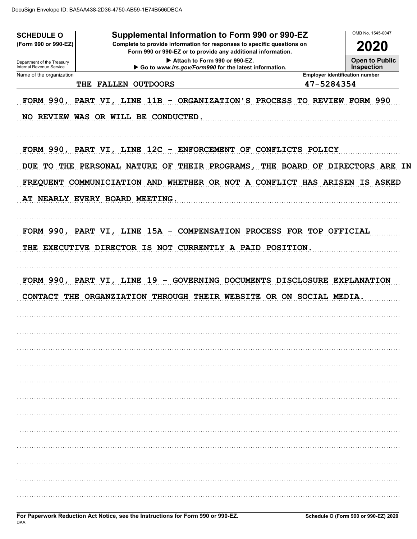| (Form 990 or 990-EZ)                                 | Supplemental Information to Form 990 or 990-EZ<br><b>SCHEDULE O</b>                                                                                                                                                        |                                       | OMB No. 1545-0047 |  |  |
|------------------------------------------------------|----------------------------------------------------------------------------------------------------------------------------------------------------------------------------------------------------------------------------|---------------------------------------|-------------------|--|--|
|                                                      | Complete to provide information for responses to specific questions on                                                                                                                                                     | 2020                                  |                   |  |  |
| Department of the Treasury                           | Form 990 or 990-EZ or to provide any additional information.                                                                                                                                                               | <b>Open to Public</b>                 |                   |  |  |
| Internal Revenue Service<br>Name of the organization | Go to www.irs.gov/Form990 for the latest information.                                                                                                                                                                      | <b>Employer identification number</b> | <b>Inspection</b> |  |  |
|                                                      | THE FALLEN OUTDOORS                                                                                                                                                                                                        | 47-5284354                            |                   |  |  |
|                                                      | FORM 990, PART VI, LINE 11B - ORGANIZATION'S PROCESS TO REVIEW FORM 990<br>NO REVIEW WAS OR WILL BE CONDUCTED.                                                                                                             |                                       |                   |  |  |
| AT                                                   | FORM 990, PART VI, LINE 12C - ENFORCEMENT OF CONFLICTS POLICY<br>DUE TO THE PERSONAL NATURE OF THEIR PROGRAMS,<br>FREQUENT COMMUNICIATION AND WHETHER OR NOT A CONFLICT HAS ARISEN IS ASKED<br>NEARLY EVERY BOARD MEETING. | THE BOARD OF DIRECTORS ARE IN         |                   |  |  |
|                                                      | FORM 990, PART VI, LINE 15A - COMPENSATION PROCESS FOR TOP OFFICIAL<br>THE EXECUTIVE DIRECTOR IS NOT CURRENTLY A PAID POSITION.<br>FORM 990, PART VI, LINE 19 - GOVERNING DOCUMENTS DISCLOSURE EXPLANATION                 |                                       |                   |  |  |
|                                                      | CONTACT THE ORGANZIATION THROUGH THEIR WEBSITE OR ON SOCIAL MEDIA.                                                                                                                                                         |                                       |                   |  |  |
|                                                      |                                                                                                                                                                                                                            |                                       |                   |  |  |
|                                                      |                                                                                                                                                                                                                            |                                       |                   |  |  |
|                                                      |                                                                                                                                                                                                                            |                                       |                   |  |  |
|                                                      |                                                                                                                                                                                                                            |                                       |                   |  |  |
|                                                      |                                                                                                                                                                                                                            |                                       |                   |  |  |
|                                                      |                                                                                                                                                                                                                            |                                       |                   |  |  |
|                                                      |                                                                                                                                                                                                                            |                                       |                   |  |  |
|                                                      |                                                                                                                                                                                                                            |                                       |                   |  |  |
|                                                      |                                                                                                                                                                                                                            |                                       |                   |  |  |
|                                                      |                                                                                                                                                                                                                            |                                       |                   |  |  |
|                                                      |                                                                                                                                                                                                                            |                                       |                   |  |  |
|                                                      |                                                                                                                                                                                                                            |                                       |                   |  |  |
|                                                      |                                                                                                                                                                                                                            |                                       |                   |  |  |